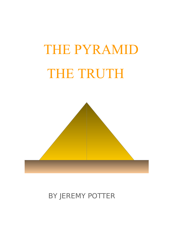# THE PYRAMID THE TRUTH



# BY JEREMY POTTER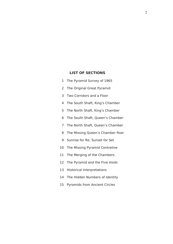# **LIST OF SECTIONS**

- 1 The Pyramid Survey of 1965
- 2 The Original Great Pyramid
- 3 Two Corridors and a Floor
- 4 The South Shaft, King's Chamber
- 5 The North Shaft, King's Chamber
- 6 The South Shaft, Queen's Chamber
- 7 The North Shaft, Queen's Chamber
- 8 The Missing Queen's Chamber floor
- 9 Sunrise for Re, Sunset for Set
- 10 The Missing Pyramid Centreline
- 11 The Merging of the Chambers
- 12 The Pyramid and the Five Voids
- 13 Historical Interpretations
- 14 The Hidden Numbers of Identity
- 15 Pyramids from Ancient Circles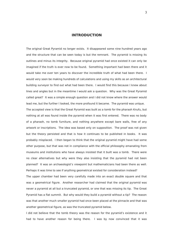# **INTRODUCTION**

The original Great Pyramid no longer exists. It disappeared some nine hundred years ago and the structure that can be seen today is but the remnant. The pyramid is missing its outlines and minus its integrity. Because original pyramid had once existed it can only be imagined if the truth is ever now to be found. Something important had been there and it would take me over ten years to discover the incredible truth of what had been there. I would very soon be making hundreds of calculations and using my skills as an architectural building surveyor to find out what had been there. I would find this because I knew about lines and angles but in the meantime I would ask a question. Why was the Great Pyramid called great? It was a simple enough question and I did not know where the answer would lead me, but the further I looked, the more profound it became. The pyramid was unique. The accepted view is that the Great Pyramid was built as a tomb for the pharaoh Knufu, but nothing at all was found inside the pyramid when it was first entered. There was no body of a pharaoh, no tomb furniture, and nothing anywhere except bare walls, free of any artwork or inscriptions. The idea was based only on supposition. The proof was not given but the theory persisted and that is how it continues to be published in books. It was probably misplaced. I then began to think that the original pyramid might have had some other purpose, but that was not in compliance with the official philosophy emanating from museums and institutions who have always insisted that it built was a tomb. There were no clear alternatives but why were they also insisting that the pyramid had not been planned? It was an archaeologist's viewpoint but mathematicians had been there as well. Perhaps it was time to see if anything geometrical existed for consideration instead?

The upper chamber had been very carefully made into an exact double square and that was a geometrical figure. Another researcher had claimed that the original pyramid was never a pyramid at all but a truncated pyramid, or one that was missing its tip. The Great Pyramid has a flat summit. But why would they build a pyramid without a tip? The reason was that another much smaller pyramid had once been placed at the pinnacle and that was another geometrical figure, as was the truncated pyramid below.

I did not believe that the tomb theory was the reason for the pyramid's existence and it had to have another reason for being there. I was by now convinced that it was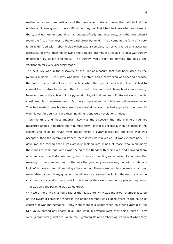mathematical and geometrical, and that was when I started down the path to find the evidence. It was going to be a difficult journey but first I had to know what was already there, and not just in general terms, but specifically and accurately, and that was when I found the first of the keys to the original Great Pyramid. It had come in the form of a very large folder tied with ribbon inside which was a complete set of very large and accurate architectural style drawings showing the detailed interior, the result of a post-war survey undertaken by Italian engineers. The survey would soon be forming the basis and verification for every discovery made.

The next key was in the discovery of the unit of measure that had been used by the pyramid builders. The survey was done in metres, and a conversion was needed because the French metre did not exist at the time when the pyramid was built. The unit had to convert from metres to feet, and then from feet to the unit used. Many books have already been written on the subject of the pyramid units, with all manner of different kinds of units considered, but the answer was in fact very simple when the right assumptions were made. That had made it possible to know the original distances that had applied at the pyramid when it was first built and the resulting dimensions were revelations indeed.

Then the third and most important key was the discovery that the planners had not measured angles in degrees but in number form. If that is accepted, then distances in the correct unit could be found from angles inside a pyramid triangle, and once that was accepted, then the pyramid distances themselves were revealed. It was extraordinary. It gave me the feeling that I was actually looking into minds of those who lived many thousands of years ago, and I was seeing these things with their eyes, and knowing them after eons of time had come and gone. It was a humbling experience. I could see the meaning in the numbers, and in the way the geometry was working out with a fabulous logic of its own as I found one thing after another. These were people who knew what they were talking about. Many questions could now be answered, including the reasons why the chambers and corridors were built in the manner they were, and in the places they were. That was why the pyramid was called great.

Why were there two chambers rather than just one? Why was the lower chamber located on the pyramid centerline whereas the upper chamber was placed offset to the south of centre? It was mathematical. Why were there four shafts when no other pyramid of the Nile Valley carried any shafts at all, and what in anycase were they doing there? They were geometrical guidelines. Were the Egyptologists and archaeologists correct when they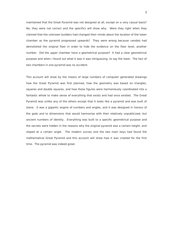maintained that the Great Pyramid was not designed at all, except on a very casual basis? No, they were not correct and the specifics will show why. Were they right when they claimed that the unknown builders had changed their minds about the location of the lower chamber as the pyramid progressed upwards? They were wrong because vandals had demolished the original floor in order to hide the evidence on the floor level, another number. Did the upper chamber have a geometrical purpose? It had a clear geometrical purpose and when I found out what it was it was intrigueuing, to say the least. The fact of two chambers in one pyramid was no accident.

This account will show by the means of large numbers of computer generated drawings how the Great Pyramid was first planned, how the geometry was based on triangles, squares and double squares, and how these figures were harmoniously coordinated into a fantastic whole to make sense of everything that exists and had once existed. The Great Pyramid was unlike any of the others except that it looks like a pyramid and was built of stone. It was a gigantic engine of numbers and angles, and it was designed in honour of the gods and to dimensions that would harmonise with their relatively unpublicized, but ancient numbers of identity. Everything was built to a specific geometrical purpose and the secrets were hidden in the reasons why the original pyramid was a certain height, and sloped at a certain angle. The modern survey and the two main keys had found the mathematical Great Pyramid and this account will show how it was created for the first time. The pyramid was indeed great.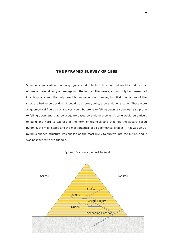# **THE PYRAMID SURVEY OF 1965**

Somebody, somewhere, had long ago decided to build a structure that would stand the test of time and would carry a message into the future. The message could only be transmitted in a language and the only possible language was number, but first the nature of the structure had to be decided. It could be a tower, cube, a pyramid, or a cone. These were all geometrical figures but a tower would be prone to falling down, a cube was also prone to falling down, and that left a square based pyramid or a cone. A cone would be difficult to build and hard to express in the form of triangles and that left the square based pyramid, the most stable and the most practical of all geometrical shapes. That was why a pyramid-shaped structure was chosen as the most likely to survive into the future, and it was best suited to the triangle.

#### Pyramid Section seen East to West.

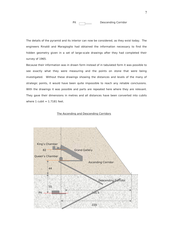

Pit **Descending Corridor** 

The details of the pyramid and its interior can now be considered, as they exist today. The engineers Rinaldi and Maragioglio had obtained the information necessary to find the hidden geometry given in a set of large-scale drawings after they had completed their survey of 1965.

Because their information was in drawn form instead of in tabulated form it was possible to see exactly what they were measuring and the points on stone that were being investigated. Without these drawings showing the distances and levels of the many of strategic points, it would have been quite impossible to reach any reliable conclusions. With the drawings it was possible and parts are repeated here where they are relevant. They gave their dimensions in metres and all distances have been converted into cubits where  $1$  cubit =  $1.7181$  feet.

#### The Ascending and Descending Corridors

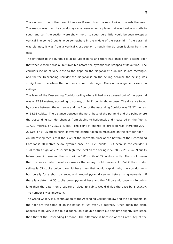The section through the pyramid was as if seen from the east looking towards the west. The reason was that the corridor systems were all on a plane that was basically north to south and so if the section were shown north to south very little would be seen except a vertical line some 2 cubits wide somewhere in the middle of the pyramid. If the pyramid was planned, it was from a vertical cross-section through the tip seen looking from the east.

The entrance to the pyramid is at its upper parts and there had once been a stone door that when closed it was all but invisible before the pyramid was stripped of its outline. The corridors incline at very close to the slope on the diagonal of a double square rectangle, and for the Descending Corridor the diagonal is on the ceiling because the ceiling was straight and true where the floor was prone to damage. Many other alignments were on ceilings.

The level of the Descending Corridor ceiling where it had once passed out of the pyramid was at 17.92 metres, according to survey, or 34.21 cubits above base. The distance found by survey between the entrance and the floor of the Ascending Corridor was 28.27 metres, or 53.98 cubits. The distance between the north base of the pyramid and the point where the Descending Corridor changes from sloping to horizontal, and measured on the floor is 107.39 metres, or 205.05 cubits. The point of change of direction was therefore 220 – 205.05, or 14.95 cubits north of pyramid centre, taken as measured on the corridor floor. An interesting fact is that the level of the horizontal floor at the bottom of the Descending Corridor is 30 metres below pyramid base, or 57.28 cubits. But because the corridor is 1.20 metres high, or 2.29 cubits high, the level on the ceiling is  $57.28 - 2.29 = 54.99$  cubits below pyramid base and that is to within 0.01 cubits of 55 cubits exactly. That could mean that this was a datum level as close as the survey could measure it. But if the corridor ceiling is 55 cubits below pyramid base then that would explain why the corridor runs horizontally for a short distance, and around pyramid centre, before rising upwards. If there is a datum at 55 cubits below pyramid base and the full pyramid base is 440 cubits long then the datum on a square of sides 55 cubits would divide the base by 8 exactly. The number 8 was important.

The Grand Gallery is a continuation of the Ascending Corridor below and the alignments on the floor are the same at an inclination of just over 26 degrees. Once again the slope appears to be very close to a diagonal on a double square but this time slightly less steep than that of the Descending Corridor. The difference is because of the Great Step at the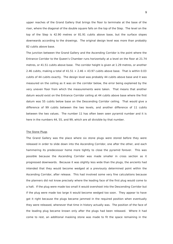upper reaches of the Grand Gallery that brings the floor to terminate at the base of the riser, where the diagonal of the double square falls on the top of the Step. The level on the top of the Step is 42.90 metres or 81.91 cubits above base, but the surface slopes downwards according to the drawings. The original design level was more than probably 82 cubits above base.

The junction between the Grand Gallery and the Ascending Corridor is the point where the Entrance Corridor to the Queen's Chamber runs horizontally at a level on the floor at 21.74 metres, or 41.51 cubits above base. The corridor height is given at 1.29 metres, or another 2.46 cubits, making a total of  $41.51 + 2.46 = 43.97$  cubits above base. That is within 0.03 cubits of 44 cubits exactly. The design level was probably 44 cubits above base and it was measured on the ceiling as it was on the corridor below, the error being explained by the very uneven floor from which the measurements were taken. That means that another datum would exist on the Entrance Corridor ceiling at 44 cubits above base where the first datum was 55 cubits below base on the Descending Corridor ceiling. That would give a difference of 99 cubits between the two levels, and another difference of 11 cubits between the two values. The number 11 has often been seen pyramid number and it is here in the numbers 44, 55, and 99, which are all divisible by that number.

#### The Stone Plugs

The Grand Gallery was the place where six stone plugs were stored before they were released in order to slide down into the Ascending Corridor, one after the other, and each hammering its predecessor home more tightly to close the pyramid forever. This was possible because the Ascending Corridor was made smaller in cross section as it progressed downwards. Because it was slightly less wide than the plugs, the ancients had intended that they would become wedged at a previously determined point within the Ascending Corridor, after release. This had involved some very fine calculations because the planners did not know precisely where the leading face of the first plug would come to a halt. If the plug were made too small it would overshoot into the Descending Corridor but if the plug were made too large it would become wedged too soon. They appear to have got it right because the plugs became jammed in the required position when eventually they were released, whenever that time in history actually was. The position of the face of the leading plug became known only after the plugs had been released. Where it had come to rest, an additional masking stone was made to fit the space remaining in the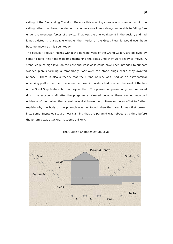ceiling of the Descending Corridor. Because this masking stone was suspended within the ceiling rather than being bedded onto another stone it was always vulnerable to falling free under the relentless forces of gravity. That was the one weak point in the design, and had it not existed it is arguable whether the interior of the Great Pyramid would ever have become known as it is seen today.

The peculiar, regular, niches within the flanking walls of the Grand Gallery are believed by some to have held timber beams restraining the plugs until they were ready to move. A stone ledge at high level on the east and west walls could have been intended to support wooden planks forming a temporarily floor over the stone plugs, while they awaited release. There is also a theory that the Grand Gallery was used as an astronomical observing platform at the time when the pyramid builders had reached the level of the top of the Great Step feature, but not beyond that. The planks had presumably been removed down the escape shaft after the plugs were released because there was no recorded evidence of them when the pyramid was first broken into. However, in an effort to further explain why the body of the pharaoh was not found when the pyramid was first broken into, some Egyptologists are now claiming that the pyramid was robbed at a time before the pyramid was attacked. It seems unlikely.



#### The Queen's Chamber Datum Level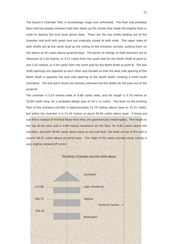The Queen's Chamber floor is exceedingly rough and unfinished. The floor had probably been laid but people unknown had later taken up the stones that made the original floor in order to destroy the built level above base. There are the two shafts leading out of the chamber and built with great care but originally closed at both ends. The upper sides of both shafts are at the same level as the ceiling of the entrance corridor, putting them on the datum at 44 cubits above pyramid base. The points of change of shaft direction are at distances of 2.29 metres, or 4.37 cubits from the south wall for the South Shaft at point A, and 2.25 metres, or 4.29 cubits from the north wall for the North Shaft at point B. The two shaft openings are opposite to each other and handed so that the west side opening of the North Shaft is opposite the east side opening of the South Shaft, creating a north-south centreline. The exit point levels are entirely unknown but the shafts do not pass out of the pyramid.

The chamber is 5.23 metres wide or 9.98 cubits wide, and the length is 5.76 metres or 10.99 cubits long, for a probable design plan of  $10 \times 11$  cubits. The level on the existing floor of the entrance corridor is approximately 21.74 metres above base or 41.51 cubits. but within the chamber it is 21.19 metres or about 40.46 cubits above base. If these are sub-floors instead of finished floors then they are geometrically meaningless. The height to the top of the east wall is 4.69 metres measured on the floor, for 8.95 cubits above the sub-floor, and with 40.46 cubits above base on the sub-floor, the level on top of the wall is around 49.41 cubits above pyramid base. The ridge of the oddly pitched stone ceiling is very slightly skewed off centre.

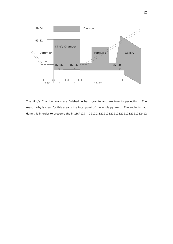

The King's Chamber walls are finished in hard granite and are true to perfection. The reason why is clear for this area is the focal point of the whole pyramid. The ancients had done this in order to preserve the inteì¥Á127 1212ð¿12121212121212121212121212·j12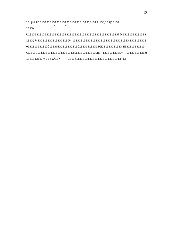13bjbjUU131313131313131313131313131313131313 13ûJ137|13137| 1313s

U131313131313131313131313131313131313131313131313131313ÿÿ¤13131313131313 1313ÿÿ¤131313131313131313ÿÿ¤1313131313131313131313131313131313l1313131313 ô131313131313ô1313ô131313131313ô131313131313Œ131313131313Œ131313131313 Œ1313µ1313131313131313131313X131313131313Lm 1313131313Lm 1313131313Lm 138131313"m 134ì¥Á137 1313ð¿13131313131313131313131313·j13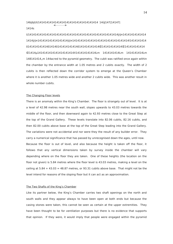# 14bjbjUU141414141414141414141414141414141414 14ûJ147|14147| 1414s

U141414141414141414141414141414141414141414141414141414ÿÿ¤14141414141414 1414ÿÿ¤141414141414141414ÿÿ¤1414141414141414141414141414141414l1414141414 ô141414141414ô1414ô141414141414ô141414141414Œ141414141414Œ141414141414 Œ1414µ1414141414141414141414X141414141414Lm 1414141414Lm 1414141414Lm 148141414, m 144acred to the pyramid geometry. The cubit was ratified once again within the chamber by the entrance width at 1.05 metres and 2 cubits exactly. The width of 2 cubits is then reflected down the corridor system to emerge at the Queen's Chamber where it is another 1.05 metres wide and another 2 cubits wide. This was another result in whole number cubits.

#### The Changing Floor levels

There is an anomaly within the King's Chamber. The floor is strangely out of level. It is at a level of 42.98 metres near the south wall, slopes upwards to 43.03 metres towards the middle of the floor, and then downward again to 42.93 metres close to the Great Step at the top of the Grand Gallery. These levels translate into 82.06 cubits, 82.16 cubits, and then 82.00 cubits above base at the top of the Great Step leading into the Grand Gallery. The variations were not accidental and nor were they the result of any builder error. They carry a numerical significance that has passed by unrecognised down the ages, until now. Because the floor is out of level, and also because the height is taken off the floor, it follows that any vertical dimensions taken by survey inside the chamber will vary depending where on the floor they are taken. One of these heights (the location on the floor not given) is 5.84 metres where the floor level is 43.03 metres, making a level on the ceiling at  $5.84 + 43.03 = 48.87$  metres, or  $93.31$  cubits above base. That might not be the level intend for reasons of the sloping floor but it can act as an approximation.

## The Two Shafts of the King's Chamber

Like its partner below, the King's Chamber carries two shaft openings on the north and south walls and they appear always to have been open at both ends but because the casing stones were taken, this cannot be seen as certain at the upper extremities. They have been thought to be for ventilation purposes but there is no evidence that supports that opinion. If they were, it would imply that people were engaged within the pyramid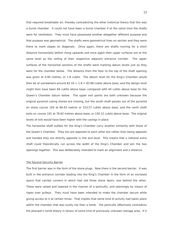that required breathable air, thereby contradicting the other historical theory that this was a burial chamber. It could not have been a burial chamber if at the same time the shafts were for ventilation. They must have possessed another altogether different purpose and that purpose was geometrical. The shafts were geometrical lines on section and they were there to mark slopes on diagonals. Once again, there are shafts running for a short distance horizontally before rising upwards and once again their upper surfaces are at the same level as the ceiling of their respective adjacent entrance corridor. The upper surfaces of the horizontal sections of the shafts were marking datum levels just as they were for the chamber below. The distance from the floor to the top of the shaft opening was given at 0.94 metres, or 1.8 cubits. The datum level for the King's Chamber would then be at somewhere around  $82.16 + 1.8 = 83.96$  cubits above base, and the design level might then have been 84 cubits above base, compared with 44 cubits above base for the Queen's Chamber datum below. The upper exit points are both unknown because the original pyramid casing stones are missing, but the south shaft passes out of the pyramid on stone course 104 at 80.43 metres or 153.57 cubits above base, and the north shaft exits on course 101 at 78.62 metres above base, or 150.12 cubits above base. The original levels of exit would have been higher with the casings in place.

The horizontal shaft outlets for the King's Chamber carry another similarity with those of the Queen's Chamber. They too are opposite to each other but rather than being opposite and handed they are directly opposite in line and level. This means that a notional extra shaft could theoretically run across the width of the King's Chamber and join the two openings together. This was deliberately intended to mark an alignment and a distance.

#### The Second Security Barrier

The first barrier was in the form of the stone plugs. Now there is the second barrier. It was built in the entrance corridor leading into the King's Chamber in the form of an enclosed space that carried runners in which had slid three stone doors, one behind the other. These were raised and lowered in the manner of a portcullis, and seemingly by means of ropes over pulleys. They must have been intended to make the chamber secure while giving access to it at certain times. That implies that some kind of activity had taken place within the chamber that was surely not then a tomb. The portcullis effectively contradicts the pharaoh's tomb theory in favour of some kind of previously unknown storage area. If it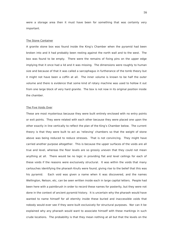were a storage area then it must have been for something that was certainly very important.

#### The Stone Container

A granite stone box was found inside the King's Chamber when the pyramid had been broken into and it had probably been resting against the north wall and to the west. The box was found to be empty. There were the remains of fixing pins on the upper edge implying that it once had a lid and it was missing. The dimensions were roughly to human size and because of that it was called a sarcophagus in furtherance of the tomb theory but it might not have been a coffin at all. The inner volume is known to be half the outer volume and there is evidence that some kind of rotary machine was used to hollow it out from one large block of very hard granite. The box is not now in its original position inside the chamber.

#### The Five Voids Over

These are most mysterious because they were built entirely enclosed with no entry points or exit points. They were related with each other because they were placed one upon the other exactly in line vertically to reflect the plan of the King's Chamber below. The current theory is that they were built to act as 'relieving' chambers so that the weight of stone above was being reduced to reduce stresses. That is not convincing. They might have carried another purpose altogether. This is because the upper surfaces of the voids are all true and level, whereas the floor levels are so grossly uneven that they could not mean anything at all. There would be no logic in providing flat and level ceilings for each of these voids if the reasons were exclusively structural. It was within the voids that many cartouches identifying the pharaoh Knufu were found, giving rise to the belief that this was his pyramid. Each void was given a name when it was discovered, and the names Wellington, Nelson, etc, can be seen written inside each in large capital letters. People had been here with a paintbrush in order to record these names for posterity, but they were not done in the context of ancient pyramid history. It is uncertain why the pharaoh would have wanted to name himself for all eternity inside these buried and inaccessible voids that nobody would ever see if they were built exclusively for structural purposes. Nor can it be explained why any pharaoh would want to associate himself with these markings in such crude locations. The probability is that they mean nothing at all but that the levels on the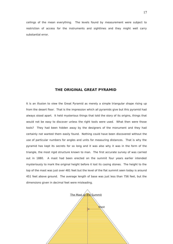ceilings of the mean everything. The levels found by measurement were subject to restriction of access for the instruments and sightlines and they might well carry substantial error.

# **THE ORIGINAL GREAT PYRAMID**

It is an illusion to view the Great Pyramid as merely a simple triangular shape rising up from the desert floor. That is the impression which all pyramids give but this pyramid had always stood apart. It held mysterious things that told the story of its origins, things that would not be easy to discover unless the right tools were used. What then were those tools? They had been hidden away by the designers of the monument and they had certainly not wanted them easily found. Nothing could have been discovered without the use of particular numbers for angles and units for measuring distances. That is why the pyramid has kept its secrets for so long and it was also why it was in the form of the triangle, the most rigid structure known to man. The first accurate survey of was carried out in 1880. A mast had been erected on the summit four years earlier intended mysteriously to mark the original height before it lost its casing stones. The height to the top of the mast was just over 481 feet but the level of the flat summit seen today is around 451 feet above ground. The average length of base was just less than 756 feet, but the dimensions given in decimal feet were misleading.

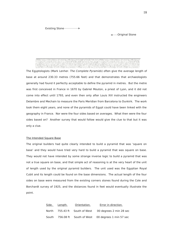Original Stone

The Egyptologists (Mark Lenher. The Complete Pyramids) often give the average length of base at around 230.33 metres (755.66 feet) and that demonstrates that archaeologists generally had found it perfectly acceptable to define the pyramid in metres. But the metre was first conceived in France in 1670 by Gabriel Mouton, a priest of Lyon, and it did not come into effect until 1793, and even then only after Louis XVI instructed the engineers Delambre and Mechain to measure the Paris Meridian from Barcelona to Dunkirk. The work took them eight years, and none of the pyramids of Egypt could have been linked with the geography in France. Nor were the four sides based on averages. What then were the four sides based on? Another survey that would follow would give the clue to that but it was only a clue.

#### The Intended Square Base

The original builders had quite clearly intended to build a pyramid that was 'square on base' and they would have tried very hard to build a pyramid that was square on base. They would not have intended by some strange inverse logic to build a pyramid that was not a true square on base, and that simple act of reasoning is at the very heart of the unit of length used by the original pyramid builders. The unit used was the Egyptian Royal Cubit and its length could be found on the base dimensions. The actual length of the four sides on base were measured from the existing corners stones found during the Cole and Borchardt survey of 1925, and the distances found in feet would eventually illustrate the point.

|       | Side. Length. | Orientation. | Error in direction.                                   |
|-------|---------------|--------------|-------------------------------------------------------|
|       |               |              | North 755.43 ft South of West 00 degrees 2 min 28 sec |
| South |               |              | 756.08 ft South of West 00 degrees 1 min 57 sec       |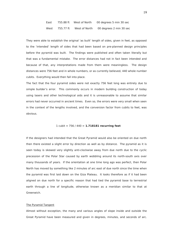East 755.88 ft West of North 00 degrees 5 min 30 sec West 755.77 ft West of North 00 degrees 2 min 30 sec

They were able to establish the original 'as built' length of sides, given in feet, as opposed to the 'intended' length of sides that had been based on pre-planned design principles before the pyramid was built. The findings were published and often taken literally but that was a fundamental mistake. The error distances had not in fact been intended and because of that, any interpretations made from them were meaningless. The design distances were 756 feet and in whole numbers, or as currently believed, 440 whole number cubits. Everything would then fall into place.

The fact that the four pyramid sides were not exactly 756 feet long was entirely due to simple builder's error. This commonly occurs in modern building construction of today using lasers and other technological aids and it is unreasonable to assume that similar errors had never occurred in ancient times. Even so, the errors were very small when seen in the context of the lengths involved, and the conversion factor from cubits to feet, was obvious.

#### 1 cubit = 756 / 440 = **1.718181 recurring feet**

If the designers had intended that the Great Pyramid would also be oriented on due north then there existed a slight error by direction as well as by distance. The pyramid as it is seen today is skewed very slightly anti-clockwise away from due north due to the cyclic precession of the Polar Star caused by earth wobbling around its north-south axis over many thousands of years. If the orientation at one time long ago was perfect, then Polar North has moved by something like 2 minutes of arc east of due north since the time when the pyramid was first laid down on the Giza Plateau. It looks therefore as if it had been aligned on due north for a specific reason that had tied the pyramid base to terrestrial earth through a line of longitude, otherwise known as a meridian similar to that at Greenwich.

#### The Pyramid Tangent

Almost without exception, the many and various angles of slope inside and outside the Great Pyramid have been measured and given in degrees, minutes, and seconds of arc.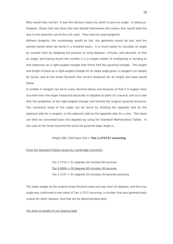Why would they not be? It was the obvious means by which to give an angle. In doing so, however, those that had done this had denied themselves the means that would lead the way to the essential use of the unit cubit. They had not used tangents!

Without tangents, the numerology would be lost, the geometry would be lost, and the secrets would never be found in a hundred years. It is much easier to calculate an angle by number than by adopting the process of using degrees, minutes, and seconds, to find an angle, and having found the number it is a simple matter of multiplying or dividing to find distances on a right-angled triangle that forms half the pyramid triangle. The height and length of base on a right-angled triangle for its slope angle given in tangent can readily be found, and at the Great Pyramid, the correct distances for its height and base would follow.

A number in tangent can be to many decimal places and because of that it is hugely more accurate than the angle measured physically in degrees to parts of a second, and so it was that the properties of the right-angled triangle had formed the original pyramid structure. The numerical value of the angle can be found by dividing the opposite side by the adjacent side for a tangent, or the adjacent side by the opposite side for a sine. The result can then be converted back into degrees by using the Standard Mathematical Tables. In the case of the Great Pyramid the value for pyramid slope angle is...

#### Height 280 / Half base 220 = **Tan 1.272727 recurring**

#### From the Standard Tables issued by Cambridge University

Tan  $1.2723 = 51$  degrees 50 minutes 00 seconds Tan  $0.0004 = 00$  degrees 00 minutes 30 seconds Tan  $1.2727 = 51$  degrees 50 minutes 30 seconds precisely

The slope angles at the original Great Pyramid were just less than 52 degrees, and the true angle was confirmed in the value of Tan 1.2727 recurring, a number that was geometrically unique for other reasons, and that will be demonstrated later.

#### The Area to Height of one Sloping Side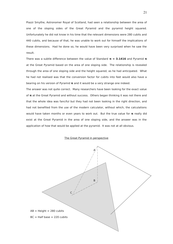Piazzi Smythe, Astronomer Royal of Scotland, had seen a relationship between the area of one of the sloping sides of the Great Pyramid and the pyramid height squared. Unfortunately he did not know in his time that the relevant dimensions were 280 cubits and 440 cubits, and because of that, he was unable to work out for himself the implications of these dimensions. Had he done so, he would have been very surprised when he saw the result.

There was a subtle difference between the value of Standard **π = 3.1416** and Pyramid **π** at the Great Pyramid based on the area of one sloping side. The relationship is revealed through the area of one sloping side and the height squared, as he had anticipated. What he had not realised was that the conversion factor for cubits into feet would also have a bearing on his version of Pyramid **π** and it would be a very strange one indeed.

The answer was not quite correct. Many researchers have been looking for the exact value of **π** at the Great Pyramid and without success. Others began thinking it was not there and that the whole idea was fanciful but they had not been looking in the right direction, and had not benefited from the use of the modern calculator, without which, the calculations would have taken months or even years to work out. But the true value for **π** really did exist at the Great Pyramid in the area of one sloping side, and the answer was in the application of how that would be applied at the pyramid. It was not at all obvious.

#### The Great Pyramid in perspective

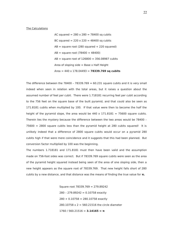#### The Calculations

AC squared  $= 280 \times 280 = 78400$  sq cubits BC squared  $= 220 \times 220 = 48400$  sq cubits  $AB = square root (280 squared + 220 squared)$  $AB =$  square root (78400 + 48400)  $AB =$  square root of  $126800 = 356.08987$  cubits Area of sloping side  $=$  Base x Half Height Area = 440 x 178.04493 = **78339.769 sq cubits**

The difference between the  $78400 - 78339.769 = 60.231$  square cubits and it is very small indeed when seen in relation with the total areas, but it raises a question about the assumed number of feet per cubit. There were 1.718181 recurring feet per cubit according to the 756 feet on the square base of the built pyramid, and that could also be seen as 171.8181 cubits when multiplied by 100. If that value were then to become the half the height of the pyramid slope, the area would be  $440 \times 171.8181 = 75600$  square cubits. Therein lies the mystery because the difference between the two areas would be 78400 – 75600 = 2800 square cubits less than the pyramid height at 280 cubits squared! It is unlikely indeed that a difference of 2800 square cubits would occur on a pyramid 280 cubits high if that were mere coincidence and it suggests that this had been planned. But conversion factor multiplied by 100 was the beginning.

The numbers 1.718181 and 171.8181 must then have been valid and the assumption made on 756-foot sides was correct. But if 78339.769 square cubits were seen as the area of the pyramid height squared instead being seen of the area of one sloping side, then a new height appears as the square root of 78339.769. That new height falls short of 280 cubits by a new distance, and that distance was the means of finding the true value for **π.**

> Square root 78339.769 = 279.89242 280 - 279.89242 =  $0.10758$  exactly  $280 + 0.10758 = 280.10758$  exactly 280.10758 x 2 = 560.21516 the circle diameter 1760 / 560.21516 = **3.14165 = π**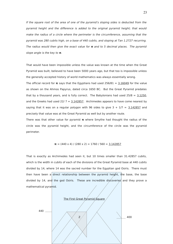If the square root of the area of one of the pyramid's sloping sides is deducted from the pyramid height and the difference is added to the original pyramid height; that would make the radius of a circle where the perimeter is the circumference, assuming that the pyramid was 280 cubits high, on a base of 440 cubits, and sloping at Tan 1.2727 recurring. The radius would then give the exact value for **π** and to 5 decimal places. The pyramid slope angle is the key to **π**.

That would have been impossible unless the value was known at the time when the Great Pyramid was built, believed to have been 5000 years ago, but that too is impossible unless the generally accepted history of world mathematics was always essentially wrong.

The official record for **π** says that the Egyptians had used  $256/81 = 3.16049$  for the value as shown on the Ahmos Papyrus, dated circa 1650 BC. But the Great Pyramid predates that by a thousand years, and is fully correct. The Babylonians had used  $25/8 = 3.1250$ , and the Greeks had used  $22/7 = 3.142857$ . Archimedes appears to have come nearest by saying that it was on a regular polygon with 96 sides to give  $3 + 1/7 = 3.142857$  and precisely that value was at the Great Pyramid as well but by another route.

There was that other value for pyramid **π** where Smythe had thought the radius of the circle was the pyramid height, and the circumference of the circle was the pyramid perimeter.

$$
\pi = (440 \times 4) / (280 \times 2) = 1760 / 560 = 3.142857
$$

That is exactly as Archimedes had seen it, but 10 times smaller than 31.42857 cubits, which is the width in cubits of each of the divisions of the Great Pyramid base at 440 cubits divided by 14, where 14 was the sacred number for the Egyptian god Osiris. There must then have been a direct relationship between the pyramid height, the base, the base divided by 14, and the god Osiris. These are incredible discoveries and they prove a mathematical pyramid.

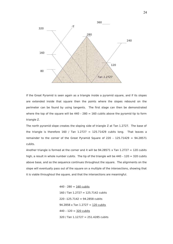

If the Great Pyramid is seen again as a triangle inside a pyramid square, and if its slopes are extended inside that square then the points where the slopes rebound on the perimeter can be found by using tangents. The first stage can then be demonstrated where the top of the square will be  $440 - 280 = 160$  cubits above the pyramid tip to form triangle Z.

The north pyramid slope creates the sloping side of triangle Z at Tan 1.2727. The base of the triangle is therefore 160 / Tan  $1.2727 = 125.71429$  cubits long. That leaves a remainder to the corner of the Great Pyramid Square of  $220 - 125.71429 = 94.28571$ cubits.

Another triangle is formed at the corner and it will be  $94.28571 \times$  Tan  $1.2727 = 120$  cubits high, a result in whole number cubits. The tip of the triangle will be  $440 - 120 = 320$  cubits above base, and so the sequence continues throughout the square. The alignments on the slope will eventually pass out of the square on a multiple of the intersections, showing that it is viable throughout the square, and that the intersections are meaningful.

> $440 - 280 = 160$  cubits 160 / Tan 1.2727 = 125.7142 cubits  $220 - 125.7142 = 94.2858$  cubits 94.2858 x Tan 1.2727 = 120 cubits  $440 - 120 = 320$  cubits 320 / Tan 1.12727 = 251.4285 cubits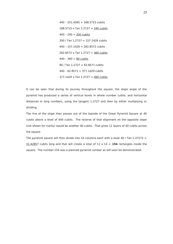$440 - 251.4285 = 188.5715$  cubits 188.5715 x Tan 1.2727 = 240 cubits  $440 - 240 = 200$  cubits 200 / Tan 1.2727 = 157.1428 cubits  $440 - 157.1428 = 282.8572$  cubits 282.8572 x Tan 1.2727 = 360 cubits  $440 - 360 = 80$  cubits 80 / Tan 1.2727 = 62.8571 cubits  $440 - 62.8571 = 377.1429$  cubits 377.1429 x Tan  $1.2727 = 480$  cubits

It can be seen that during its journey throughout the square, the slope angle of the pyramid has produced a series of vertical levels in whole number cubits, and horizontal distances in long numbers, using the tangent 1.2727 and then by either multiplying or dividing.

The line of the slope then passes out of the topside of the Great Pyramid Square at 40 cubits above a level of 440 cubits. The reverse of that alignment on the opposite slope (not shown for clarity) would be another 40 cubits. That gives 11 layers of 40 cubits across the square.

The pyramid square will then divide into 14 columns each with a base 40 / Tan  $1.27272 =$ 31.42857 cubits long and that will create a total of  $11 \times 14 = 154$  rectangles inside the square. The number 154 was a planned pyramid number as will soon be demonstrated.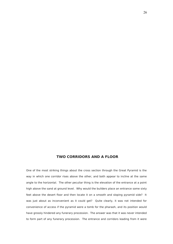# **TWO CORRIDORS AND A FLOOR**

One of the most striking things about the cross section through the Great Pyramid is the way in which one corridor rises above the other, and both appear to incline at the same angle to the horizontal. The other peculiar thing is the elevation of the entrance at a point high above the sand at ground level. Why would the builders place an entrance some sixty feet above the desert floor and then locate it on a smooth and sloping pyramid side? It was just about as inconvenient as it could get? Quite clearly, it was not intended for convenience of access if the pyramid were a tomb for the pharaoh, and its position would have grossly hindered any funerary procession. The answer was that it was never intended to form part of any funerary procession. The entrance and corridors leading from it were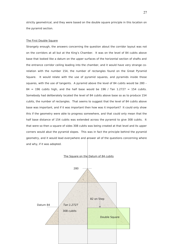strictly geometrical, and they were based on the double square principle in this location on the pyramid section.

#### The First Double Square

Strangely enough, the answers concerning the question about the corridor layout was not on the corridors at all but at the King's Chamber. It was on the level of 84 cubits above base that looked like a datum on the upper surfaces of the horizontal section of shafts and the entrance corridor ceiling leading into the chamber, and it would have very strange corelation with the number 154, the number of rectangles found on the Great Pyramid Square. It would relate with the use of pyramid squares, and pyramids inside those squares, with the use of tangents. A pyramid above the level of 84 cubits would be 280 –  $84 = 196$  cubits high, and the half base would be 196 / Tan 1.2727 = 154 cubits. Somebody had deliberately located the level of 84 cubits above base so as to produce 154 cubits, the number of rectangles. That seems to suggest that the level of 84 cubits above base was important, and if it was important then how was it important? It could only show this if the geometry were able to progress somewhere, and that could only mean that the half base distance of 154 cubits was extended across the pyramid to give 308 cubits. It that were so then a square of sides 308 cubits was being created at that level and its upper corners would abut the pyramid slopes. This was in fact the principle behind the pyramid geometry, and it would lead everywhere and answer all of the questions concerning where and why, if it was adopted.

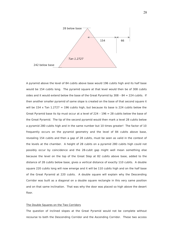

A pyramid above the level of 84 cubits above base would 196 cubits high and its half base would be 154 cubits long. The pyramid square at that level would then be of 308 cubits sides and it would extend below the base of the Great Pyramid by  $308 - 84 = 224$  cubits. If then another smaller pyramid of same slope is created on the base of that second square it will be 154 x Tan  $1.2727 = 196$  cubits high, but because its base is 224 cubits below the Great Pyramid base its tip must occur at a level of 224 – 196 = 28 cubits below the base of the Great Pyramid. The tip of the second pyramid would then mark a level 28 cubits below a pyramid 280 cubits high and in the same number but 10 times greater! The factor of 10 frequently occurs on the pyramid geometry and the level of 84 cubits above base, revealing 154 cubits and then a gap of 28 cubits, must be seen as valid in the context of the levels at the chamber. A height of 28 cubits on a pyramid 280 cubits high could not possibly occur by coincidence and the 28-cubit gap might well mean something else because the level on the top of the Great Step at 82 cubits above base, added to the distance of 28 cubits below base, gives a vertical distance of exactly 110 cubits. A double square 220 cubits long will now emerge and it will be 110 cubits high and on the half base of the Great Pyramid at 220 cubits. A double square will explain why the Descending Corridor was built as a diagonal on a double square rectangle in this very same position and on that same inclination. That was why the door was placed so high above the desert floor.

#### The Double Squares on the Two Corridors

The question of inclined slopes at the Great Pyramid would not be complete without recourse to both the Descending Corridor and the Ascending Corridor. These two access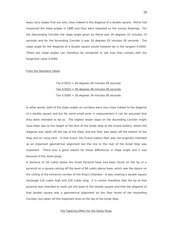ways carry slopes that are very close indeed to the diagonal of a double square. Petrie had measured the slope angles in 1880 and they were repeated on the survey drawings. For the Descending Corridor the slope angle given by Petrie was 26 degrees 31 minutes 23 seconds and for the Ascending Corridor it was 26 degrees 02 minutes 00 seconds. The slope angle for the diagonal of a double square would however be in the tangent 0.5000. These two slope angles can therefore be compared to see how they comply with the tangential value 0.5000.

#### From the Standard Tables

Tan  $0.5022 = 26$  degrees 40 minutes 00 seconds  $-Tan 0.0022 = 00$  degrees 06 minutes 00 seconds Tan  $0.5000 = 26$  degrees 34 minutes 00 seconds

In other words, both of the slope angles on corridors were very close indeed to the diagonal of a double square and but for some small error in measurement it can be assumed that they were intended to be so. The slightly lesser slope on the Ascending Corridor might have been due to the height of the face of the Great Step at the Grand Gallery, where the diagonal was taken off the top of the Step, and the floor was taken off the bottom of the Step and its rising face. In that event, the Grand Gallery floor was not originally intended as an important geometrical alignment but the line to the riser of the Great Step was important. There was a good reason for these differences in slope angle and it was because of the stone plugs.

A distance of 28 cubits below the Great Pyramid base had been found on the tip of a pyramid on a square coming off the level of 84 cubits above base, which was the datum on the ceiling of the entrance corridor of the King's Chamber. It was creating a double square rectangle 110 cubits high and 220 cubits long. It is certain therefore that the tip of that pyramid was intended to mark out the base of the double square and that the diagonal of that double square was a geometrical alignment on the floor levels of the Ascending Corridor, but taken off the important level at the top of the Great Step.

#### The Tapering Effect for the Stone Plugs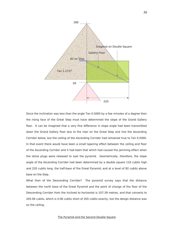

Since the inclination was less than the angle Tan 0.5000 by a few minutes of a degree then the rising face of the Great Step must have determined the slope of the Grand Gallery floor. It can be imagined that a very fine difference in slope angle had been transmitted down the Grand Gallery floor due to the riser on the Great Step and into the Ascending Corridor below, but the ceiling of the Ascending Corridor had remained true to Tan 0.5000. In that event there would have been a small tapering effect between the ceiling and floor of the Ascending Corridor and it had been that which had caused the jamming effect when the stone plugs were released to seal the pyramid. Geometrically, therefore, the slope angle of the Ascending Corridor had been determined by a double square 110 cubits high and 220 cubits long, the half-base of the Great Pyramid, and at a level of 82 cubits above base on the Step.

What then of the Descending Corridor? The pyramid survey says that the distance between the north base of the Great Pyramid and the point of change of the floor of the Descending Corridor from the inclined to horizontal is 107.39 metres, and that converts to 205.06 cubits, which is 0.06 cubits short of 205 cubits exactly, but the design distance was on the ceiling.

## The Pyramid and the Second Double Square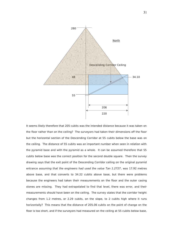

It seems likely therefore that 205 cubits was the intended distance because it was taken on the floor rather than on the ceiling? The surveyors had taken their dimensions off the floor but the horizontal section of the Descending Corridor at 55 cubits below the base was on the ceiling. The distance of 55 cubits was an important number when seen in relation with the pyramid base and with the pyramid as a whole. It can be assumed therefore that 55 cubits below base was the correct position for the second double square. Then the survey drawing says that the exit point of the Descending Corridor ceiling on the original pyramid entrance assuming that the engineers had used the value Tan 1.2727, was 17.92 metres above base, and that converts to 34.22 cubits above base, but there were problems because the engineers had taken their measurements on the floor and the outer casing stones are missing. They had extrapolated to find that level, there was error, and their measurements should have been on the ceiling. The survey states that the corridor height changes from 1.2 metres, or 2.29 cubits, on the slope, to 2 cubits high where it runs horizontally? This means that the distance of 205.06 cubits on the point of change on the floor is too short, and if the surveyors had measured on the ceiling at 55 cubits below base,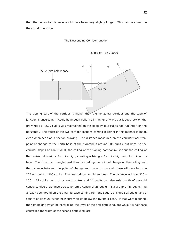then the horizontal distance would have been very slightly longer. This can be shown on the corridor junction.

#### The Descending Corridor Junction



The sloping part of the corridor is higher than the horizontal corridor and the type of junction is uncertain. It could have been built in all manner of ways but it does look on the drawings as if 2.29 cubits was maintained on the slope while 2 cubits had run into it on the horizontal. The effect of the two corridor sections coming together in this manner is made clear when seen on a section drawing. The distance measured on the corridor floor from point of change to the north base of the pyramid is around 205 cubits, but because the corridor slopes at Tan 0.5000, the ceiling of the sloping corridor must abut the ceiling of the horizontal corridor 2 cubits high, creating a triangle 2 cubits high and 1 cubit on its base. The tip of that triangle must then be marking the point of change on the ceiling, and the distance between the point of change and the north pyramid base will now become  $205 + 1$  cubit = 206 cubits. That was critical and intentional. The distance will give 220 - $206 = 14$  cubits north of pyramid centre, and 14 cubits can also exist south of pyramid centre to give a distance across pyramid centre of 28 cubits. But a gap of 28 cubits had already been found on the pyramid base coming from the square of sides 308 cubits, and a square of sides 28 cubits now surely exists below the pyramid base. If that were planned, then its height would be controlling the level of the first double square while it's half-base controlled the width of the second double square.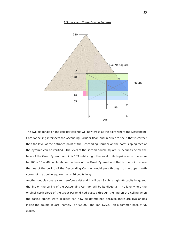#### A Square and Three Double Squares



The two diagonals on the corridor ceilings will now cross at the point where the Descending Corridor ceiling intersects the Ascending Corridor floor, and in order to see if that is correct then the level of the entrance point of the Descending Corridor on the north sloping face of the pyramid can be verified. The level of the second double square is 55 cubits below the base of the Great Pyramid and it is 103 cubits high, the level of its topside must therefore be  $103 - 55 = 48$  cubits above the base of the Great Pyramid and that is the point where the line of the ceiling of the Descending Corridor would pass through to the upper north corner of the double square that is 96 cubits long.

Another double square can therefore exist and it will be 48 cubits high, 96 cubits long, and the line on the ceiling of the Descending Corridor will be its diagonal. The level where the original north slope of the Great Pyramid had passed through the line on the ceiling when the casing stones were in place can now be determined because there are two angles inside the double square, namely Tan 0.5000, and Tan 1.2727, on a common base of 96 cubits.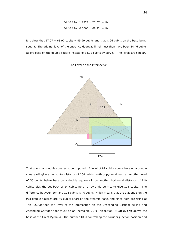34.46 / Tan 1.2727 = 27.07 cubits  $34.46$  / Tan  $0.5000 = 68.92$  cubits

It is clear that  $27.07 + 68.92$  cubits = 95.99 cubits and that is 96 cubits on the base being sought. The original level of the entrance doorway lintel must then have been 34.46 cubits above base on the double square instead of 34.22 cubits by survey. The levels are similar.

#### The Level on the Intersection



That gives two double squares superimposed. A level of 82 cubits above base on a double square will give a horizontal distance of 164 cubits north of pyramid centre. Another level of 55 cubits below base on a double square will be another horizontal distance of 110 cubits plus the set back of 14 cubits north of pyramid centre, to give 124 cubits. The difference between 164 and 124 cubits is 40 cubits, which means that the diagonals on the two double squares are 40 cubits apart on the pyramid base, and since both are rising at Tan 0.5000 then the level of the intersection on the Descending Corridor ceiling and Ascending Corridor floor must be an incredible 20 x Tan 0.5000 = **10 cubits** above the base of the Great Pyramid. The number 10 is controlling the corridor junction position and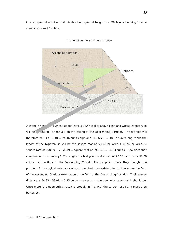it is a pyramid number that divides the pyramid height into 28 layers deriving from a square of sides 28 cubits.



#### The Level on the Shaft Intersection

A triangle now  $\frac{1}{255}$  whose upper level is 34.46 cubits above base and whose hypotenuse will be sloping at Tan 0.5000 on the ceiling of the Descending Corridor. The triangle will therefore be 34.46 - 10 = 24.46 cubits high and 24.26  $\times$  2 = 48.52 cubits long, while the length of the hypotenuse will be the square root of  $(24.46$  squared + 48.52 squared) = square root of 598.29 + 2354.19 = square root of 2952.48 = 54.33 cubits. How does that compare with the survey? The engineers had given a distance of 28.98 metres, or 53.98 cubits, on the floor of the Descending Corridor from a point where they thought the position of the original entrance casing stones had once existed, to the line where the floor of the Ascending Corridor extends onto the floor of the Descending Corridor. Their survey distance is  $54.33 - 53.98 = 0.35$  cubits greater than the geometry says that it should be. Once more, the geometrical result is broadly in line with the survey result and must then be correct.

The Half Area Condition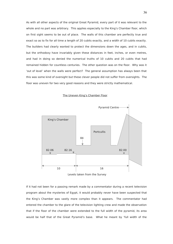As with all other aspects of the original Great Pyramid, every part of it was relevant to the whole and no part was arbitrary. This applies especially to the King's Chamber floor, which on first sight seems to be out of place. The walls of this chamber are perfectly true and exact so as to fix for all time a length of 20 cubits exactly, and a width of 10 cubits exactly. The builders had clearly wanted to protect the dimensions down the ages, and in cubits, but the orthodoxy have invariably given these distances in feet, inches, or even metres, and had in doing so denied the numerical truths of 10 cubits and 20 cubits that had remained hidden for countless centuries. The other question was on the floor. Why was it 'out of level' when the walls were perfect? The general assumption has always been that this was some kind of oversight but these clever people did not suffer from oversights. The floor was uneven for two very good reasons and they were strictly mathematical.







If it had not been for a passing remark made by a commentator during a recent television program about the mysteries of Egypt, it would probably never have been suspected that the King's Chamber was vastly more complex than it appears. The commentator had entered the chamber to the glare of the television lighting crew and made the observation that if the floor of the chamber were extended to the full width of the pyramid, its area would be half that of the Great Pyramid's base. What he meant by 'full width of the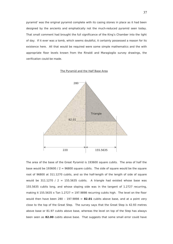pyramid' was the original pyramid complete with its casing stones in place as it had been designed by the ancients and emphatically not the much-reduced pyramid seen today. That small comment had brought the full significance of the King's Chamber into the light of day. If it ever was a tomb, which seems doubtful, it certainly possessed a reason for its existence here. All that would be required were some simple mathematics and the with appropriate floor levels known from the Rinaldi and Maragioglio survey drawings, the verification could be made.

### The Pyramid and the Half Base Area



The area of the base of the Great Pyramid is 193600 square cubits. The area of half the base would be 193600 /  $2 = 96800$  square cubits. The side of square would be the square root of 96800 at 311.1270 cubits, and so the half-length of the length of side of square would be 311.1270 / 2 = 155.5635 cubits. A triangle had existed whose base was 155.5635 cubits long, and whose sloping side was in the tangent of 1.2727 recurring, making it 155.5635 x Tan 1.2727 = 197.9898 recurring cubits high. The level on the floor would then have been 280 - 197.9898 =  $82.01$  cubits above base, and at a point very close to the top of the Great Step. The survey says that the Great Step is 42.93 metres above base or 81.97 cubits above base, whereas the level on top of the Step has always been seen as **82.00** cubits above base. That suggests that some small error could have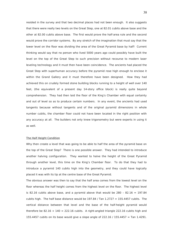resided in the survey and that two decimal places had not been enough. It also suggests that there were really two levels on the Great Step, one at 82.01 cubits above base and the other at 82.00 cubits above base. The first would prove the half-area rule and the second would prove the corridor systems. By any stretch of the imagination that must say that the lower level on the floor was dividing the area of the Great Pyramid base by half! Current thinking would say that no person who lived 5000 years ago could possibly have built the level on the top of the Great Step to such precision without recourse to modern laser leveling technology and it must then have been coincidence. The ancients had placed the Great Step with superhuman accuracy before the pyramid rose high enough to enclose it within the Grand Gallery and it must therefore have been designed. How they had achieved this on crudely formed stone building blocks running to a height of well over 140 feet, (the equivalent of a present day 14-story office block) is really quite beyond comprehension. They had then laid the floor of the King's Chamber with equal certainty and out of level so as to produce certain numbers. In any event, the ancients had used tangents because without tangents and of the original pyramid dimensions in whole number cubits, the chamber floor could not have been located in the right position with any accuracy at all. The builders not only knew trigonometry but were experts in using it as well.

### The Half Height Condition

Why then create a level that was going to be able to half the area of the pyramid base on the top of the Great Step? There is one possible answer. They had intended to introduce another halving configuration. They wanted to halve the height of the Great Pyramid through another level, this time on the King's Chamber floor. To do that they had to introduce a pyramid 140 cubits high into the geometry, and they could have logically placed it was with its tip at the centre base of the Great Pyramid.

The obvious answer was then to say that the half area comes from the lowest level on the floor whereas the half height comes from the highest level on the floor. The highest level is 82.16 cubits above base, and a pyramid above that would be  $280 - 82.16 = 197.84$ cubits high. The half base distance would be  $197.84$  / Tan  $1.2727 = 155.4457$  cubits. The vertical distance between that level and the base of the half-height pyramid would therefore be  $82.16 + 140 = 222.16$  cubits. A right-angled triangle 222.16 cubits high and 155.4457 cubits on its base would give a slope angle of 222.16 / 155.4457 = Tan 1.4291.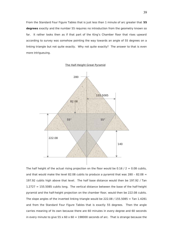From the Standard Four Figure Tables that is just less than 1 minute of arc greater that **55 degrees** exactly and the number 55 requires no introduction from the geometry known so far. It rather looks then as if that part of the King's Chamber floor that rises upward according to survey was somehow pointing the way towards an angle of 55 degrees on a linking triangle but not quite exactly. Why not quite exactly? The answer to that is even more intrigueuing.





The half height of the actual rising projection on the floor would be  $0.16 / 2 = 0.08$  cubits, and that would make the level 82.08 cubits to produce a pyramid that was  $280 - 82.08 =$ 197.92 cubits high above that level. The half base distance would then be 197.92 / Tan 1.2727 = 155.5085 cubits long. The vertical distance between the base of the half-height pyramid and the half-height projection on the chamber floor, would then be 222.08 cubits. The slope angles of the inverted linking triangle would be  $222.08 / 155.5085 =$  Tan  $1.4281$ and from the Standard Four Figure Tables that is exactly 55 degrees. Then the angle carries meaning of its own because there are 60 minutes in every degree and 60 seconds in every minute to give 55  $\times$  60  $\times$  60 = 198000 seconds of arc. That is strange because the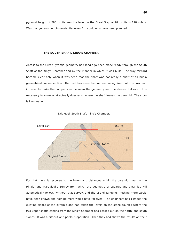pyramid height of 280 cubits less the level on the Great Step at 82 cubits is 198 cubits. Was that yet another circumstantial event? It could only have been planned.

### **THE SOUTH SHAFT, KING'S CHAMBER**

Access to the Great Pyramid geometry had long ago been made ready through the South Shaft of the King's Chamber and by the manner in which it was built. The way forward became clear only when it was seen that the shaft was not really a shaft at all but a geometrical line on section. That fact has never before been recognized but it is now, and in order to make the comparisons between the geometry and the stones that exist, it is necessary to know what actually does exist where the shaft leaves the pyramid. The story is illuminating.



#### Exit level, South Shaft, King's Chamber.

For that there is recourse to the levels and distances within the pyramid given in the Rinaldi and Maragioglio Survey from which the geometry of squares and pyramids will automatically follow. Without that survey, and the use of tangents, nothing more would have been known and nothing more would have followed. The engineers had climbed the existing slopes of the pyramid and had taken the levels on the stone courses where the two upper shafts coming from the King's Chamber had passed out on the north, and south slopes. It was a difficult and perilous operation. Then they had shown the results on their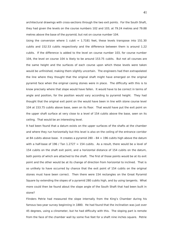architectural drawings with cross-sections through the two exit points. For the South Shaft, they had given the levels on the course numbers 102 and 103, at 79.24 metres and 79.88 metres above the base of the pyramid, but not on course number 104.

Using the conversion where 1 cubit  $= 1.7181$  feet, these levels transpose into 151.30 cubits and 152.53 cubits respectively and the difference between them is around 1.22 cubits. If the difference is added to the level on course number 103, for course number 104, the level on course 104 is likely to be around 153.75 cubits. But not all courses are the same height and the surfaces of each course upon which these levels were taken would be unfinished, making them slightly uncertain. The engineers had then extrapolated the line where they thought that the original shaft might have emerged on the original pyramid face when the original casing stones were in place. The difficulty with this is to know precisely where that slope would have fallen. It would have to be correct in terms of angle and position, for the position would vary according to pyramid height. They had thought that the original exit point on the would have been in line with stone course level 104 at 153.75 cubits above base, seen on its floor. That would have put the exit point on the upper shaft surface at very close to a level of 154 cubits above the base, seen on its ceiling. That would be an interesting level.

It had been found that a datum exists on the upper surfaces of the shafts at the chamber and where they run horizontally but this level is also on the ceiling of the entrance corridor at 84 cubits above base. It creates a pyramid  $280 - 84 = 196$  cubits high above the datum with a half-base of 196 / Tan  $1.2727 = 154$  cubits. As a result, there would be a level of 154 cubits on the shaft exit point, and a horizontal distance of 154 cubits on the datum, both points of which are attached to the shaft. The first of those points would be at its exit point and the other would be at its change of direction from horizontal to inclined. That is so unlikely to have occurred by chance that the exit point of 154 cubits on the original stones must have been correct. Then there were 154 rectangles on the Great Pyramid Square by extending the slopes of a pyramid 280 cubits high, and by using tangents. What more could then be found about the slope angle of the South Shaft that had been built in stone?

Flinders Petrie had measured the slope internally from the King's Chamber during his famous two-year survey beginning in 1880. He had found that the inclination was just over 45 degrees, using a clinometer, but he had difficulty with this. The sloping part is remote from the face of the chamber wall by some five feet for a shaft nine inches square. Petrie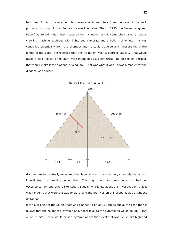had been forced to carry out his measurements remotely from the face of the wall, probably by using mirrors. Some error was inevitable. Then in 1993, the German engineer Rudolf Gantenbrink had also measured the inclination of this same shaft using a robotic crawling machine equipped with lights and cameras, and a built-in clinometer. It was controlled electrically from the chamber and he could traverse and measure the entire length of the slope. He reported that the inclination was 45 degrees exactly. That would make a lot of sense if the shaft were intended as a geometrical line on section because that would make it the diagonal of a square. That was what it was. It was a marker for the diagonal of a square.



Gantenbrink had actually measured the diagonal of a square but very strangely he had not investigated the meaning behind that. This might well have been because it had not occurred to him and others like Robert Bauval, who knew about this investigation, that it was tangents that were the way forward, and the first was on this shaft. It was a tangent of 1.0000.

If the exit point of the South Shaft was planned to be at 154 cubits above the base then it follows that the height of a pyramid above that level to the pyramid tip would be 280 – 154  $= 126$  cubits. There would exist a pyramid above that level that was 126 cubits high and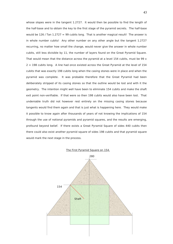whose slopes were in the tangent 1.2727. It would then be possible to find the length of the half-base and to obtain the key to the first stage of the pyramid secrets. The half-base would be 126 / Tan 1.2727 = 99 cubits long. That is another magical result! The answer is in whole number cubits! Any other number on any other angle but the tangent 1.2727 recurring, no matter how small the change, would never give the answer in whole number cubits, still less divisible by 11, the number of layers found on the Great Pyramid Square. That would mean that the distance across the pyramid at a level 154 cubits, must be 99  $x$  $2 = 198$  cubits long. A line had once existed across the Great Pyramid at the level of 154 cubits that was exactly 198 cubits long when the casing stones were in place and when the pyramid was complete. It was probable therefore that the Great Pyramid had been deliberately stripped of its casing stones so that the outline would be lost and with it the geometry. The intention might well have been to eliminate 154 cubits and make the shaft exit point non-verifiable. If that were so then 198 cubits would also have been lost. That undeniable truth did not however rest entirely on the missing casing stones because tangents would find them again and that is just what is happening here. They would make it possible to know again after thousands of years of not knowing the implications of 154 through the use of notional pyramids and pyramid squares, and the results are emerging, profound beyond belief. If there exists a Great Pyramid Square of sides 440 cubits then there could also exist another pyramid square of sides 198 cubits and that pyramid square would mark the next stage in the process.



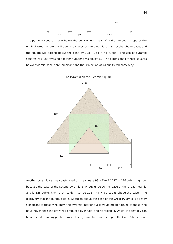

The pyramid square shown below the point where the shaft exits the south slope of the original Great Pyramid will abut the slopes of the pyramid at 154 cubits above base, and the square will extend below the base by  $198 - 154 = 44$  cubits. The use of pyramid squares has just revealed another number divisible by 11. The extensions of these squares below pyramid base were important and the projection of 44 cubits will show why.

### The Pyramid on the Pyramid Square



Another pyramid can be constructed on the square 99 x Tan  $1.2727 = 126$  cubits high but because the base of the second pyramid is 44 cubits below the base of the Great Pyramid and is 126 cubits high, then its tip must be  $126 - 44 = 82$  cubits above the base. The discovery that the pyramid tip is 82 cubits above the base of the Great Pyramid is already significant to those who know the pyramid interior but it would mean nothing to those who have never seen the drawings produced by Rinaldi and Maragioglio, which, incidentally can be obtained from any public library. The pyramid tip is on the top of the Great Step cast on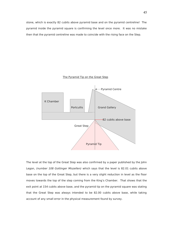stone, which is exactly 82 cubits above pyramid base and on the pyramid centreline! The pyramid inside the pyramid square is confirming the level once more. It was no mistake then that the pyramid centreline was made to coincide with the rising face on the Step.



### The Pyramid Tip on the Great Step

The level at the top of the Great Step was also confirmed by a paper published by the John Legon, (number 108 Gottinger Miszellen) which says that the level is 82.01 cubits above base on the top of the Great Step, but there is a very slight reduction in level as the floor moves towards the top of the step coming from the King's Chamber. That shows that the exit point at 154 cubits above base, and the pyramid tip on the pyramid square was stating that the Great Step was always intended to be 82.00 cubits above base, while taking account of any small error in the physical measurement found by survey.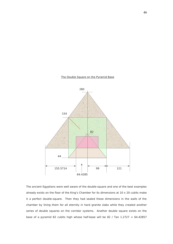



The ancient Egyptians were well aware of the double-square and one of the best examples already exists on the floor of the King's Chamber for its dimensions at  $10 \times 20$  cubits make it a perfect double-square. Then they had sealed those dimensions in the walls of the chamber by lining them for all eternity in hard granite slabs while they created another series of double squares on the corridor systems. Another double square exists on the base of a pyramid 82 cubits high whose half-base will be 82 / Tan  $1.2727 = 64.42857$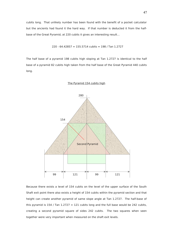cubits long. That unlikely number has been found with the benefit of a pocket calculator but the ancients had found it the hard way. If that number is deducted it from the halfbase of the Great Pyramid, at 220 cubits it gives an interesting result…

$$
220 - 64.42857 = 155.5714
$$
 cubits = 198 / Tan 1.2727

The half base of a pyramid 198 cubits high sloping at Tan 1.2727 is identical to the half base of a pyramid 82 cubits high taken from the half base of the Great Pyramid 440 cubits long.



### The Pyramid 154 cubits high

Because there exists a level of 154 cubits on the level of the upper surface of the South Shaft exit point there also exists a height of 154 cubits within the pyramid section and that height can create another pyramid of same slope angle at Tan 1.2727. The half-base of this pyramid is  $154$  / Tan  $1.2727 = 121$  cubits long and the full base would be 242 cubits, creating a second pyramid square of sides 242 cubits. The two squares when seen together were very important when measured on the shaft exit levels.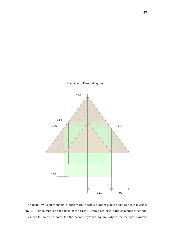

The Second Pyramid Square

The result by using tangents is once more in whole number cubits and again it is divisible by 11. The numbers on the base of the Great Pyramid are now in the sequence of 99 and 121 cubits, south to north for the second pyramid square, where for the first pyramid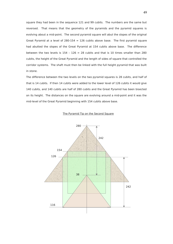square they had been in the sequence 121 and 99 cubits. The numbers are the same but reversed. That means that the geometry of the pyramids and the pyramid squares is evolving about a mid-point. The second pyramid square will abut the slopes of the original Great Pyramid at a level of  $280-154 = 126$  cubits above base. The first pyramid square had abutted the slopes of the Great Pyramid at 154 cubits above base. The difference between the two levels is  $154 - 126 = 28$  cubits and that is 10 times smaller than 280 cubits, the height of the Great Pyramid and the length of sides of square that controlled the corridor systems. The shaft must then be linked with the full height pyramid that was built in stone.

The difference between the two levels on the two pyramid squares is 28 cubits, and half of that is 14 cubits. If then 14 cubits were added to the lower level of 126 cubits it would give 140 cubits, and 140 cubits are half of 280 cubits and the Great Pyramid has been bisected on its height. The distances on the square are evolving around a mid-point and it was the mid-level of the Great Pyramid beginning with 154 cubits above base.

### The Pyramid Tip on the Second Square

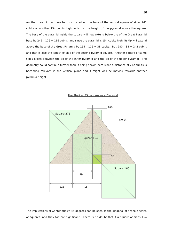Another pyramid can now be constructed on the base of the second square of sides 242 cubits at another 154 cubits high, which is the height of the pyramid above the square. The base of the pyramid inside the square will now extend below the of the Great Pyramid base by 242 - 126 = 116 cubits, and since the pyramid is 154 cubits high, its tip will extend above the base of the Great Pyramid by  $154 - 116 = 38$  cubits. But  $280 - 38 = 242$  cubits and that is also the length of side of the second pyramid square. Another square of same sides exists between the tip of the inner pyramid and the tip of the upper pyramid. The geometry could continue further than is being shown here since a distance of 242 cubits is becoming relevant in the vertical plane and it might well be moving towards another pyramid height.



### The Shaft at 45 degrees as a Diagonal

The implications of Gantenbrink's 45 degrees can be seen as the diagonal of a whole series of squares, and they too are significant. There is no doubt that if a square of sides 154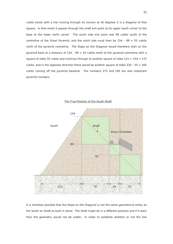cubits exists with a line running through its corners at 45 degrees it is a diagonal of that square. In that event it passes through the shaft exit point at its upper south corner to the base at the lower north corner. The south side exit point was 99 cubits south of the centreline of the Great Pyramid, and the north side must then be  $154 - 99 = 55$  cubits north of the pyramid centreline. The Slope on the Diagonal would therefore start on the pyramid base at a distance of  $154 - 99 = 55$  cubits north of the pyramid centreline with a square of sides 55 cubits and continue through to another square of sides  $121 + 154 = 275$ cubits, and in the opposite direction there would be another square of sides  $220 - 55 = 165$ cubits coming off the pyramid baseline. The numbers 275 and 165 are also important pyramid numbers.



The True Position of the South Shaft

It is remotely possible that the Slope on the Diagonal is not the same geometrical entity as the South on Shaft as built in stone. The shaft might be in a different position and if it were then the geometry would not be viable. In order to establish whether or not the two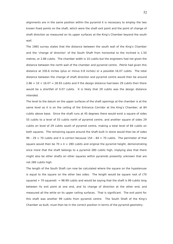alignments are in the same position within the pyramid it is necessary to employ the two known fixed points on the shaft, which were the shaft exit point and the point of change of shaft direction as measured on its upper surfaces at the King's Chamber beyond the south wall.

The 1965 survey states that the distance between the south wall of the King's Chamber and the 'change of direction' of the South Shaft from horizontal to the inclined is 1.50 metres, or 2.86 cubits. The chamber width is 10 cubits but the engineers had not given the distance between the north wall of the chamber and pyramid centre. Petrie had given this distance at 330.6 inches (plus or minus 0.8 inches) or a possible 16.07 cubits. The total distance between the change of shaft direction and pyramid centre would then be around  $2.86 + 10 + 16.07 = 28.93$  cubits and if the design distance had been 29 cubits then there would be a shortfall of 0.07 cubits. It is likely that 29 cubits was the design distance intended.

The level to the datum on the upper surfaces of the shaft openings at the chamber is at the same level as it is on the ceiling of the Entrance Corridor at the King's Chamber, at 84 cubits above base. Since the shaft runs at 45 degrees there would exist a square of sides 55 cubits to a level of 55 cubits north of pyramid centre, and another square of sides 29 cubits on level of 29 cubits south of pyramid centre, making a total level of 84 cubits on both squares. The remaining square around the shaft built in stone would then be of sides 99 - 29 = 70 cubits and it is correct because  $154 - 84 = 70$  cubits. The perimeter of that square would then be 70 x 4 = 280 cubits and original the pyramid height, demonstrating once more that the shaft belongs to a pyramid 280 cubits high, implying also that there might also be other shafts on other squares within pyramids presently unknown that are not 280 cubits high.

The length of the South Shaft can now be calculated where the square on the hypotenuse is equal to the square on the other two sides. The length would be square root of (70 squared  $+70$  squared) = 98.99 cubits and would be saying that the shaft is 99 cubits long between its exit point at one end, and its change of direction at the other end, and measured all the while on its upper ceiling surfaces. That is significant. The exit point for this shaft was another 99 cubits from pyramid centre. The South Shaft of the King's Chamber as built, must then be in the correct position in terms of the pyramid geometry.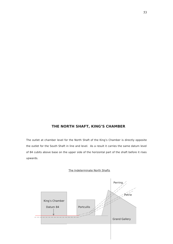# **THE NORTH SHAFT, KING'S CHAMBER**

The outlet at chamber level for the North Shaft of the King's Chamber is directly opposite the outlet for the South Shaft in line and level. As a result it carries the same datum level of 84 cubits above base on the upper side of the horizontal part of the shaft before it rises upwards.



## The Indeterminate North Shafts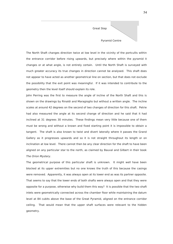

The North Shaft changes direction twice at low level in the vicinity of the portcullis within the entrance corridor before rising upwards, but precisely where within the pyramid it changes or at what angle, is not entirely certain. Until the North Shaft is surveyed with much greater accuracy its true changes in direction cannot be analysed. This shaft does not appear to have acted as another geometrical line on section, but that does not exclude the possibility that the exit point was meaningful. If it was intended to contribute to the geometry then the level itself should explain its role.

John Perring was the first to measure the angle of incline of the North Shaft and this is shown on the drawings by Rinaldi and Maragioglio but without a written angle. The incline scales at around 42 degrees on the second of two changes of direction for this shaft. Petrie had also measured the angle at its second change of direction and he said that it had inclined at 31 degrees 30 minutes. These findings mean very little because one of them must be wrong and without a known and fixed starting point it is impossible to obtain a tangent. The shaft is also known to twist and divert laterally where it passes the Grand Gallery as it progresses upwards and so it is not straight throughout its length or on inclination at low level. There cannot then be any clear direction for the shaft to have been aligned on any particular star to the north, as claimed by Bauval and Gilbert in their book The Orion Mystery.

The geometrical purpose of this particular shaft is unknown. It might well have been blocked at its upper extremities but no one knows the truth of this because the casings were removed. Apparently, it was always open at its lower end as was its partner opposite. That seems to say that the lower ends of both shafts were always open and that they were opposite for a purpose, otherwise why build them this way? It is possible that the two shaft inlets were geometrically connected across the chamber floor while maintaining the datum level at 84 cubits above the base of the Great Pyramid, aligned on the entrance corridor ceiling. That would mean that the upper shaft surfaces were relevant to the hidden geometry.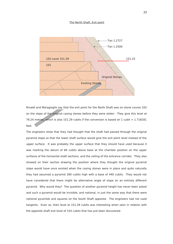### The North Shaft, Exit point



Rinaldi and Maragioglio say that the exit point for the North Shaft was on stone course 102 on the slope of the original casing stones before they were stolen. They give this level at 79.24 metres, which is also 151.29 cubits if the conversion is based on 1 cubit =  $1.718181$ feet.

The engineers show that they had thought that the shaft had passed through the original pyramid slope so that the lower shaft surface would give the exit point level instead of the upper surface. It was probably the upper surface that they should have used because it was marking the datum of 84 cubits above base at the chamber position on the upper surfaces of the horizontal shaft sections, and the ceiling of the entrance corridor. They also showed on their section drawing the position where they thought the original pyramid slope would have once existed when the casing stones were in place and quite naturally they had assumed a pyramid 280 cubits high with a base of 440 cubits. They would not have considered that there might be alternative angle of slope on an entirely different pyramid. Why would they? The question of another pyramid height has never been asked and such a pyramid would be invisible, and notional, in just the same way that there were notional pyramids and squares on the South Shaft opposite. The engineers had not used tangents. Even so, their level at 151.29 cubits was interesting when seen in relation with the opposite shaft exit level of 154 cubits that has just been discovered.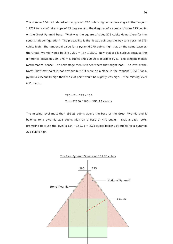The number 154 had related with a pyramid 280 cubits high on a base angle in the tangent 1.2727 for a shaft at a slope of 45 degrees and the diagonal of a square of sides 275 cubits on the Great Pyramid base. What was the square of sides 275 cubits doing there for the south shaft configuration? The probability is that it was pointing the way to a pyramid 275 cubits high. The tangential value for a pyramid 275 cubits high that on the same base as the Great Pyramid would be 275 / 220 = Tan 1.2500. Now that too is curious because the difference between 280- 275 = 5 cubits and 1.2500 is divisible by 5. The tangent makes mathematical sense. The next stage then is to see where that might lead! The level of the North Shaft exit point is not obvious but if it were on a slope in the tangent 1.2500 for a pyramid 275 cubits high then the exit point would be slightly less high. If the missing level is Z, then…

> $280 \times 7 = 275 \times 154$ Z = 442350 / 280 = **151.25 cubits**

The missing level must then 151.25 cubits above the base of the Great Pyramid and it belongs to a pyramid 275 cubits high on a base of 440 cubits. That already looks promising because the level is  $154 - 151.25 = 2.75$  cubits below 154 cubits for a pyramid 275 cubits high.

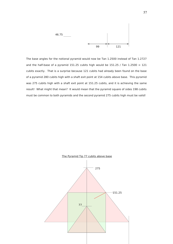

The base angles for the notional pyramid would now be Tan 1.2500 instead of Tan 1.2727 and the half-base of a pyramid 151.25 cubits high would be 151.25 / Tan  $1.2500 = 121$ cubits exactly. That is a surprise because 121 cubits had already been found on the base of a pyramid 280 cubits high with a shaft exit point at 154 cubits above base. This pyramid was 275 cubits high with a shaft exit point at 151.25 cubits, and it is achieving the same result! What might that mean? It would mean that the pyramid square of sides 198 cubits must be common to both pyramids and the second pyramid 275 cubits high must be valid!

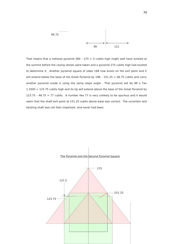

That means that a notional pyramid 280 - 275 = 5 cubits high might well have existed at the summit before the casing stones were taken and a pyramid 275 cubits high had existed to determine it. Another pyramid square of sides 198 now exists on the exit point and it will extend below the base of the Great Pyramid by  $198 - 151.25 = 46.75$  cubits and carry another pyramid inside it using the same slope angle. That pyramid will be 99  $\times$  Tan 1.2500 = 123.75 cubits high and its tip will extend above the base of the Great Pyramid by 123.75 - 46.75 = 77 cubits. A number like 77 is very unlikely to be spurious and it would seem that the shaft exit point at 151.25 cubits above base was correct. The uncertain and twisting shaft was not then important, and never had been.

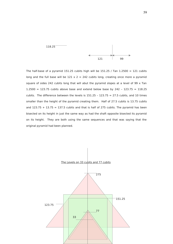

The half-base of a pyramid 151.25 cubits high will be 151.25 / Tan  $1.2500 = 121$  cubits long and the full base will be  $121 \times 2 = 242$  cubits long, creating once more a pyramid square of sides 242 cubits long that will abut the pyramid slopes at a level of 99 x Tan 1.2500 = 123.75 cubits above base and extend below base by 242 - 123.75 = 118.25 cubits. The difference between the levels is  $151.25 - 123.75 = 27.5$  cubits, and 10 times smaller than the height of the pyramid creating them. Half of 27.5 cubits is 13.75 cubits and  $123.75 + 13.75 = 137.5$  cubits and that is half of 275 cubits. The pyramid has been bisected on its height in just the same way as had the shaft opposite bisected its pyramid on its height. They are both using the same sequences and that was saying that the original pyramid had been planned.

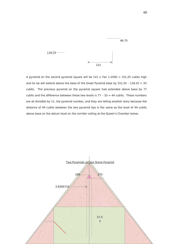

A pyramid on the second pyramid square will be  $121 \times$  Tan  $1.2500 = 151.25$  cubits high and its tip will extend above the base of the Great Pyramid base by  $151.25 - 118.25 = 33$ cubits. The previous pyramid on the pyramid square had extended above base by 77 cubits and the difference between these two levels is  $77 - 33 = 44$  cubits. These numbers are all divisible by 11, the pyramid number, and they are telling another story because the distance of 44 cubits between the two pyramid tips is the same as the level of 44 cubits above base on the datum level on the corridor ceiling at the Queen's Chamber below.

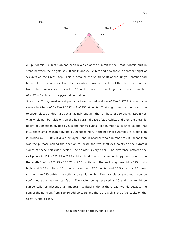

A Tip Pyramid 5 cubits high had been revealed at the summit of the Great Pyramid built in stone between the heights of 280 cubits and 275 cubits and now there is another height of 5 cubits on the Great Step. This is because the South Shaft of the King's Chamber had been able to reveal a level of 82 cubits above base on the top of the Step and now the North Shaft has revealed a level of 77 cubits above base, making a difference of another  $82 - 77 = 5$  cubits on the pyramid centreline.

Since that Tip Pyramid would probably have carried a slope of Tan 1.2727 it would also carry a half-base of 5 / Tan  $1.2727 = 3.9285716$  cubits. That might seem an unlikely value to seven places of decimals but amazingly enough, the half base of 220 cubits/ 3.9285716  $=$  56whole number divisions on the half pyramid base of 220 cubits, and then the pyramid height of 280 cubits divided by 5 is another 56 cubits. The number 56 is twice 28 and that is 10 times smaller than a pyramid 280 cubits high. If the notional pyramid 275 cubits high is divided by 3.92857 it gives 70 layers, and in another whole number result. What then was the purpose behind the decision to locate the two shaft exit points on the pyramid slopes at these particular levels? The answer is very clear. The difference between the exit points is  $154 - 151.25 = 2.75$  cubits, the difference between the pyramid squares on the North Shaft is  $151.25 - 123.75 = 27.5$  cubits, and the enclosing pyramid is 275 cubits high, and 2.75 cubits is 10 times smaller than 27.5 cubits, and 27.5 cubits is 10 times smaller than 275 cubits, the notional pyramid height. The invisible pyramid must now be confirmed as a geometrical fact. The factor being revealed is 10 and that might be symbolically reminiscent of an important spiritual entity at the Great Pyramid because the sum of the numbers from 1 to 10 add up to 55 and there are 8 divisions of 55 cubits on the Great Pyramid base.

The Right Angle on the Pyramid Slope

61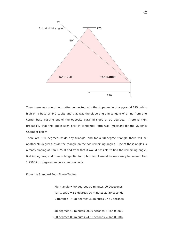

Then there was one other matter connected with the slope angle of a pyramid 275 cubits high on a base of 440 cubits and that was the slope angle in tangent of a line from one corner base passing out of the opposite pyramid slope at 90 degrees. There is high probability that this angle seen only in tangential form was important for the Queen's Chamber below.

There are 180 degrees inside any triangle, and for a 90-degree triangle there will be another 90 degrees inside the triangle on the two remaining angles. One of those angles is already sloping at Tan 1.2500 and from that it would possible to find the remaining angle, first in degrees, and then in tangential form, but first it would be necessary to convert Tan 1.2500 into degrees, minutes, and seconds.

## From the Standard Four-Figure Tables

 Right-angle = 90 degrees 00 minutes 00 00seconds Tan  $1.2500 = 51$  degrees 20 minutes 22.50 seconds Difference =  $38$  degrees 39 minutes 37 50 seconds

38 degrees 40 minutes  $00.00$  seconds = Tan  $0.8002$  $-00$  degrees 00 minutes 24.00 seconds = Tan  $0.0002$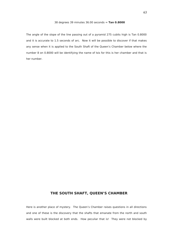## 38 degrees 39 minutes 36.00 seconds = **Tan 0.8000**

The angle of the slope of the line passing out of a pyramid 275 cubits high is Tan 0.8000 and it is accurate to 1.5 seconds of arc. Now it will be possible to discover if that makes any sense when it is applied to the South Shaft of the Queen's Chamber below where the number 8 on 0.8000 will be identifying the name of Isis for this is her chamber and that is her number.

## **THE SOUTH SHAFT, QUEEN'S CHAMBER**

Here is another place of mystery. The Queen's Chamber raises questions in all directions and one of these is the discovery that the shafts that emanate from the north and south walls were built blocked at both ends. How peculiar that is! They were not blocked by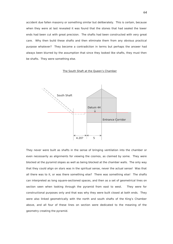accident due fallen masonry or something similar but deliberately. This is certain, because when they were at last revealed it was found that the stones that had sealed the lower ends had been cut with great precision. The shafts had been constructed with very great care. Why then build these shafts and then eliminate them from any obvious practical purpose whatever? They become a contradiction in terms but perhaps the answer had always been blurred by the assumption that since they looked like shafts, they must then be shafts. They were something else.

## The South Shaft at the Queen's Chamber



They never were built as shafts in the sense of bringing ventilation into the chamber or even necessarily as alignments for viewing the cosmos, as claimed by some. They were blocked at the pyramid slopes as well as being blocked at the chamber walls. The only way that they could align on stars was in the spiritual sense, never the actual sense! Was that all there was to it, or was there something else? There was something else! The shafts can interpreted as long square-sectioned spaces, and then as a set of geometrical lines on section seen when looking through the pyramid from east to west. They were for constructional purposes only and that was why they were built closed at both ends. They were also linked geometrically with the north and south shafts of the King's Chamber above, and all four of these lines on section were dedicated to the meaning of the geometry creating the pyramid.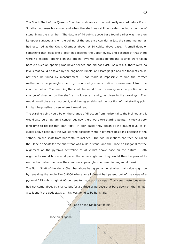The South Shaft of the Queen's Chamber is shown as it had originally existed before Piazzi Smythe had seen his vision, and when the shaft was still concealed behind a portion of stone lining the chamber. The datum of 44 cubits above base found earlier was there on its upper surfaces and on the ceiling of the entrance corridor in just the same manner as had occurred at the King's Chamber above, at 84 cubits above base. A small door, or something that looks like a door, had blocked the upper levels, and because of that there were no external opening on the original pyramid slopes before the casings were taken because such an opening was never needed and did not exist. As a result, there were no levels that could be taken by the engineers Rinaldi and Maragioglio and the tangents could not then be found by measurement. That made it impossible to find the correct mathematical slope angle except by the unwieldy means of direct measurement from the chamber below. The one thing that could be found from the survey was the position of the change of direction on the shaft at its lower extremity, as given in the drawings. That would constitute a starting point, and having established the position of that starting point it might be possible to see where it would lead.

The starting point would be on the change of direction from horizontal to the inclined and it would also be on pyramid centre, but now there were two starting points. It took a very long time to realise that stark fact. In both cases they began at the datum level of 44 cubits above base but the two starting positions were in different positions because of the setback on the shaft from horizontal to inclined. The two inclinations can then be called the Slope on Shaft for the shaft that was built in stone, and the Slope on Diagonal for the alignment on the pyramid centreline at 44 cubits above base on the datum. Both alignments would however slope at the same angle and they would then be parallel to each other. What then was the common slope angle when seen in tangential form?

The North Shaft of the King's Chamber above had given a hint at what that value might be by revealing the angle Tan 0.8000 where an alignment had passed out of the slope of a pyramid 275 cubits high at 90 degrees to the opposite slope. That very mysterious event had not come about by chance but for a particular purpose that bore down on the number 8 to identify the goddess Isis. This was going to be her shaft.

The Slope on the Diagonal for Isis

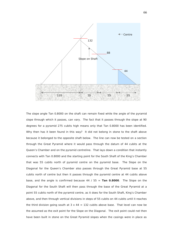

The slope angle Tan 0.8000 on the shaft can remain fixed while the angle of the pyramid slope through which it passes, can vary. The fact that it passes through the slope at 90 degrees for a pyramid 275 cubits high means only that Tan 0.8000 has been identified. Why then has it been found in this way? It did not belong in stone to the shaft above because it belonged to the opposite shaft below. The line can now be tested on a section through the Great Pyramid where it would pass through the datum of 44 cubits at the Queen's Chamber and on the pyramid centreline. That lays down a condition that instantly connects with Tan 0.8000 and the starting point for the South Shaft of the King's Chamber that was 55 cubits north of pyramid centre on the pyramid base. The Slope on the Diagonal for the Queen's Chamber also passes through the Great Pyramid base at 55 cubits north of centre but then it passes through the pyramid centre at 44 cubits above base, and the angle is confirmed because 44 / 55 = **Tan 0.8000**. The Slope on the Diagonal for the South Shaft will then pass through the base of the Great Pyramid at a point 55 cubits north of the pyramid centre, as it does for the South Shaft, King's Chamber above, and then through vertical divisions in steps of 55 cubits on 44 cubits until it reaches the third division going south at  $3 \times 44 = 132$  cubits above base. That level can now be the assumed as the exit point for the Slope on the Diagonal. The exit point could not then have been built in stone on the Great Pyramid slopes when the casings were in place as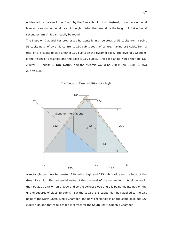evidenced by the small door found by the Gantenbrink robot. Instead, it was on a notional level on a second notional pyramid height. What then would be the height of that notional second pyramid? It can readily be found.

The Slope on Diagonal has progressed horizontally in three steps of 55 cubits from a point 55 cubits north of pyramid centre, to 110 cubits south of centre, making 165 cubits from a total of 275 cubits to give another 110 cubits on the pyramid base. The level of 132 cubits is the height of a triangle and the base is 110 cubits. The base angle would then be 132 cubits/ 110 cubits =  $Tan 1.2000$  and the pyramid would be 220 x Tan 1.2000 =  $264$ **cubits** high.



The Slope on Pyramid 264 cubits high

A rectangle can now be created 220 cubits high and 275 cubits wide on the base of the Great Pyramid. The tangential value of the diagonal of the rectangle on its slope would then be 220 / 275 = Tan 0.8000 and so the correct slope angle is being maintained on the grid of squares of sides 55 cubits. But the square 275 cubits high had applied to the exit point of the North Shaft, King's Chamber, and now a rectangle is on the same base but 220 cubits high and that would make it correct for the South Shaft, Queen's Chamber.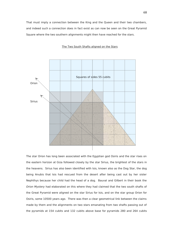That must imply a connection between the King and the Queen and their two chambers, and indeed such a connection does in fact exist as can now be seen on the Great Pyramid Square where the two southern alignments might then have reached for the stars.

### The Two South Shafts aligned on the Stars



The star Orion has long been associated with the Egyptian god Osiris and the star rises on the eastern horizon at Giza followed closely by the star Sirius, the brightest of the stars in the heavens. Sirius has also been identified with Isis, known also as the Dog Star, the dog being Anubis that Isis had rescued from the desert after being cast out by her sister Nephthys because her child had the head of a dog. Bauval and Gilbert in their book the Orion Mystery had elaborated on this where they had claimed that the two south shafts of the Great Pyramid were aligned on the star Sirius for Isis, and on the star group Orion for Osiris, some 10500 years ago. There was then a clear geometrical link between the claims made by them and the alignments on two stars emanating from two shafts passing out of the pyramids at 154 cubits and 132 cubits above base for pyramids 280 and 264 cubits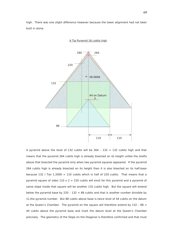high. There was one slight difference however because the lower alignment had not been built in stone.



A Tip Pyramid 16 cubits high

A pyramid above the level of 132 cubits will be  $264 - 132 = 132$  cubits high and that means that the pyramid 264 cubits high is already bisected on its height unlike the shafts above that bisected the pyramid only when two pyramid squares appeared. If the pyramid 264 cubits high is already bisected on its height then it is also bisected on its half-base because 132 / Tan  $1.2000 = 110$  cubits which is half of 220 cubits. That means that a pyramid square of sides  $110 \times 2 = 220$  cubits will exist for this pyramid and a pyramid of same slope inside that square will be another 132 cubits high. But the square will extend below the pyramid base by 220 - 132 = 88 cubits and that is another number divisible by 11,the pyramid number. But 88 cubits above base is twice level of 44 cubits on the datum at the Queen's Chamber. The pyramid on the square will therefore extend by  $132 - 88 =$ 44 cubits above the pyramid base and mark the datum level at the Queen's Chamber precisely. The geometry of the Slope on the Diagonal is therefore confirmed and that must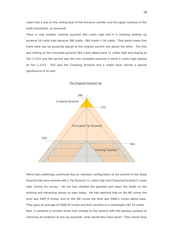mean that it was on the ceiling level of the entrance corridor and the upper surfaces of the shaft horizontals, as assumed!

There is now another notional pyramid 264 cubits high and it is marking another tip pyramid 16 cubits high because 280 cubits  $-264$  cubits  $= 16$  cubits. That would mean that there were two tip pyramids placed at the original summit one above the other. The first was resting on the truncated pyramid 264 cubits above base 11 cubits high and sloping at Tan 1.2727 and the second was the only complete pyramid in stone 5 cubits high sloping at Tan 1.2727. This was the Crowning Pyramid and it might have carried a special significance of its own.



The Original Pyramid Tip

Petrie had unwittingly confirmed that an unknown configuration at the summit of the Great Pyramid had once existed with a Tip Pyramid 11 cubits high and Crowning Pyramid 5 cubits high, during his survey. He too had climbed the pyramid and taken the levels on the existing and remaining stones as seen today. He had reported that on the NE corner the level was 5407.9 inches, and on the SW corner the level was 5409.2 inches above base. They gave an average of 5408.55 inches and that converts to a meaningful 262 33 cubits. Now, if someone in ancient times had climbed to the summit with the express purpose of removing all evidence of any tip pyramids, what would they have done? They would have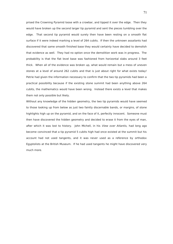prised the Crowning Pyramid loose with a crowbar, and tipped it over the edge. Then they would have broken up the second larger tip pyramid and sent the pieces tumbling over the edge. That second tip pyramid would surely then have been resting on a smooth flat surface if it were indeed marking a level of 264 cubits. If then the unknown assailants had discovered that same smooth finished base they would certainly have decided to demolish that evidence as well. They had no option once the demolition work was in progress. The probability is that the flat level base was fashioned from horizontal slabs around 3 feet thick. When all of the evidence was broken up, what would remain but a mess of uneven stones at a level of around 262 cubits and that is just about right for what exists today! Petrie had given the information necessary to confirm that the two tip pyramids had been a practical possibility because if the existing stone summit had been anything above 264 cubits, the mathematics would have been wrong. Instead there exists a level that makes them not only possible but likely.

Without any knowledge of the hidden geometry, the two tip pyramids would have seemed to those looking up from below as just two faintly discernable bands, or margins, of stone highlights high up on the pyramid, and on the face of it, perfectly innocent. Someone must then have discovered the hidden geometry and decided to erase it from the eyes of man, after which it was lost to history. John Michell, in his View over Atlantis, had long ago become convinced that a tip pyramid 5 cubits high had once existed at the summit but his account had not used tangents, and it was never used as a reference by orthodox Egyptolists at the British Museum. If he had used tangents he might have discovered very much more.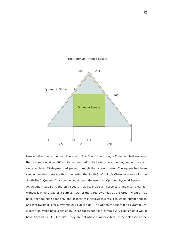

### The Optimum Pyramid Square.

Now another matter comes of interest. The South Shaft, King's Chamber, had revealed that a square of sides 165 cubits had existed on its base, where the diagonal of the shaft slope angle at 45 degrees had passed through the pyramid base. The square had been sending another message this time linking the South Shaft, King's Chamber above with the South Shaft, Queen's Chamber below, through the use of an Optimum Pyramid Square. An Optimum Square is the only square that fits inside an isosceles triangle (or pyramid) without leaving a gap or a surplus. Out of the three pyramids at the Great Pyramid that have been founds so far only one of these will achieve this result in whole number cubits and that pyramid is for a pyramid 264 cubits high! The Optimum Square for a pyramid 275 cubits high would have sides of 169.2312 cubits and for a pyramid 280 cubits high it would have sides of 171.1111 cubits. They are not whole number cubits. If the half-base of the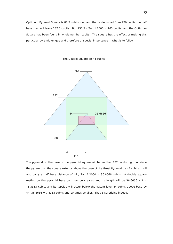Optimum Pyramid Square is 82.5 cubits long and that is deducted from 220 cubits the half base that will leave 137.5 cubits. But 137.5 x Tan  $1.2000 = 165$  cubits, and the Optimum Square has been found in whole number cubits. The square has the effect of making this particular pyramid unique and therefore of special importance in what is to follow.





The pyramid on the base of the pyramid square will be another 132 cubits high but since the pyramid on the square extends above the base of the Great Pyramid by 44 cubits it will also carry a half base distance of 44 / Tan  $1.2000 = 36.6666$  cubits. A double square resting on the pyramid base can now be created and its length will be 36.6666  $\times$  2 = 73.3333 cubits and its topside will occur below the datum level 44 cubits above base by  $44-36.6666 = 7.3333$  cubits and 10 times smaller. That is surprising indeed.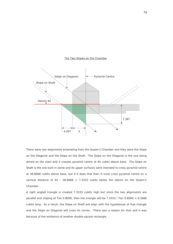

### The Two Slopes on the Chamber

There were two alignments emanating from the Queen's Chamber and they were the Slope on the Diagonal and the Slope on the Shaft. The Slope on the Diagonal is the one being aimed on the stars and it crosses pyramid centre at 44 cubits above base. The Slope on Shaft is the one built in stone and its upper surfaces were intended to cross pyramid centre at 36.6666 cubits above base, but if it does that then it must cross pyramid centre on a vertical distance of 44 - 36.6666 = 7.3333 cubits below the datum on the Queen's Chamber.

A right angled triangle is created 7.3333 cubits high but since the two alignments are parallel and sloping at Tan 0.8000, then the triangle will be 7.3333 / Tan 0.8000 =  $9.1666$ cubits long. As a result, the Slope on Shaft will align with the hypotenuse of that triangle and the Slope on Diagonal will cross its corner. There was a reason for that and it was because of the existence of another double square rectangle.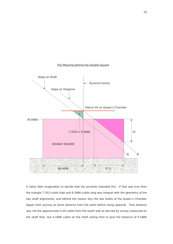# The Meaning behind the Double-Square



It takes little imagination to decide that the ancients intended this. If that was true then the triangle 7.333 cubits high and 9.1666 cubits long was integral with the geometry of the two shaft alignments, and behind the reason why the two shafts of the Queen's Chamber began their journey at some distance from the walls before rising upwards. That distance was not the approximate 4.20 cubits from the south wall as derived by survey measured on the shaft floor, but 4.1666 cubits on the shaft ceiling then to give the distance of 9.1666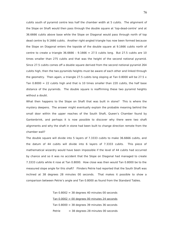cubits south of pyramid centre less half the chamber width at 5 cubits. The alignment of the Slope on Shaft would then pass through the double square at 'top-dead-centre' and at 36.6666 cubits above base while the Slope on Diagonal would pass through north of top dead centre by 9.1666 cubits. Another right-angled triangle has now been formed because the Slope on Diagonal enters the topside of the double square at 9.1666 cubits north of centre to create a triangle  $36.6666 - 9.1666 = 27.5$  cubits long. But 27.5 cubits are 10 times smaller than 275 cubits and that was the height of the second notional pyramid. Since 27.5 cubits comes off a double square derived from the second notional pyramid 264 cubits high, then the two pyramids heights must be aware of each other and linked through the geometry. Then again, a triangle 27.5 cubits long sloping at Tan 0.8000 will be 27.5  $\times$ Tan  $0.8000 = 22$  cubits high and that is 10 times smaller than 220 cubits, the half base distance of the pyramids. The double square is reaffirming these two pyramid heights without a doubt.

What then happens to the Slope on Shaft that was built in stone? This is where the mystery deepens. The answer might eventually explain the probable meaning behind the small door within the upper reaches of the South Shaft, Queen's Chamber found by Gantenbrink, and perhaps it is now possible to discover why there were two shaft alignments and why the shaft in stone had been built to change direction remote from the chamber wall?

The double square will divide into 5 layers of 7.3333 cubits to make 36.6666 cubits, and the datum of 44 cubits will divide into 6 layers of 7.3333 cubits. This piece of mathematical wizardry would have been impossible if the level of 44 cubits had occurred by chance and so it was no accident that the Slope on Diagonal had managed to create 7.3333 cubits while it rose at Tan 0.8000. How close was then would Tan 0.8000 be to the measured slope angle for this shaft? Flinders Petrie had reported that the South Shaft was inclined at 38 degrees 28 minutes 00 seconds. That makes it possible to show a comparison between Petrie's angle and Tan 0.8000 as found from the Standard Tables.

> Tan  $0.8002 = 38$  degrees 40 minutes 00 seconds Tan  $0.0002 = 00$  degrees 00 minutes 24 seconds Tan  $0.8000 = 38$  degrees 39 minutes 36 seconds Petrie  $= 38$  degrees 28 minutes 00 seconds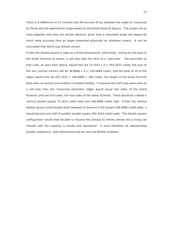There is a difference of 11 minutes and 36 seconds of arc between the angle as measured by Petrie and the geometrical angle based on the Great Pyramid Square. The angles are so close together that they are almost identical, given that a calculated angle will always be much more accurate than an angle measured physically by whatever means. It can be concluded that Petrie was almost correct.

If then the double square is seen as a three-dimensional 'solid entity' resting on the base of the Great Pyramid at centre, it will also take the form of a 'half-cube'. The perimeter of that cube, as seen from above, would then be 73.3333  $\times$  4 = 293.3333 cubits, the sum of the four vertical corners will be  $36.6666 \times 4 = 146.6666$  cubits, and the total of all of the edges would then be 293.3333 + 146.6666 = 440 cubits, the length of the Great Pyramid base seen on section and another incredible finding. If however the half-cube were seen as a full-cube then the remaining perimeter edges would equal two sides of the Great Pyramid, and two full-cubes, the four sides of the Great Pyramid. There would be created a vertical double square 73.3333 cubits wide and 146.6666 cubits high. If then the vertical double square could double itself sideways to become a full square 146.6666 cubits wide, it would become one half of another double square 293.3333 cubits wide. The double square configuration would then be able to resume the process to infinity almost like a living cell imbued with the capacity to divide and reproduce! It must therefore be representing growth, pregnancy, and motherhood and Isis was the Mother Goddess.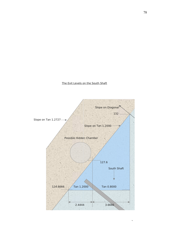# The Exit Levels on the South Shaft

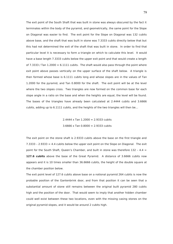The exit point of the South Shaft that was built in stone was always obscured by the fact it terminates within the body of the pyramid, and geometrically, the same point for the Slope on Diagonal was easier to find. The exit point for the Slope on Diagonal was 132 cubits above base, and the shaft that was built in stone was 7.3333 cubits directly below that but this had not determined the exit of the shaft that was built in stone. In order to find that particular level it is necessary to form a triangle on which to calculate this level. It would have a base length 7.3333 cubits below the upper exit point and that would create a length of 7.3333 / Tan  $1.2000 = 6.1111$  cubits. The shaft would also pass through the point where exit point above passes vertically on the upper surface of the shaft below. A triangle is then formed whose base is 6.1111 cubits long and whose slopes are in the values of Tan 1.2000 for the pyramid, and Tan 0.8000 for the shaft. The exit point will be at the level where the two slopes cross. Two triangles are now formed on the common base for each slope angle in a ratio on the base and when the heights are equal, the level will be found. The bases of the triangles have already been calculated at 2.4444 cubits and 3.6666 cubits, adding up to 6.1111 cubits, and the heights of the two triangles will then be…

> $2.4444 \times$  Tan  $1.2000 = 2.9333$  cubits 3.6666 x Tan 0.8000 = 2.9333 cubits

The exit point on the stone shaft is 2.9333 cubits above the base on the first triangle and  $7.3333 - 2.9333 = 4.4$  cubits below the upper exit point on the Slope on Diagonal. The exit point for the South Shaft, Queen's Chamber, and built in stone was therefore  $132 - 4.4 =$ **127.6 cubits** above the base of the Great Pyramid. A distance of 3.6666 cubits now appears and it is 10 times smaller than 36.6666 cubits, the height of the double square at the chamber position below.

The exit point level of 127.6 cubits above base on a notional pyramid 264 cubits is now the probable position of the Gantenbrink door, and from that position it can be seen that a substantial amount of stone still remains between the original built pyramid 280 cubits high and the position of the door. That would seem to imply that another hidden chamber could well exist between these two locations, even with the missing casing stones on the original pyramid slopes, and it would be around 2 cubits high.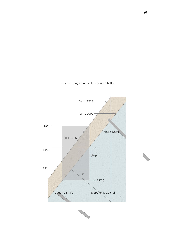



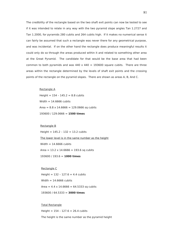The credibility of the rectangle based on the two shaft exit points can now be tested to see if it was intended to relate in any way with the two pyramid slope angles Tan 1.2727 and Tan 1.2000, for pyramids 280 cubits and 264 cubits high. If it makes no numerical sense it can fairly be assumed that such a rectangle was never there for any geometrical purpose, and was incidental. If on the other hand the rectangle does produce meaningful results it could only do so through the areas produced within it and related to something other area at the Great Pyramid. The candidate for that would be the base area that had been common to both pyramids and was  $440 \times 440 = 193600$  square cubits. There are three areas within the rectangle determined by the levels of shaft exit points and the crossing points of the rectangle on the pyramid slopes. There are shown as areas A, B, And C.

#### Rectangle A

Height =  $154 - 145.2 = 8.8$  cubits Width  $= 14.6666$  cubits Area =  $8.8 \times 14.6666 = 129.0666$  sq cubits 193600 / 129.0666 = **1500 times**

# Rectangle B Height =  $145.2 - 132 = 13.2$  cubits The lower level is in the same number as the height Width  $= 14.6666$  cubits  $Area = 13.2 \times 14.6666 = 193.6$  sq cubits 193600 / 193.6 = **1000 times**

 Rectangle C Height =  $132 - 127.6 = 4.4$  cubits Width  $= 14.6666$  cubits Area =  $4.4 \times 14.6666 = 64.5333$  sq cubits 193600 / 64.5333 = **3000 times**

### Total Rectangle

Height =  $154 - 127.6 = 26.4$  cubits

The height is the same number as the pyramid height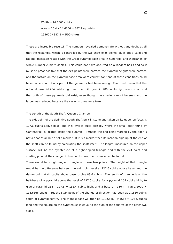Width  $= 14.6666$  cubits  $Area = 26.4 \times 14.6666 = 387.2$  sq cubits 193600 / 387.2 = **500 times**

These are incredible results! The numbers revealed demonstrate without any doubt at all that the rectangle, which is controlled by the two shaft exits points, gives out a valid and rational message related with the Great Pyramid base area in hundreds, and thousands, of whole number cubit multiples. This could not have occurred on a random basis and so it must be proof positive that the exit points were correct, the pyramid heights were correct, and the factors on the pyramid base area were correct, for none of these conditions could have come about if any part of the geometry had been wrong. That must mean that the notional pyramid 264 cubits high, and the built pyramid 280 cubits high, was correct and that both of these pyramids did exist, even though the smaller cannot be seen and the larger was reduced because the casing stones were taken.

## The Length of the South Shaft, Queen's Chamber

The exit point of the definitive South Shaft built in stone and taken off its upper surfaces is 127.6 cubits above base, and this level is quite possibly where the small door found by Gantenbrink is located inside the pyramid. Perhaps the end point marked by the door is not a door at all but a solid marker. If it is a marker then its location high up at the end of the shaft can be found by calculating the shaft itself. The length, measured on the upper surface, will be the hypotenuse of a right-angled triangle and with the exit point and starting point at the change of direction known, the distance can be found.

There would be a right-angled triangle on these two points. The height of that triangle would be the difference between the exit point level at 127.6 cubits above base, and the datum point at 44 cubits above base to give 83.6 cubits. The length of triangle is on the half-base of a pyramid above the level of 127.6 cubits for a pyramid 264 cubits high, to give a pyramid 264 - 127.6 = 136.4 cubits high, and a base of 136.4 / Tan 1.2000 = 113.6666 cubits. But the start point of the change of direction had been at 9.1666 cubits south of pyramid centre. The triangle base will then be  $113.6666 - 9.1666 = 1045$  cubits long and the square on the hypotenuse is equal to the sum of the squares of the other two sides.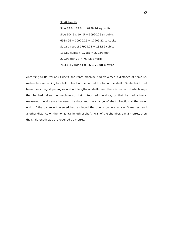# Shaft Length

Side  $83.6 \times 83.6 = 6988.96$  sq cubits Side  $104.5 \times 104.5 = 10920.25$  sq cubits 6988 96 + 10920.25 = 17909.21 sq cubits Square root of  $17909.21 = 133.82$  cubits 133.82 cubits x 1.7181 = 229.93 feet 229.93 feet  $/ 3 = 76.4333$  yards 76.4333 yards / 1.0936 = **70.08 metres**

According to Bauval and Gilbert, the robot machine had traversed a distance of some 65 metres before coming to a halt in front of the door at the top of the shaft. Gantenbrink had been measuring slope angles and not lengths of shafts, and there is no record which says that he had taken the machine so that it touched the door, or that he had actually measured the distance between the door and the change of shaft direction at the lower end. If the distance traversed had excluded the door - camera at say 3 metres, and another distance on the horizontal length of shaft - wall of the chamber, say 2 metres, then the shaft length was the required 70 metres.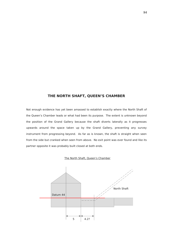# **THE NORTH SHAFT, QUEEN'S CHAMBER**

Not enough evidence has yet been amassed to establish exactly where the North Shaft of the Queen's Chamber leads or what had been its purpose. The extent is unknown beyond the position of the Grand Gallery because the shaft diverts laterally as it progresses upwards around the space taken up by the Grand Gallery, preventing any survey instrument from progressing beyond. As far as is known, the shaft is straight when seen from the side but cranked when seen from above. No exit point was ever found and like its partner opposite it was probably built closed at both ends.



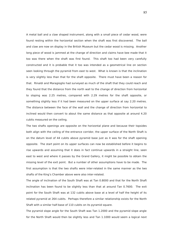A metal ball and a claw shaped instrument, along with a small piece of cedar wood, were found resting within the horizontal section when the shaft was first discovered. The ball and claw are now on display in the British Museum but the cedar wood is missing. Another long piece of wood is jammed at the change of direction and claims have bee made that it too was there when the shaft was first found. This shaft too had been very carefully constructed and it is probable that it too was intended as a geometrical line on section seen looking through the pyramid from east to west. What is known is that the inclination is very slightly less than that for the shaft opposite. There must have been a reason for that. Rinaldi and Maragioglio had surveyed as much of the shaft that they could reach and they found that the distance from the north wall to the change of direction from horizontal to sloping was 2.25 metres, compared with 2.29 metres for the shaft opposite, or something slightly less if it had been measured on the upper surface at say 2.20 metres. The distance between the face of the wall and the change of direction from horizontal to inclined would then convert to about the same distance as that opposite at around 4.20 cubits measured on the ceiling.

The two shafts openings are opposite on the horizontal plane and because their topsides both align with the ceiling of the entrance corridor, the upper surface of the North Shaft is on the datum level of 44 cubits above pyramid base just as it was for the shaft opening opposite. The start point on its upper surfaces can now be established before it begins to rise upwards and assuming that it does in fact continue upwards in a straight line, seen east to west and where it passes by the Grand Gallery, it might be possible to obtain the missing level of the exit point. But a number of other assumptions have to be made. The first assumption is that the two shafts were inter-related in the same manner as the two shafts of the King's Chamber above were also inter-related.

The angle of inclination of the South Shaft was at Tan 0.8000 and that for the North Shaft inclination has been found to be slightly less than that at around Tan 0.7600. The exit point for the South Shaft was at 132 cubits above base at a level of half the height of its related pyramid at 264 cubits. Perhaps therefore a similar relationship exists for the North Shaft with a similar half-base of 110 cubits on its pyramid square.

The pyramid slope angle for the South Shaft was Tan 1.2000 and the pyramid slope angle for the North Shaft would then be slightly less and Tan 1.1000 would seem a logical next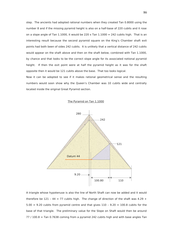step. The ancients had adopted rational numbers when they created Tan 0.8000 using the number 8 and if the missing pyramid height is also on a half-base of 220 cubits and it rose on a slope angle of Tan 1.1000, it would be 220 x Tan  $1.1000 = 242$  cubits high. That is an interesting result because the second pyramid square on the King's Chamber shaft exit points had both been of sides 242 cubits. It is unlikely that a vertical distance of 242 cubits would appear on the shaft above and then on the shaft below, combined with Tan 1.1000, by chance and that looks to be the correct slope angle for its associated notional pyramid height. If then the exit point were at half the pyramid height as it was for the shaft opposite then it would be 121 cubits above the base. That too looks logical.

Now it can be adopted to see if it makes rational geometrical sense and the resulting numbers would soon show why the Queen's Chamber was 10 cubits wide and centrally located inside the original Great Pyramid section.



The Pyramid on Tan 1.1000

A triangle whose hypotenuse is also the line of North Shaft can now be added and it would therefore be 121 - 44 = 77 cubits high. The change of direction of the shaft was 4.29 +  $5.00 = 9.20$  cubits from pyramid centre and that gives  $110 - 9.20 = 100.8$  cubits for the base of that triangle. The preliminary value for the Slope on Shaft would then be around  $77/100.8$  = Tan 0.7638 coming from a pyramid 242 cubits high and with base angles Tan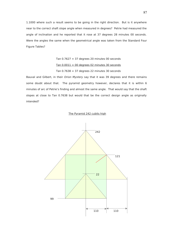1.1000 where such a result seems to be going in the right direction. But is it anywhere near to the correct shaft slope angle when measured in degrees? Petrie had measured the angle of inclination and he reported that it rose at 37 degrees 28 minutes 00 seconds. Were the angles the same when the geometrical angle was taken from the Standard Four Figure Tables?

$$
Tan\ 0.7627 = 37 \text{ degrees } 20 \text{ minutes } 00 \text{ seconds}
$$
\n
$$
Tan\ 0.0011 = 00 \text{ degrees } 02 \text{ minutes } 30 \text{ seconds}
$$
\n
$$
Tan\ 0.7638 = 37 \text{ degrees } 22 \text{ minutes } 30 \text{ seconds}
$$

Bauval and Gilbert, in their Orion Mystery say that it was 39 degrees and there remains some doubt about that. The pyramid geometry however, declares that it is within 6 minutes of arc of Petrie's finding and almost the same angle. That would say that the shaft slopes at close to Tan 0.7638 but would that be the correct design angle as originally intended?

## The Pyramid 242 cubits high

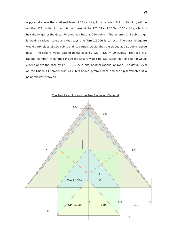A pyramid above the shaft exit level of 121 cubits, for a pyramid 242 cubits high, will be another 121 cubits high and its half base will be 121 / Tan  $1.1000 = 110$  cubits, which is half the length of the Great Pyramid half base at 220 cubits. The pyramid 242 cubits high is making rational sense and that says that **Tan 1.1000** is correct. The pyramid square would carry sides of 220 cubits and its corners would abut the slopes at 121 cubits above base. The square would extend below base by 220 -  $121 = 99$  cubits. That too is a rational number. A pyramid inside the square would be 121 cubits high and its tip would extend above the base by  $121 - 99 = 22$  cubits, another rational answer. The datum level on the Queen's Chamber was 44 cubits above pyramid base and the tip terminates at a point midway between.



The Two Pyramids and the Two Slopes on Diagonal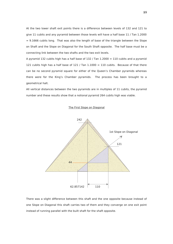At the two lower shaft exit points there is a difference between levels of 132 and 121 to give 11 cubits and any pyramid between those levels will have a half base 11 / Tan 1.2000  $= 9.1666$  cubits long. That was also the length of base of the triangle between the Slope on Shaft and the Slope on Diagonal for the South Shaft opposite. The half base must be a connecting link between the two shafts and the two exit levels.

A pyramid 132 cubits high has a half base of 132 / Tan  $1.2000 = 110$  cubits and a pyramid 121 cubits high has a half base of 121 / Tan  $1.1000 = 110$  cubits. Because of that there can be no second pyramid square for either of the Queen's Chamber pyramids whereas there were for the King's Chamber pyramids. The process has been brought to a geometrical halt.

All vertical distances between the two pyramids are in multiples of 11 cubits, the pyramid number and these results show that a notional pyramid 264 cubits high was viable.





There was a slight difference between this shaft and the one opposite because instead of one Slope on Diagonal this shaft carries two of them and they converge on one exit point instead of running parallel with the built shaft for the shaft opposite.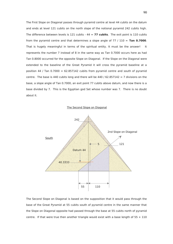The First Slope on Diagonal passes through pyramid centre at level 44 cubits on the datum and ends at level 121 cubits on the north slope of the notional pyramid 242 cubits high. The difference between levels is 121 cubits - 44 = **77 cubits**. The exit point is 110 cubits from the pyramid centre and that determines a slope angle of 77 / 110 = **Tan 0.7000**. That is hugely meaningful in terms of the spiritual entity. It must be the answer! It represents the number 7 instead of 8 in the same way as Tan 0.7000 occurs here as had Tan 0.8000 occurred for the opposite Slope on Diagonal. If the Slope on the Diagonal were extended to the baseline of the Great Pyramid it will cross the pyramid baseline at a position 44 / Tan  $0.7000 = 62.857142$  cubits from pyramid centre and south of pyramid centre. The base is 440 cubits long and there will be 440 /  $62.857142 = 7$  divisions on the base, a slope angle of Tan 0.7000, an exit point 77 cubits above datum, and now there is a base divided by 7. This is the Egyptian god Set whose number was 7. There is no doubt about it.





The Second Slope on Diagonal is based on the supposition that it would pass through the base of the Great Pyramid at 55 cubits south of pyramid centre in the same manner that the Slope on Diagonal opposite had passed through the base at 55 cubits north of pyramid centre. If that were true then another triangle would exist with a base length of  $55 + 110$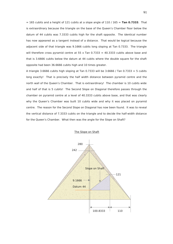$= 165$  cubits and a height of 121 cubits at a slope angle of 110 / 165 = **Tan 0.7333**. That is extraordinary because the triangle on the base of the Queen's Chamber floor below the datum of 44 cubits was 7.3333 cubits high for the shaft opposite. The identical number has now appeared as a tangent instead of a distance. That would be logical because the adjacent side of that triangle was 9.1666 cubits long sloping at Tan 0.7333. The triangle will therefore cross pyramid centre at 55 x Tan  $0.7333 = 40.3333$  cubits above base and that is 3.6666 cubits below the datum at 44 cubits where the double square for the shaft opposite had been 36.6666 cubits high and 10 times greater.

A triangle 3.6666 cubits high sloping at Tan 0.7333 will be 3.6666 / Tan 0.7333 = 5 cubits long exactly! That is precisely the half width distance between pyramid centre and the north wall of the Queen's Chamber. That is extraordinary! The chamber is 10 cubits wide and half of that is 5 cubits! The Second Slope on Diagonal therefore passes through the chamber on pyramid centre at a level of 40.3333 cubits above base, and that was clearly why the Queen's Chamber was built 10 cubits wide and why it was placed on pyramid centre. The reason for the Second Slope on Diagonal has now been found. It was to reveal the vertical distance of 7.3333 cubits on the triangle and to decide the half-width distance for the Queen's Chamber. What then was the angle for the Slope on Shaft?



The Slope on Shaft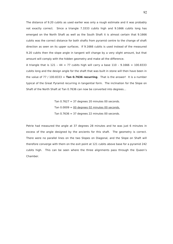The distance of 9.20 cubits as used earlier was only a rough estimate and it was probably not exactly correct. Since a triangle 7.3333 cubits high and 9.1666 cubits long has emerged on the North Shaft as well as the South Shaft it is almost certain that 9.1666 cubits was the correct distance for both shafts from pyramid centre to the change of shaft direction as seen on its upper surfaces. If 9.1666 cubits is used instead of the measured 9.20 cubits then the slope angle in tangent will change by a very slight amount, but that amount will comply with the hidden geometry and make all the difference.

A triangle that is  $121 - 44 = 77$  cubits high will carry a base  $110 - 9.1666 = 100.8333$ cubits long and the design angle for the shaft that was built in stone will then have been in the value of  $77 / 100.8333 =$  **Tan 0.7636 recurring**. That is the answer! It is a number typical of the Great Pyramid recurring in tangential form. The inclination for the Slope on Shaft of the North Shaft at Tan 0.7636 can now be converted into degrees…

> Tan  $0.7627 = 37$  degrees 20 minutes 00 seconds. Tan  $0.0009 = 00$  degrees 02 minutes 00 seconds. Tan  $0.7636 = 37$  degrees 22 minutes 00 seconds.

Petrie had measured the angle at 37 degrees 28 minutes and he was just 6 minutes in excess of the angle designed by the ancients for this shaft. The geometry is correct. There were no parallel lines on the two Slopes on Diagonal, and the Slope on Shaft will therefore converge with them on the exit point at 121 cubits above base for a pyramid 242 cubits high. This can be seen where the three alignments pass through the Queen's Chamber.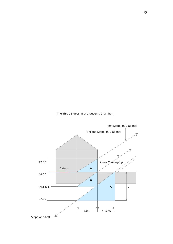

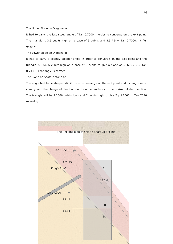# The Upper Slope on Diagonal A

It had to carry the less steep angle of Tan 0.7000 in order to converge on the exit point. The triangle is 3.5 cubits high on a base of 5 cubits and 3.5 /  $5 =$  Tan 0.7000. It fits exactly.

# The Lower Slope on Diagonal B

It had to carry a slightly steeper angle in order to converge on the exit point and the triangle is 3.6666 cubits high on a base of 5 cubits to give a slope of 3.6666 /  $5 =$  Tan 0.7333. That angle is correct.

### The Slope on Shaft in stone at C

The angle had to be steeper still if it was to converge on the exit point and its length must comply with the change of direction on the upper surfaces of the horizontal shaft section. The triangle will be 9.1666 cubits long and 7 cubits high to give 7 / 9.1666 = Tan 7636 recurring.

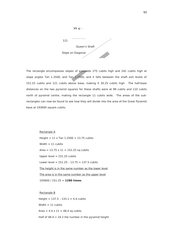

The rectangle encompasses slopes of pyramids 275 cubits high and 242 cubits high at slope angles Tan 1.2500, and Tan  $1.1000$ , and it falls between the shaft exit levels of 151.25 cubits and 121 cubits above base, making it 30.25 cubits high. The half-base distances on the two pyramid squares for these shafts were at 99 cubits and 110 cubits north of pyramid centre, making the rectangle 11 cubits wide. The areas of the subrectangles can now be found to see how they will divide into the area of the Great Pyramid base at 193600 square cubits.

> Rectangle A  $Height = 11 \times Tan \, 1.2500 = 13.75 \, cubits$ Width  $= 11$  cubits Area =  $13.75 \times 11 = 151.25$  sq cubits Upper level  $= 151.25$  cubits Lower level =  $151.25 - 13.75 = 137.5$  cubits The height is in the same number as the lower level The area is in the same number as the upper level 193600 / 151.25 = **1280 times**

 Rectangle B Height =  $137.5 - 133.1 = 4.4$  cubits Width  $= 11$  cubits Area =  $4.4 \times 11 = 48.4$  sq cubits Half of  $48.4 = 24.2$  the number in the pyramid height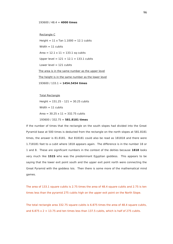#### 193600 / 48.4 = **4000 times**

Rectangle C

Height =  $11 \times$  Tan  $1.1000 = 12.1$  cubits Width  $= 11$  cubits  $Area = 12.1 \times 11 = 133.1$  sq cubits Upper level =  $121 + 12.1 = 133.1$  cubits Lower level  $= 121$  cubits The area is in the same number as the upper level The height is in the same number as the lower level 193600 / 133.1 = **1454.5454 times**

 Total Rectangle Height =  $151.25 - 121 = 30.25$  cubits Width  $= 11$  cubits Area =  $30.25 \times 11 = 332.75$  cubits 193600 / 332.75 = **581.8181 times**

If the number of times that the rectangle on the south slopes had divided into the Great Pyramid base at 500 times is deducted from the rectangle on the north slopes at 581.8181 times, the answer is 81.8181. But 818181 could also be read as 181818 and there were 1.718181 feet to a cubit where 1818 appears again. The difference is in the number 18 or 1 and 8. These are significant numbers in the context of the deities because **1818** looks very much like **1S1S** who was the predominant Egyptian goddess. This appears to be saying that the lower exit point south and the upper exit point north were connecting the Great Pyramid with the goddess Isis. Then there is some more of the mathematical mind games.

The area of 133.1 square cubits is 2.75 times the area of 48.4 square cubits and 2.75 is ten times less than the pyramid 275 cubits high on the upper exit point on the North Slope.

The total rectangle area 332.75 square cubits is 6.875 times the area of 48.4 square cubits, and  $6.875 \times 2 = 13.75$  and ten times less than 137.5 cubits, which is half of 275 cubits.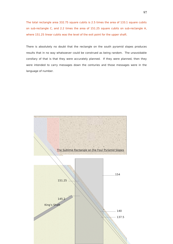The total rectangle area 332.75 square cubits is 2.5 times the area of 133.1 square cubits on sub-rectangle C, and 2.2 times the area of 151.25 square cubits on sub-rectangle A, where 151.25 linear cubits was the level of the exit point for the upper shaft.

There is absolutely no doubt that the rectangle on the south pyramid slopes produces results that in no way whatsoever could be construed as being random. The unavoidable corollary of that is that they were accurately planned. If they were planned, then they were intended to carry messages down the centuries and those messages were in the language of number.

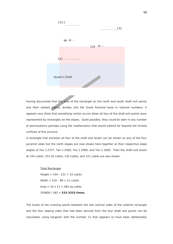

Having discovered that the area of the rectangle on the north and south shaft exit points and their related slopes, divides into the Great Pyramid base in rational numbers, it appears very likely that something similar occurs when all four of the shaft exit points were represented by rectangles on the slopes. Quite possibly, they could be seen in any number of permutations perhaps using the mathematics that would extend far beyond the limited confines of this account.

A rectangle that encloses all four of the shaft exit levels can be shown on any of the four pyramid sides but the north slopes are now shown here together at their respective slope angles of Tan 1.2727, Tan 1.2500, Tan 1.2000, and Tan 1.1000. Then the shaft exit levels at 154 cubits, 151.25 cubits, 132 cubits, and 121 cubits are also shown.

# Total Rectangle Height = 154 – 121 = 33 cubits  $Width = 110 - 99 = 11$  cubits Area =  $33 \times 11 = 363$  sq cubits 193600 / 363 = **533.3333 times**

The levels of the crossing points between the two vertical sides of the sublime rectangle and the four sloping sides that had been derived from the four shaft exit points can be calculated, using tangents with the number 11 that appears to have been deliberately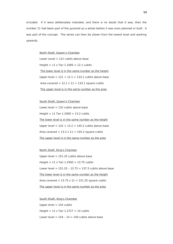included. If it were deliberately intended, and there is no doubt that it was, then the number 11 had been part of the pyramid as a whole before it was even planned or built. It was part of the concept. The series can then be shown from the lowest level and working upwards.

> North Shaft, Queen's Chamber Lower Level  $= 121$  cubits above base  $Height = 11 \times Tan \, 1.1000 = 12.1 \, cubits$  The lower level is in the same number as the height Upper level =  $121 + 12.1 = 133.1$  cubits above base Area covered =  $12.1 \times 11 = 133.1$  square cubits The upper level is in the same number as the area

> South Shaft, Queen's Chamber Lower level  $= 132$  cubits above base  $Height = 11$  Tan  $1.2000 = 13.2$  cubits The lower level is in the same number as the height Upper level =  $132 + 13.2 = 145.2$  cubits above base Area covered =  $13.2 \times 11 = 145.2$  square cubits The upper level is in the same number as the area

 North Shaft, King's Chamber Upper level  $= 151.25$  cubits above base  $Height = 11 \times Tan \, 1.2500 = 13.75 \, cubits$ Lower level =  $151.25 - 13.75 = 137.5$  cubits above base The lower level is in the same number as the height Area covered =  $13.75 \times 11 = 151.25$  square cubits The upper level is in the same number as the area

 South Shaft, King's Chamber Upper level  $= 154$  cubits Height =  $11 \times$  Tan  $1.2727 = 14$  cubits Lower level =  $154 - 14 = 140$  cubits above base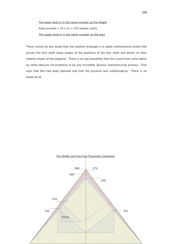The lower level is in the same number as the height Area covered =  $14 \times 11 = 154$  square cubits The upper level is in the same number as the area

There cannot be any doubt that the sublime rectangle is a viable mathematical entity that proves the four shaft slope angles at the positions of the four shaft exit points on their relative slopes of the diagonal. There is no real possibility that this could have come about by some obscure circumstance or by any incredibly devious manufacturing process. That says that this had been planned and that the pyramid was mathematical. There is no doubt at all.

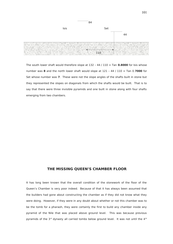

The south lower shaft would therefore slope at 132 – 44 / 110 = Tan **0.8000** for Isis whose number was **8** and the north lower shaft would slope at 121 – 44 / 110 = Tan 0.**7000** for Set whose number was **7**. These were not the slope angles of the shafts built in stone but they represented the slopes on diagonals from which the shafts would be built. That is to say that there were three invisible pyramids and one built in stone along with four shafts emerging from two chambers.

# **THE MISSING QUEEN'S CHAMBER FLOOR**

It has long been known that the overall condition of the stonework of the floor of the Queen's Chamber is very poor indeed. Because of that it has always been assumed that the builders had gone about constructing the chamber as if they did not know what they were doing. However, if they were in any doubt about whether or not this chamber was to be the tomb for a pharaoh, they were certainly the first to build any chamber inside any pyramid of the Nile that was placed above ground level. This was because previous pyramids of the  $3<sup>rd</sup>$  dynasty all carried tombs below ground level. It was not until the  $4<sup>th</sup>$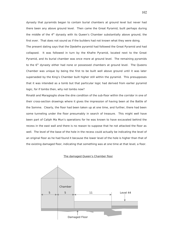dynasty that pyramids began to contain burial chambers at ground level but never had there been any above ground level. Then came the Great Pyramid, built perhaps during the middle of the 4<sup>th</sup> dynasty with its Queen's Chamber substantially above ground, the first ever. That does not sound as if the builders had not known what they were doing.

The present dating says that the Djedefre pyramid had followed the Great Pyramid and had collapsed. It was followed in turn by the Khafre Pyramid, located next to the Great Pyramid, and its burial chamber was once more at ground level. The remaining pyramids to the  $6<sup>th</sup>$  dynasty either had none or possessed chambers at ground level. The Queens Chamber was unique by being the first to be built well above ground until it was later superseded by the King's Chamber built higher still within the pyramid. This presupposes that it was intended as a tomb but that particular logic had derived from earlier pyramid logic, for if tombs then, why not tombs now?

Rinaldi and Maragioglio show the dire condition of the sub-floor within the corridor in one of their cross-section drawings where it gives the impression of having been at the Battle of the Somme. Clearly, the floor had been taken up at one time, and further, there had been some tunneling under the floor presumably in search of treasure. This might well have been part of Caliph Ma Mun's operations for he was known to have excavated behind the recess in the east wall and there is no reason to suppose that he not attacked the floor as well. The level of the base of the hole in the recess could actually be indicating the level of an original floor as he had found it because the lower level of the hole is higher than that of the existing damaged floor, indicating that something was at one time at that level, a floor.

#### The damaged Queen's Chamber floor

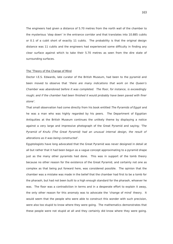The engineers had given a distance of 5.70 metres from the north wall of the chamber to the mysterious 'step down' in the entrance corridor and that translates into 10.885 cubits or 0.1 of a cubit short of exactly 11 cubits. The probability is that the original design distance was 11 cubits and the engineers had experienced some difficulty in finding any clear surface against which to take their 5.70 metres as seen from the dire state of surrounding surfaces.

#### The 'Theory of the Change of Mind

Doctor I.E.S. Edwards, late curator of the British Museum, had been to the pyramid and been moved to observe that 'there are many indications that work on the Queen's Chamber was abandoned before it was completed. The floor, for instance, is exceedingly rough; and if the chamber had been finished it would probably have been paved with finer stone'.

That small observation had come directly from his book entitled The Pyramids of Egypt and he was a man who was highly regarded by his peers. The Department of Egyptian Antiquities at the British Museum continues the unlikely theme by displaying a notice against a very large and impressive photograph of the Great Pyramid and saying; 'The Pyramid of Knufu (The Great Pyramid) had an unusual internal design, the result of alterations as it was being constructed'.

Egyptologists have long advocated that the Great Pyramid was never designed in detail at all but rather that it had been begun as a vague concept approximating to a pyramid shape just as the many other pyramids had done. This was in support of the tomb theory because no other reason for the existence of the Great Pyramid, and certainly not one as complex as that being put forward here, was considered possible. The opinion that the chamber was a mistake was made in the belief that the chamber had first to be a tomb for the pharaoh, but had not been built to a high enough standard for the pharaoh, whoever he was. The floor was a contradiction in terms and in a desperate effort to explain it away, the only other reason for this anomaly was to advocate the 'change of mind' theory. It would seem that the people who were able to construct this wonder with such precision, were also too stupid to know where they were going. The mathematics demonstrates that these people were not stupid at all and they certainly did know where they were going.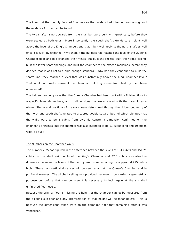The idea that the roughly finished floor was as the builders had intended was wrong, and the evidence for that can be found.

The two shafts rising upwards from the chamber were built with great care, before they were sealed at both ends. More importantly, the south shaft extends to a height well above the level of the King's Chamber, and that might well apply to the north shaft as well once it is fully investigated. Why then, if the builders had reached the level of the Queen's Chamber floor and had changed their minds, but built the recess, built the ridged ceiling, built the lower shaft openings, and built the chamber to the exact dimensions, before they decided that it was not to a high enough standard? Why had they continued to build the shafts until they reached a level that was substantially above the King' Chamber level? That would not make sense if the chamber that they came from had by then been abandoned!

The hidden geometry says that the Queens Chamber had been built with a finished floor to a specific level above base, and to dimensions that were related with the pyramid as a whole. The lateral positions of the walls were determined through the hidden geometry of the north and south shafts related to a sacred double square, both of which dictated that the walls were to be 5 cubits from pyramid centre, a dimension confirmed on the engineer's drawings, but the chamber was also intended to be 11 cubits long and 10 cubits wide, as built.

## The Numbers on the Chamber Walls

The number 2.75 had figured in the difference between the levels of 154 cubits and 151.25 cubits on the shaft exit points of the King's Chamber and 27.5 cubits was also the difference between the levels of the two pyramid squares acting for a pyramid 275 cubits high. These two vertical distances will be seen again at the Queen's Chamber and in profound manner. The pitched ceiling was provided because it too carried a geometrical purpose but before that can be seen it is necessary to look again at the so-called unfinished floor levels.

Because the original floor is missing the height of the chamber cannot be measured from the existing sub-floor and any interpretation of that height will be meaningless. This is because the dimensions taken were on the damaged floor that remaining after it was vandalised.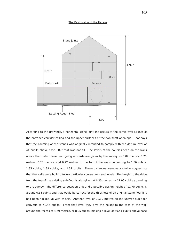# The East Wall and the Recess



According to the drawings, a horizontal stone joint-line occurs at the same level as that of the entrance corridor ceiling and the upper surfaces of the two shaft openings. That says that the coursing of the stones was originally intended to comply with the datum level of 44 cubits above base. But that was not all. The levels of the courses seen on the walls above that datum level and going upwards are given by the survey as 0.82 metres, 0.71 metres, 0.73 metres, and 0.72 metres to the top of the walls converting to 1.56 cubits, 1.35 cubits, 1.39 cubits, and 1.37 cubits. These distances were very similar suggesting that the walls were built to follow particular course lines and levels. The height to the ridge from the top of the existing sub-floor is also given at 6.23 metres, or 11.90 cubits according to the survey. The difference between that and a possible design height of 11.75 cubits is around 0.15 cubits and that would be correct for the thickness of an original stone floor if it had been hacked up with chisels. Another level of 21.19 metres on the uneven sub-floor converts to 40.46 cubits. From that level they give the height to the tops of the wall around the recess at 4.69 metres, or 8.95 cubits, making a level of 49.41 cubits above base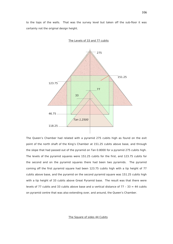to the tops of the walls. That was the survey level but taken off the sub-floor it was certainly not the original design height.



The Levels of 33 and 77 cubits

The Queen's Chamber had related with a pyramid 275 cubits high as found on the exit point of the north shaft of the King's Chamber at 151.25 cubits above base, and through the slope that had passed out of the pyramid on Tan 0.8000 for a pyramid 275 cubits high. The levels of the pyramid squares were 151.25 cubits for the first, and 123.75 cubits for the second and on the pyramid squares there had been two pyramids. The pyramid coming off the first pyramid square had been 123.75 cubits high with a tip height of 77 cubits above base, and the pyramid on the second pyramid square was 151.25 cubits high with a tip height of 33 cubits above Great Pyramid base. The result was that there were levels of 77 cubits and 33 cubits above base and a vertical distance of  $77 - 33 = 44$  cubits on pyramid centre that was also extending over, and around, the Queen's Chamber.

The Square of sides 44 Cubits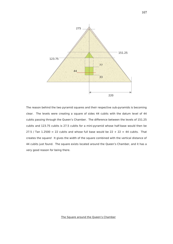

The reason behind the two pyramid squares and their respective sub-pyramids is becoming clear. The levels were creating a square of sides 44 cubits with the datum level of 44 cubits passing through the Queen's Chamber. The difference between the levels of 151.25 cubits and 123.75 cubits is 27.5 cubits for a mini-pyramid whose half-base would then be 27.5 / Tan 1.2500 = 22 cubits and whose full base would be  $22 + 22 = 44$  cubits. That creates the square! It gives the width of the square combined with the vertical distance of 44 cubits just found. The square exists located around the Queen's Chamber, and it has a very good reason for being there.

The Square around the Queen's Chamber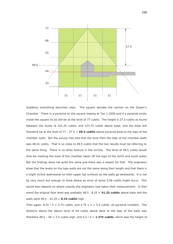

Suddenly everything becomes clear. The square decides the section on the Queen's Chamber. There is a pyramid on the square sloping at Tan 1.2500 and if a pyramid exists inside the square its tip will be at the level of 77 cubits. The height is 27.5 cubits as found between the levels of 151.25 cubits, and 123.75 cubits above base, and the base will therefore be at the level of 77 – 27.5 = **49.5 cubits** above pyramid base to the tops of the chamber walls. But the survey had said that the level from the tops of the chamber walls was 49.41 cubits. That is so close to 49.5 cubits that the two results must be referring to the same thing. There is no other feature in the vicinity. The level of 49.5 cubits would then be marking the level of the chamber taken off the tops of the north and south walls! But the findings were not quite the same and there was a reason for that. The engineers show that the levels on the tops walls are not the same along their length and that there is a slight incline downwards on their upper top surfaces as the walls go westwards. It is not by very much but enough to show where an error of some 0.09 cubits might occur. This would also depend on where exactly the engineers had taken their measurement. In that event the original floor level was probably 49.5 - 8.25 = **41.25 cubits** above base and the walls were 49.5 – 41.25 = **8.25 cubits** high.

Then again, 8.25 / 3 = 2.75 cubits, and 2.75  $\times$  2 = 5.5 cubits, all pyramid numbers. The distance above the datum level of 44 cubits above base to the tops of the walls was therefore  $49.5 - 44 = 5.5$  cubits high, and  $5.5 / 4 = 1.375$  cubits, which was the height of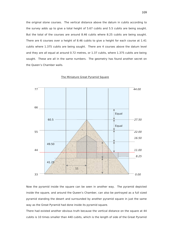the original stone courses. The vertical distance above the datum in cubits according to the survey adds up to give a total height of 5.67 cubits and 5.5 cubits are being sought. But the total of the courses are around 8.46 cubits where 8.25 cubits are being sought. There are 6 courses over a height of 8.46 cubits to give a height for each course at 1.41 cubits where 1.375 cubits are being sought. There are 4 courses above the datum level and they are all equal at around 0.72 metres, or 1.37 cubits, where 1.375 cubits are being sought. These are all in the same numbers. The geometry has found another secret on the Queen's Chamber walls.



#### The Miniature Great Pyramid Square

Now the pyramid inside the square can be seen in another way. The pyramid depicted inside the square, and around the Queen's Chamber, can also be portrayed as a full sized pyramid standing the desert and surrounded by another pyramid square in just the same way as the Great Pyramid had done inside its pyramid square.

There had existed another obvious truth because the vertical distance on the square at 44 cubits is 10 times smaller than 440 cubits, which is the length of side of the Great Pyramid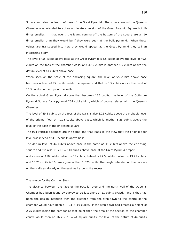Square and also the length of base of the Great Pyramid. The square around the Queen's Chamber was intended to act as a miniature version of the Great Pyramid Square but 10 times smaller. In that event, the levels coming off the bottom of the square are all 10 times smaller than they would be if they were seen at the built pyramid. When these values are transposed into how they would appear at the Great Pyramid they tell an interesting story.

The level of 55 cubits above base at the Great Pyramid is 5.5 cubits above the level of 49.5 cubits on the tops of the chamber walls, and 49.5 cubits is another 5.5 cubits above the datum level of 44 cubits above base.

When seen on the scale of the enclosing square, the level of 55 cubits above base becomes a level of 22 cubits inside the square, and that is 5.5 cubits above the level of 16.5 cubits on the tops of the walls.

On the actual Great Pyramid scale that becomes 165 cubits, the level of the Optimum Pyramid Square for a pyramid 264 cubits high, which of course relates with the Queen's Chamber.

The level of 49.5 cubits on the tops of the walls is also 8.25 cubits above the probable level of the original floor at 41.25 cubits above base, which is another 8.25 cubits above the level of the base of the enclosing square.

The two vertical distances are the same and that leads to the view that the original floor level was indeed at 41.25 cubits above base.

The datum level of 44 cubits above base is the same as 11 cubits above the enclosing square and it is also  $11 \times 10 = 110$  cubits above base at the Great Pyramid proper.

A distance of 110 cubits halved is 55 cubits, halved is 27.5 cubits, halved is 13.75 cubits, and 13.75 cubits is 10 times greater than 1.375 cubits, the height intended on the courses on the walls as already on the east wall around the recess.

#### The reason for the Corridor Step

The distance between the face of the peculiar step and the north wall of the Queen's Chamber had been found by survey to be just short of 11 cubits exactly, and if that had been the design intention then the distance from the step-down to the centre of the chamber would have been  $5 + 11 = 16$  cubits. If the step-down had created a height of 2.75 cubits inside the corridor at that point then the area of the section to the chamber centre would then be  $16 \times 2.75 = 44$  square cubits, the level of the datum of 44 cubits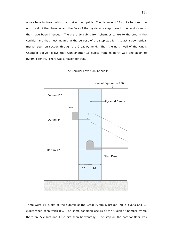above base in linear cubits that makes the topside. The distance of 11 cubits between the north wall of the chamber and the face of the mysterious step down in the corridor must then have been intended. There are 16 cubits from chamber centre to the step in the corridor, and that must mean that the purpose of the step was for it to act a geometrical marker seen on section through the Great Pyramid. Then the north wall of the King's Chamber above follows that with another 16 cubits from its north wall and again to pyramid centre. There was a reason for that.



The Corridor Levels on 42 cubits

There were 16 cubits at the summit of the Great Pyramid, broken into 5 cubits and 11 cubits when seen vertically. The same condition occurs at the Queen's Chamber where there are 5 cubits and 11 cubits seen horizontally. The step on the corridor floor was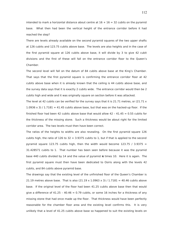intended to mark a horizontal distance about centre at  $16 + 16 = 32$  cubits on the pyramid base. What then had been the vertical height of the entrance corridor before it had reached the step?

There are levels already available on the second pyramid squares of the two upper shafts at 126 cubits and 123.75 cubits above base. The levels are also heights and in the case of the first pyramid square at 126 cubits above base, it will divide by 3 to give 42 cubit divisions and the first of these will fall on the entrance corridor floor to the Queen's Chamber.

The second level will fall on the datum of 84 cubits above base at the King's Chamber. That says that the first pyramid square is confirming the entrance corridor floor at 42 cubits above base when it is already known that the ceiling is 44 cubits above base, and the survey data says that it is exactly 2 cubits wide. The entrance corridor would then be 2 cubits high and wide and it was originally square on section before it was attacked.

The level at 42 cubits can be verified for the survey says that it is 21.71 metres, or (21.71  $\times$  $1.0936 \times 3$ ) /  $1.7181 = 41.45$  cubits above base, but that was on the hacked-up floor. If the finished floor had been 42 cubits above base that would allow  $42 - 41.45 = 0.55$  cubits for the thickness of the missing stone. Such a thickness would be about right for the limited corridor area. The two levels must then have been correct.

The ratios of the heights to widths are also revealing. On the first pyramid square 126 cubits high, the ratio of  $126$  to  $32 = 3.9375$  cubits to 1, but if that is applied to the second pyramid square 123.75 cubits high, then the width would become 123.75 / 3.9375 = 31.428571 cubits to 1. That number has been seen before because it was the pyramid base 440 cubits divided by 14 and the value of pyramid **π** times 10. Here it is again. The first pyramid square must then have been dedicated to Osiris along with the levels 42 cubits, and 84 cubits above pyramid base.

The drawings say that the existing level of the unfinished floor of the Queen's Chamber is 21.19 metres above base. That is also  $(21.19 \times 1.0963 \times 3)$  / 1.7181 = 40.46 cubits above base. If the original level of the floor had been 41.25 cubits above base then that would give a difference of 41.25 - 40.46  $= 0.79$  cubits, or some 16 inches for a thickness of any missing stone that had once made up the floor. That thickness would have been perfectly reasonable for the chamber floor area and the existing level confirms this. It is very unlikely that a level of 41.25 cubits above base so happened to suit the existing levels on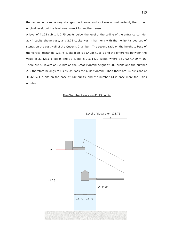the rectangle by some very strange coincidence, and so it was almost certainly the correct original level, but the level was correct for another reason.

A level of 41.25 cubits is 2.75 cubits below the level of the ceiling of the entrance corridor at 44 cubits above base, and 2.75 cubits was in harmony with the horizontal courses of stones on the east wall of the Queen's Chamber. The second ratio on the height to base of the vertical rectangle 123.75 cubits high is 31.428571 to 1 and the difference between the value of 31.428571 cubits and 32 cubits is 0.571429 cubits, where 32 / 0.571429 = 56. There are 56 layers of 5 cubits on the Great Pyramid height at 280 cubits and the number 280 therefore belongs to Osiris, as does the built pyramid. Then there are 14 divisions of 31.428571 cubits on the base of 440 cubits, and the number 14 is once more the Osiris number.

#### The Chamber Levels on 41.25 cubits

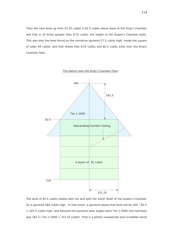Then the next level up from 41.25 cubits is 82.5 cubits above base at the King's Chamber and that is 10 times greater than 8.25 cubits, the height of the Queen's Chamber walls. This was also the level found on the miniature pyramid 27.5 cubits high, inside the square of sides 44 cubits, and that shows that 8.25 cubits and 82.5 cubits exist over the King's Chamber floor.



The Datum over the King's Chamber Floor

The level of 82.5 cubits relates with Isis and with the South Shaft of the Queen's Chamber for a pyramid 264 cubits high. In that event, a pyramid above that level will be 264 – 82.5  $= 181.5$  cubits high, and because the pyramid base angles were Tan 1.2000, the half-base was 181.5 / Tan 1.2000 = 151.25 cubits! That is a wholly unexpected and incredible result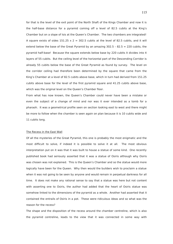for that is the level of the exit point of the North Shaft of the Kings Chamber and now it is the half-base distance for a pyramid coming off a level of 82.5 cubits at the King's Chamber but on a slope of Isis at the Queen's Chamber. The two chambers are integrated! A square exists of sides 151.25  $\times$  2 = 302.5 cubits at the level of 82.5 cubits, and it will extend below the base of the Great Pyramid by an amazing  $302.5 - 82.5 = 220$  cubits, the pyramid half-base! Because the square extends below base by 220 cubits it divides into 4 layers of 55 cubits. But the ceiling level of the horizontal part of the Descending Corridor is already 55 cubits below the base of the Great Pyramid as found by survey. The level on the corridor ceiling had therefore been determined by the square that came from the King's Chamber at a level of 82.5 cubits above base, which in turn had derived from 151.25 cubits above base for the level of the first pyramid square and 41.25 cubits above base, which was the original level on the Queen's Chamber floor.

From what has now known, the Queen's Chamber could never have been a mistake or even the subject of a change of mind and nor was it ever intended as a tomb for a pharaoh. It was a geometrical profile seen on section looking east to west and there might be more to follow when the chamber is seen again on plan because it is 10 cubits wide and 11 cubits long.

#### The Recess in the East Wall

Of all the mysteries of the Great Pyramid, this one is probably the most enigmatic and the most difficult to solve, if indeed it is possible to solve it at all. The most obvious interpretation put on it was that it was built to house a statue of some kind. One recently published book had seriously asserted that it was a statue of Osiris although why Osiris was chosen was not explained. This is the Queen's Chamber and so the statue would more logically have been for the Queen. Why then would the builders wish to proclaim a statue when it was not going to be seen by anyone and would remain in perpetual darkness for all time. It does not make any rational sense to say that a statue was here but not content with asserting one to Osiris, the author had added that the heart of Osiris statue was somehow linked to the dimensions of the pyramid as a whole. Another had asserted that it contained the entrails of Osiris in a pot. These were ridiculous ideas and so what was the reason for the recess?

The shape and the disposition of the recess around the chamber centreline, which is also the pyramid centreline, leads to the view that it was connected in some way with

115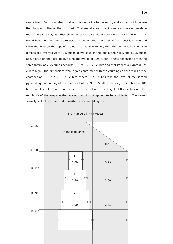centrelines. But it was also offset on this centreline to the south, and also at points where the changes in the widths occurred. That would mean that it was also marking levels in much the same way as other elements of the pyramid interior were marking levels. That would have an effect on the recess at base now that the original floor level is known and since the level on the tops of the east wall is also known, then the height is known. The dimensions involved were 49.5 cubits above base on the tops of the walls, and 41.25 cubits above base on the floor, to give a height overall of 8.25 cubits. These dimension are in the same family as 2.75 cubits because 2.75  $\times$  3 = 8.25 cubits and that implies a pyramid 275 cubits high. The dimensions were again conformed with the coursings on the walls of the chamber at 2.75 / 2 = 1.375 cubits, where 137.5 cubits was the level of the second pyramid square coming off the exit point of the North Shaft of the King's Chamber but 100 times smaller. A connection seemed to exist between the height of 8.25 cubits and the regularity of the steps in the recess that did not appear to be accidental. The recess actually looks like some kind of mathematical sounding board.

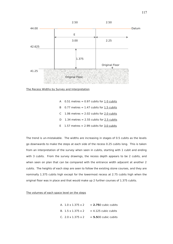

The Recess Widths by Survey and Interpretation

- A  $0.51$  metres = 0.97 cubits for  $1.0$  cubits
- B  $0.77$  metres = 1.47 cubits for 1.5 cubits
- C  $1.06$  metres = 2.02 cubits for 2.0 cubits
- D 1.34 metres  $= 2.55$  cubits for 2.5 cubits
- E  $1.57$  metres = 2.99 cubits for 3.0 cubits

The trend is un-mistakable. The widths are increasing in stages of 0.5 cubits as the levels go downwards to make the steps at each side of the recess 0.25 cubits long. This is taken from an interpretation of the survey when seen in cubits, starting with 1 cubit and ending with 3 cubits. From the survey drawings, the recess depth appears to be 2 cubits, and when seen on plan that can be compared with the entrance width adjacent at another 2 cubits. The heights of each step are seen to follow the existing stone courses, and they are nominally 1.375 cubits high except for the lowermost recess at 2.75 cubits high when the original floor was in place and that would make up 2 further courses of 1.375 cubits.

The volumes of each space level on the steps

| A. 1.0 x 1.375 x 2             | $= 2.750$ cubic cubits                              |
|--------------------------------|-----------------------------------------------------|
|                                | B. $1.5 \times 1.375 \times 2 = 4.125$ cubic cubits |
| C. $2.0 \times 1.375 \times 2$ | $= 5.500$ cubic cubits                              |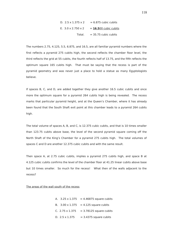| D. $2.5 \times 1.375 \times 2 = 6.875$ cubic cubits  |  |
|------------------------------------------------------|--|
| E. $3.0 \times 2.750 \times 2 = 16.500$ cubic cubits |  |
| Total. $= 35.75$ cubic cubits                        |  |

The numbers 2.75, 4.125, 5.5, 6.875, and 16.5, are all familiar pyramid numbers where the first reflects a pyramid 275 cubits high, the second reflects the chamber floor level, the third reflects the grid at 55 cubits, the fourth reflects half of 13.75, and the fifth reflects the optimum square 165 cubits high. That must be saying that the recess is part of the pyramid geometry and was never just a place to hold a statue as many Egyptologists believe.

If spaces B, C, and D, are added together they give another 16.5 cubic cubits and once more the optimum square for a pyramid 264 cubits high is being revealed. The recess marks that particular pyramid height, and at the Queen's Chamber, where it has already been found that the South Shaft exit point at this chamber leads to a pyramid 264 cubits high.

The total volume of spaces A, B, and C, is 12.375 cubic cubits, and that is 10 times smaller than 123.75 cubits above base, the level of the second pyramid square coming off the North Shaft of the King's Chamber for a pyramid 275 cubits high. The total volumes of spaces C and D are another 12.375 cubic cubits and with the same result.

Then space A, at 2.75 cubic cubits, implies a pyramid 275 cubits high, and space B at 4.125 cubic cubits confirms the level of the chamber floor at 41.25 linear cubits above base but 10 times smaller. So much for the recess! What then of the walls adjacent to the recess?

#### The areas of the wall south of the recess

|  | A. $3.25 \times 1.375 = 4.46875$ square cubits |
|--|------------------------------------------------|
|  | B. $3.00 \times 1.375 = 4.125$ square cubits   |
|  | C. 2.75 $\times$ 1.375 = 3.78125 square cubits |
|  | D. $2.5 \times 1.375 = 3.4375$ square cubits   |

118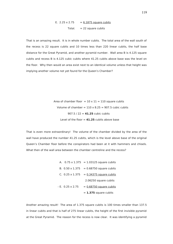E. 
$$
2.25 \times 2.75 = 6.1875
$$
 square cubits  
Total.  $= 22$  square cubits

That is an amazing result. It is in whole number cubits. The total area of the wall south of the recess is 22 square cubits and 10 times less than 220 linear cubits, the half base distance for the Great Pyramid, and another pyramid number. Wall area B is 4.125 square cubits and recess B is 4.125 cubic cubits where 41.25 cubits above base was the level on the floor. Why then would an area exist next to an identical volume unless that height was implying another volume not yet found for the Queen's Chamber?

> Area of chamber floor =  $10 \times 11 = 110$  square cubits Volume of chamber =  $110 \times 8.25 = 907.5$  cubic cubits 907.5  $/22 = 41.25$  cubic cubits Level of the floor = **41.25** cubits above base

That is even more extraordinary! The volume of the chamber divided by the area of the wall have produced the number 41.25 cubits, which is the level above base of the original Queen's Chamber floor before the conspirators had been at it with hammers and chisels. What then of the wall area between the chamber centreline and the recess?

> A.  $0.75 \times 1.375 = 1.03125$  square cubits B.  $0.50 \times 1.375 = 0.68750$  square cubits C.  $0.25 \times 1.375 = 0.34375$  square cubits 2.06250 square cubits  $-E. 0.25 \times 2.75 = 0.68750$  square cubits = **1.375** square cubits

Another amazing result! The area of 1.375 square cubits is 100 times smaller than 137.5 in linear cubits and that is half of 275 linear cubits, the height of the first invisible pyramid at the Great Pyramid. The reason for the recess is now clear. It was identifying a pyramid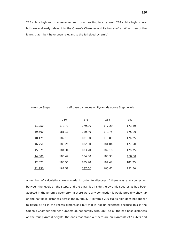275 cubits high and to a lesser extent it was reacting to a pyramid 264 cubits high, where both were already relevant to the Queen's Chamber and its two shafts. What then of the levels that might have been relevant to the full sized pyramid?

#### Levels on Steps Half base distances on Pyramids above Step Levels

|        | 280    | 275    | 264    | 242    |
|--------|--------|--------|--------|--------|
| 51.250 | 178.73 | 179.00 | 177.29 | 173.40 |
| 49.500 | 181.11 | 180.40 | 178.75 | 175.00 |
| 48.125 | 182.18 | 181.50 | 179.89 | 176.25 |
| 46.750 | 183.26 | 182.60 | 181.04 | 177.50 |
| 45.375 | 184 34 | 183.70 | 182.18 | 178.75 |
| 44.000 | 185.42 | 184.80 | 183.33 | 180.00 |
| 42.625 | 186.50 | 185.90 | 184.47 | 181.25 |
| 41.250 | 187.58 | 187.00 | 185.62 | 182.50 |

A number of calculations were made in order to discover if there was any connection between the levels on the steps, and the pyramids inside the pyramid squares as had been adopted in the pyramid geometry. If there were any connection it would probably show up on the half base distances across the pyramid. A pyramid 280 cubits high does not appear to figure at all in the recess dimensions but that is not un-expected because this is the Queen's Chamber and her numbers do not comply with 280. Of all the half base distances on the four pyramid heights, the ones that stand out here are on pyramids 242 cubits and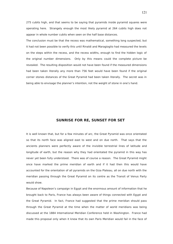275 cubits high, and that seems to be saying that pyramids inside pyramid squares were operating here. Strangely enough the most likely pyramid at 264 cubits high does not appear in whole number cubits when seen on the half base distances.

The conclusion must be that the recess was mathematical, something long suspected, but it had not been possible to verify this until Rinaldi and Maragioglio had measured the levels on the steps within the recess, and the recess widths, enough to find the hidden logic of the original number dimensions. Only by this means could the complete picture be revealed. The resulting disposition would not have been found if the measured dimensions had been taken literally any more than 756 feet would have been found if the original corner stones distances of the Great Pyramid had been taken literally. The secret was in being able to envisage the planner's intention, not the weight of stone in one's hand.

# **SUNRISE FOR RE, SUNSET FOR SET**

It is well known that, but for a few minutes of arc, the Great Pyramid was once orientated so that its north face was aligned east to west and on due north. That says that the ancients planners were perfectly aware of the invisible terrestrial lines of latitude and longitude of earth, but the reason why they had orientated the pyramid in this way has never yet been fully understood. There was of course a reason. The Great Pyramid might once have marked the prime meridian of earth and if it had then this would have accounted for the orientation of all pyramids on the Giza Plateau, all on due north with the meridian passing through the Great Pyramid on its centre as the Transit of Venus Party would show.

Because of Napoleon's campaign in Egypt and the enormous amount of information that he brought back to Paris, France has always been aware of things connected with Egypt and the Great Pyramid. In fact, France had suggested that the prime meridian should pass through the Great Pyramid at the time when the matter of world meridians was being discussed at the 1884 International Meridian Conference held in Washington. France had made this proposal only when it knew that its own Paris Meridian would fail in the face of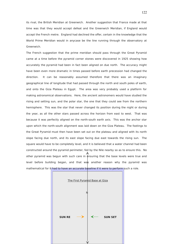its rival, the British Meridian at Greenwich. Another suggestion that France made at that time was that they would accept defeat and the Greenwich Meridian, if England would accept the French metre. England had declined the offer, certain in the knowledge that the World Prime Meridian would in anycase be the line running through the observatory at Greenwich.

The French suggestion that the prime meridian should pass through the Great Pyramid came at a time before the pyramid corner stones were discovered in 1925 showing how accurately the pyramid had been in fact been aligned on due north. The accuracy might have been even more dramatic in times passed before earth precession had changed the direction. It can be reasonably assumed therefore that there was an imaginary geographical line of longitude that had passed through the north and south poles of earth, and onto the Giza Plateau in Egypt. The area was very probably used a platform for making astronomical observations. Here, the ancient astronomers would have studied the rising and setting sun, and the polar star, the one that they could see from the northern hemisphere. This was the star that never changed its position during the night or during the year, as all the other stars passed across the horizon from east to west. That was because it was perfectly aligned on the north-south earth axis. This was the anchor star upon which the north-south alignment was laid down on the Giza Plateau. The footings to the Great Pyramid must then have been set out on the plateau and aligned with its north slope facing due north, and its east slope facing due east towards the rising sun. The square would have to be completely level, and it is believed that a water channel had been constructed around the pyramid perimeter, fed by the Nile nearby so as to ensure this. No other pyramid was begun with such care in  $\text{ensuring}$  that the base levels were true and level before building began, and that was another reason why the pyramid was mathematical for it had to have an accurate baseline if it were to perform such a role.



122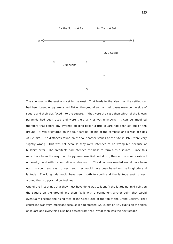

S

The sun rose in the east and set in the west. That leads to the view that the setting out had been based on pyramids laid flat on the ground so that their bases were on the side of square and their tips faced into the square. If that were the case then which of the known pyramids had been used and were there any as yet unknown? It can be imagined therefore that before any pyramid building began a true square had been set out on the ground. It was orientated on the four cardinal points of the compass and it was of sides 440 cubits. The distances found on the four corner stones at the site in 1925 were very slightly wrong. This was not because they were intended to be wrong but because of builder's error. The architects had intended the base to form a true square. Since this must have been the way that the pyramid was first laid down, then a true square existed on level ground with its centreline on due north. The directions needed would have been north to south and east to west, and they would have been based on the longitude and latitude. The longitude would have been north to south and the latitude east to west around the two pyramid centrelines.

One of the first things that they must have done was to identify the latitudinal mid-point on the square on the ground and then fix it with a permanent anchor point that would eventually become the rising face of the Great Step at the top of the Grand Gallery. That centreline was very important because it had created 220 cubits on 440 cubits on the sides of square and everything else had flowed from that. What then was the next stage?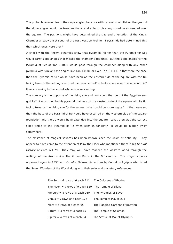The probable answer lies in the slope angles, because with pyramids laid flat on the ground the slope angles would be two-directional and able to give any coordinates needed over the square. The positions might have determined the size and orientation of the King's Chamber already offset south of the east-west centreline. If pyramids had determined this then which ones were they?

A check with the known pyramids show that pyramids higher than the Pyramid for Set would carry slope angles that missed the chamber altogether. But the slope angles for the Pyramid of Set at Tan 1.1000 would pass through the chamber along with any other pyramid with similar base angles like Tan 1.0900 or even Tan 1.1111. If that were the case then the Pyramid of Set would have been on the eastern side of the square with the tip facing towards the setting sun. Had the term 'sunset' actually come about because of this? It was referring to the sunset whose sun was setting.

The corollary is the opposite of the rising sun and how could that be but the Egyptian sun god Re? It must then be his pyramid that was on the western side of the square with its tip facing towards the rising sun for the sun-re. What could be more logical? If that were so, then the base of the Pyramid of Re would have occurred on the western side of the square foundation and the tip would have extended into the square. What then was the correct slope angle of the Pyramid of Re when seen in tangent? It would be hidden away somewhere.

The existence of magical squares has been known since the dawn of antiquity. They appear to have come to the attention of Pliny the Elder who mentioned them in his Natural History of circa AD 79. They may well have reached the western world through the writings of the Arab scribe Thabit ben Kurra in the  $9<sup>th</sup>$  century. The magic squares appeared again in 1533 with Occulta Philosophia written by Cornelius Agrippa who listed the Seven Wonders of the World along with their solar and planetary references.

| The Sun $= 6$ rows of 6 each $111$ The Colossus of Rhodes |                                |
|-----------------------------------------------------------|--------------------------------|
| The Moon $= 9$ rows of 9 each 369 The Temple of Diana     |                                |
| Mercury $= 8$ rows of 8 each 260 The Pyramids of Egypt    |                                |
| Venus $= 7$ rows of 7 each 176                            | The Tomb of Mausoleus          |
| Mars $=$ 5 rows of 5 each 65                              | The Hanging Gardens of Babylon |
| Saturn $=$ 3 rows of 3 each 15                            | The Temple of Solomon          |
| Jupiter $=$ 4 rows of 4 each 34                           | The Statue at Mount Olympus    |

124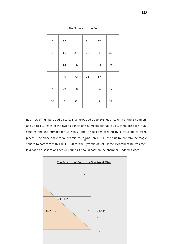| $\,$ 6 $\,$      | 32     | 3      | 34             | 35             | $\mathbf 1$ |
|------------------|--------|--------|----------------|----------------|-------------|
| $\boldsymbol{7}$ | $11\,$ | 27     | 28             | $\, 8$         | 30          |
| 19               | 14     | 16     | 15             | 23             | 24          |
| 18               | $20\,$ | 22     | 21             | 17             | 13          |
| 25               | 29     | $10\,$ | 9              | 26             | 12          |
| 36               | 5      | 33     | $\overline{4}$ | $\overline{2}$ | 31          |

#### The Square on the Sun

Each row of numbers add up to 111, all rows add up to 666, each column of the 6 numbers add up to 111, each of the two diagonals of 6 numbers add up to 111, there are  $6 \times 6 = 36$ squares and the number for Re was 6, and it had been created by 1 recurring to three places. The slope angle for a Pyramid of Re was Tan 1.1111 the clue taken from the magic square to compare with Tan 1.1000 for the Pyramid of Set. If the Pyramid of Re was then laid flat on a square of sides 440 cubits it should pass on the chamber. Indeed it does!

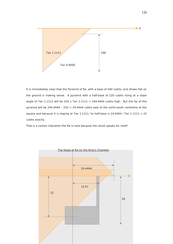

It is immediately clear that the Pyramid of Re, with a base of 440 cubits, and shown flat on the ground is making sense. A pyramid with a half-base of 220 cubits rising at a slope angle of Tan 1.1111 will be 220 x Tan 1.1111 = 244.4444 cubits high. But the tip of this pyramid will be 244.4444 - 220 = 24.4444 cubits east of the north-south centreline of the square and because it is sloping at Tan 1.1111, its half-base is 24.4444 / Tan  $1.1111 = 22$ cubits exactly.

That is a certain indication the Re is here because the result speaks for itself!

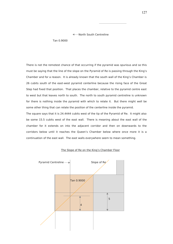#### North South Centreline

Tan 0.9000

There is not the remotest chance of that occurring if the pyramid was spurious and so this must be saying that the line of the slope on the Pyramid of Re is passing through the King's Chamber and for a reason. It is already known that the south wall of the King's Chamber is 26 cubits south of the east-west pyramid centerline because the rising face of the Great Step had fixed that position. That places the chamber, relative to the pyramid centre east to west but that leaves north to south. The north to south pyramid centreline is unknown for there is nothing inside the pyramid with which to relate it. But there might well be some other thing that can relate the position of the centerline inside the pyramid.

The square says that it is 24.4444 cubits west of the tip of the Pyramid of Re. It might also be some 15.5 cubits west of the east wall. There is meaning about the east wall of the chamber for it extends on into the adjacent corridor and then on downwards to the corridors below until it reaches the Queen's Chamber below where once more it is a continuation of the east wall. The east walls everywhere seem to mean something.



#### The Slope of Re on the King's Chamber Floor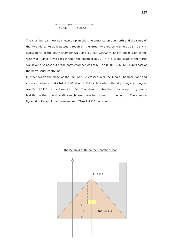

The chamber can now be shown on plan with the entrance on due north and the slope of the Pyramid of Re as it passes through on the Great Pyramid centreline at  $26 - 22 = 4$ cubits north of the south chamber wall, and  $4/$  Tan 0.9000 = 4.4444 cubits east of the west wall. Since it will pass through the chamber at  $10 - 4 = 6$  cubits south of the north wall it will also pass out of the north chamber wall at 6 / Tan 0.9000 = 6.6666 cubits east of the north-south centreline.

In other words the slope of the Sun God Re crosses over the King's Chamber floor and covers a distance of  $4.4444 + 6.6666 = 11.1111$  cubits where the slope angle in tangent was Tan 1.1111 for the Pyramid of Re. That demonstrates that the concept of pyramids laid flat on the ground at Giza might well have had some truth behind it. There was a Pyramid of Re and it had base angles of **Tan 1.1111** recurring.



#### The Pyramid of Re on the Chamber Floor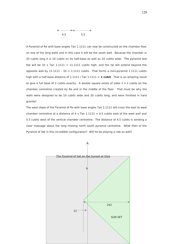

A Pyramid of Re with base angles Tan 1.1111 can now be constructed on the chamber floor on one of the long walls and in this case it will be the south wall. Because the chamber is 20 cubits long it is 10 cubits on its half-base as well as 10 cubits wide. The pyramid laid flat will be 10 x Tan 1.1111 = 11.1111 cubits high, and the tip will extend beyond the opposite wall by  $11.1111 - 10 = 1.1111$  cubits. That forms a mini-pyramid  $1.1111$  cubits high with a half-base distance of 1.1111 / Tan 1.1111 = **1 cubit**. That is an amazing result to give a full base of 2 cubits exactly. A double square exists of sides  $1 \times 2$  cubits on the chamber centreline created by Re and in the middle of the floor. That must be why the walls were designed to be 10 cubits wide and 20 cubits long, and were finished in hard granite!

The west slope of the Pyramid of Re with base angles Tan 1.1111 will cross the east to west chamber centreline at a distance of 4 x Tan  $1.1111 = 4.5$  cubits east of the west wall and 5.5 cubits west of the vertical chamber centreline. The distance of 4.5 cubits is sending a clear message about the long missing north south pyramid centreline. What then of the Pyramid of Set in this incredible configuration? Will he be playing a role as well?

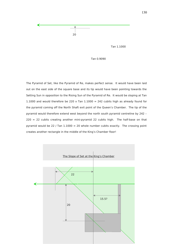

Tan 1.1000

Tan 0.9090

The Pyramid of Set, like the Pyramid of Re, makes perfect sense. It would have been laid out on the east side of the square base and its tip would have been pointing towards the Setting Sun in opposition to the Rising Sun of the Pyramid of Re. It would be sloping at Tan 1.1000 and would therefore be 220 x Tan  $1.1000 = 242$  cubits high as already found for the pyramid coming off the North Shaft exit point of the Queen's Chamber. The tip of the pyramid would therefore extend west beyond the north south pyramid centreline by 242 –  $220 = 22$  cubits creating another mini-pyramid 22 cubits high. The half-base on that pyramid would be 22 / Tan  $1.1000 = 20$  whole number cubits exactly. The crossing point creates another rectangle in the middle of the King's Chamber floor!



130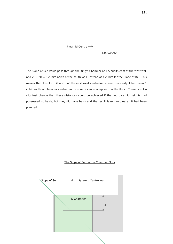Pyramid Centre

Tan 0.9090

The Slope of Set would pass through the King's Chamber at 4.5 cubits east of the west wall and  $26 - 20 = 6$  cubits north of the south wall, instead of 4 cubits for the Slope of Re. This means that it is 1 cubit north of the east west centreline where previously it had been 1 cubit south of chamber centre, and a square can now appear on the floor. There is not a slightest chance that these distances could be achieved if the two pyramid heights had possessed no basis, but they did have basis and the result is extraordinary. It had been planned.

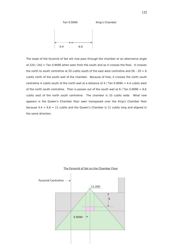

The slope of the Pyramid of Set will now pass through the chamber at an alternative angle of 220 / 242 = Tan 0.9090 when seen from the south and as it crosses the floor. It crosses the north to south centreline at 20 cubits south of the east west centreline and 26 - 20 = 6 cubits north of the south wall of the chamber. Because of that, it crosses the north south centreline 4 cubits south of the north wall at a distance of 4 / Tan  $0.9090 = 4.4$  cubits west of the north south centreline. Then is passes out of the south wall at  $6/$  Tan 0.9090 = 6.6 cubits east of the north south centreline. The chamber is 10 cubits wide. What now appears is the Queen's Chamber floor seen transposed over the King's Chamber floor because  $4.4 + 6.6 = 11$  cubits and the Queen's Chamber is 11 cubits long and aligned in the same direction.



## The Pyramid of Set on the Chamber Floor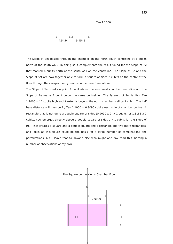Tan 1.1000

$$
\begin{array}{|c|c|}\n\hline\n4.5454 & 5.4545 \\
\hline\n\end{array}
$$

The Slope of Set passes through the chamber on the north south centreline at 6 cubits north of the south wall. In doing so it complements the result found for the Slope of Re that marked 4 cubits north of the south wall on the centreline. The Slope of Re and the Slope of Set are now together able to form a square of sides 2 cubits on the centre of the floor through their respective pyramids on the base foundations.

The Slope of Set marks a point 1 cubit above the east west chamber centreline and the Slope of Re marks  $1$  cubit below the same centreline. The Pyramid of Set is  $10 \times$  Tan  $1.1000 = 11$  cubits high and it extends beyond the north chamber wall by 1 cubit. The half base distance will then be  $1/$  Tan  $1.1000 = 0.9090$  cubits each side of chamber centre. A rectangle that is not quite a double square of sides (0.9090 x 2) x 1 cubits, or 1.8181 x 1 cubits, now emerges directly above a double square of sides  $2 \times 1$  cubits for the Slope of Re. That creates a square and a double square and a rectangle and two more rectangles, and looks as this figure could be the basis for a large number of combinations and permutations, but I leave that to anyone else who might one day read this, barring a number of observations of my own.



133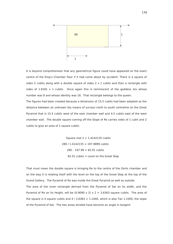

It is beyond comprehension that any geometrical figure could have appeared on the exact centre of the King's Chamber floor if it had come about by accident. There is a square of sides 2 cubits along with a double square of sides  $2 \times 1$  cubits and then a rectangle with sides of  $1.8181 \times 1$  cubits. Once again this is reminiscent of the goddess Isis whose number was 8 and whose identity was 18. That rectangle belongs to the queen.

The figures had been created because a dimension of 15.5 cubits had been adopted as the distance between an unknown (by means of survey) north to south centreline on the Great Pyramid that is 15.5 cubits west of the east chamber wall and 4.5 cubits east of the west chamber wall. The double square coming off the Slope of Re carries sides of 1 cubit and 2 cubits to give an area of 2 square cubits.

> Square root  $2 = 1.4142135$  cubits 280 / 1.4142135 = 197.9899 cubits  $280 - 197.99 = 82.01$  cubits  $82.01$  cubits = Level on the Great Step

That must mean the double square is bringing Re to the centre of the Osiris chamber and on the way it is relating itself with the level on the top of the Great Step at the top of the Grand Gallery. The Pyramid of Re was inside the Great Pyramid as well as outside. The area of the inner rectangle derived from the Pyramid of Set on its width, and the Pyramid of Re on its height, will be (0.9090 x 2) x 2 = 3.6363 square cubits. The area of the square is 4 square cubits and  $4/3.6363 = 1.1000$ , which is also Tan 1.1000, the slope of the Pyramid of Set. The two areas divided have become an angle in tangent.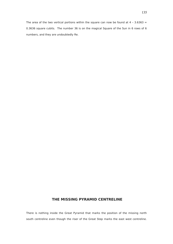# **THE MISSING PYRAMID CENTRELINE**

There is nothing inside the Great Pyramid that marks the position of the missing north south centreline even though the riser of the Great Step marks the east west centreline.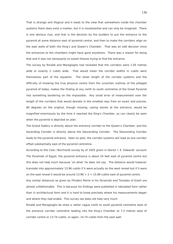That is strange and illogical and it leads to the view that somewhere inside the chamber systems there does exist a marker, but it is insubstantial and can only be imagined. There is one obvious clue, and that is the decision by the builders to put the entrance to the pyramid at some distance east of pyramid centre, and then to make the corridors align on the east walls of both the King's and Queen's Chamber. That was an odd decision since the entrances to the chambers might have gone anywhere. There was a reason for doing that and it was not necessarily to outwit thieves trying to find the entrance.

The survey by Rinaldi and Maragioglio had revealed that the corridors were 1.05 metres wide or exactly 2 cubits wide. That would mean the corridor widths in cubits were themselves part of the equation. The sheer length of the corridor systems and the difficulty of knowing the true physical centre from the uncertain outlines of the pillaged pyramid of today, makes the finding of any north to south centreline of the Great Pyramid into something bordering on the impossible. Any small error of measurement over the length of the corridors that would deviate in the smallest way from an exact and precise, 90 degrees on the original, though missing, casing stones at the entrance, would be magnified enormously by the time it reached the King's Chamber, as can clearly be seen when the pyramid is depicted on plan.

The Grand Gallery is directly above the entrance corridor to the Queen's Chamber, and the Ascending Corridor is directly above the Descending Corridor. The Descending Corridor leads to the pyramid entrance. Seen on plan, the corridor systems will read as one corridor offset substantially east of the pyramid centreline.

According to the Cole / Borchardt survey by of 1925 given in Doctor I. E. Edwards' account The Pyramids of Egypt, the pyramid entrance is about 24 feet east of pyramid centre but this does not help much because 'on what' he does not say. The distance would however translate into approximately 13.96 cubits if it were actually on the west reveal but if it were on the east reveal it would be around  $13.96 + 2 = 15.96$  cubits east of pyramid centre.

Any similar distances as given by Flinders Petrie in his Pyramids and Temples of Gizeh are almost unfathomable. This is because his findings were published in tabulated form rather than in architectural form and it is hard to know precisely where his measurements began and where they had ended. This survey too does not help very much.

Rinaldi and Maragioglio do show a rather vague north to south pyramid centreline west of the entrance corridor centreline leading into the King's Chamber at 7.2 metres west of corridor centre or 13.74 cubits, or again, 14.74 cubits from the east wall.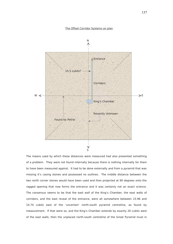#### The Offset Corridor Systems on plan



The means used by which these distances were measured had also presented something of a problem. They were not found internally because there is nothing internally for them to have been measured against. It had to be done externally and from a pyramid that was missing it's casing stones and possessed no outlines. The middle distance between the two north corner stones would have been used and then projected at 90 degrees onto the ragged opening that now forms the entrance and it was certainly not an exact science. The consensus seems to be that the east wall of the King's Chamber, the east walls of corridors, and the east reveal of the entrance, were all somewhere between 15.96 and 14.74 cubits east of the 'uncertain' north-south pyramid centreline, as found by measurement. If that were so, and the King's Chamber extends by exactly 20 cubits west of the east walls, then the unplaced north-south centreline of the Great Pyramid must in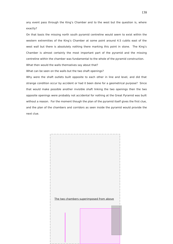any event pass through the King's Chamber and to the west but the question is, where exactly?

On that basis the missing north south pyramid centreline would seem to exist within the western extremities of the King's Chamber at some point around 4.5 cubits east of the west wall but there is absolutely nothing there marking this point in stone. The King's Chamber is almost certainly the most important part of the pyramid and the missing centreline within the chamber was fundamental to the whole of the pyramid construction.

What then would the walls themselves say about that?

What can be seen on the walls but the two shaft openings?

Why were the shaft outlets built opposite to each other in line and level, and did that strange condition occur by accident or had it been done for a geometrical purpose? Since that would make possible another invisible shaft linking the two openings then the two opposite openings were probably not accidental for nothing at the Great Pyramid was built without a reason. For the moment though the plan of the pyramid itself gives the first clue, and the plan of the chambers and corridors as seen inside the pyramid would provide the next clue.

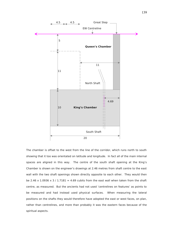

The chamber is offset to the west from the line of the corridor, which runs north to south showing that it too was orientated on latitude and longitude. In fact all of the main internal spaces are aligned in this way. The centre of the south shaft opening at the King's Chamber is shown on the engineer's drawings at 2.46 metres from shaft centre to the east wall with the two shaft openings shown directly opposite to each other. They would then be 2.46 x 1.0936 x 3 / 1.7181 = 4.69 cubits from the east wall when taken from the shaft centre, as measured. But the ancients had not used 'centrelines on features' as points to be measured and had instead used physical surfaces. When measuring the lateral positions on the shafts they would therefore have adopted the east or west faces, on plan, rather than centrelines, and more than probably it was the eastern faces because of the spiritual aspects.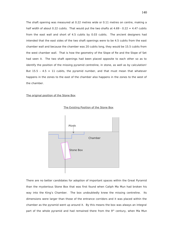The shaft opening was measured at 0.22 metres wide or 0.11 metres on centre, making a half width of about 0.22 cubits. That would put the two shafts at  $4.69 - 0.22 = 4.47$  cubits from the east wall and short of 4.5 cubits by 0.03 cubits. The ancient designers had intended that the east sides of the two shaft openings were to be 4.5 cubits from the east chamber wall and because the chamber was 20 cubits long, they would be 15.5 cubits from the west chamber wall. That is how the geometry of the Slope of Re and the Slope of Set had seen it. The two shaft openings had been placed opposite to each other so as to identify the position of the missing pyramid centreline, in stone, as well as by calculation! But  $15.5 - 4.5 = 11$  cubits, the pyramid number, and that must mean that whatever happens in the zones to the east of the chamber also happens in the zones to the west of the chamber.

### The original position of the Stone Box



The Existing Position of the Stone Box

There are no better candidates for adoption of important spaces within the Great Pyramid than the mysterious Stone Box that was first found when Caliph Ma Mun had broken his way into the King's Chamber. The box undoubtedly knew the missing centreline. Its dimensions were larger than those of the entrance corridors and it was placed within the chamber as the pyramid went up around it. By this means the box was always an integral part of the whole pyramid and had remained there from the  $9<sup>th</sup>$  century, when Ma Mun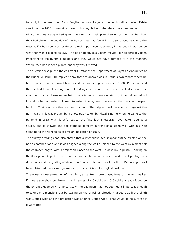found it, to the time when Piazzi Smythe first saw it against the north wall, and when Petrie saw it next in 1880. It remains there to this day, but unfortunately it has been moved.

Rinaldi and Maragioglio had given the clue. On their plan drawing of the chamber floor they had shown the position of the box as they had found it in 1965, placed askew to the west as if it had been cast aside of no real importance. Obviously it had been important so why then was it placed askew? The box had obviously been moved. It had certainly been important to the pyramid builders and they would not have dumped it in this manner. Where then had it been placed and why was it moved?

The question was put to the Assistant Curator of the Department of Egyptian Antiquities at the British Museum. He replied to say that the answer was in Petrie's own report, where he had recorded that he himself had moved the box during his survey in 1880. Petrie had said that he had found it resting (on a plinth) against the north wall when he first entered the chamber. He had been somewhat curious to know if any secrets might be hidden behind it, and he had organized his men to swing it away from the wall so that he could inspect behind. That was how the box been moved. The original position was hard against the north wall. This was proven by a photograph taken by Piazzi Smythe when he came to the pyramid in 1865 with his wife Jessica, the first flash photograph ever taken outside a studio, and it showed the box standing directly in front of a stone wall with his wife standing to the right so as to give an indication of scale.

The survey drawings had also shown that a mysterious 'tee-shaped' outline existed on the north chamber floor, and it was aligned along the wall displaced to the west by almost half the chamber length, with a projection biased to the west. It looks like a plinth. Looking on the floor plan it is plain to see that the box had been on the plinth, and recent photographs do show a curious grating affair on the floor at this north wall position. Petrie might well have disturbed the sacred geometry by moving it from its original position.

There was a clear projection of the plinth, at centre, shown biased towards the west wall as if it were somehow confirming the distances of 4.5 cubits and 5.5 cubits already found on the pyramid geometry. Unfortunately, the engineers had not deemed it important enough to take any dimensions but by scaling off the drawings directly it appears as if the plinth was 1 cubit wide and the projection was another 1 cubit wide. That would be no surprise if it were true.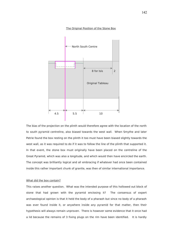



The bias of the projection on the plinth would therefore agree with the location of the north to south pyramid centreline, also biased towards the west wall. When Smythe and later Petrie found the box resting on the plinth it too must have been biased slightly towards the west wall, as it was required to do if it was to follow the line of the plinth that supported it. In that event, the stone box must originally have been placed on the centreline of the Great Pyramid, which was also a longitude, and which would then have encircled the earth. The concept was brilliantly logical and all embracing if whatever had once been contained inside this rather important chunk of granite, was then of similar international importance.

#### What did the box contain?

This raises another question. What was the intended purpose of this hollowed out block of stone that had grown with the pyramid enclosing it? The consensus of expert archaeological opinion is that it held the body of a pharaoh but since no body of a pharaoh was ever found inside it, or anywhere inside any pyramid for that matter, then their hypothesis will always remain unproven. There is however some evidence that it once had a lid because the remains of 3 fixing plugs on the rim have been identified. It is hardly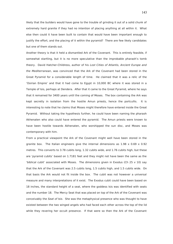likely that the builders would have gone to the trouble of grinding it out of a solid chunk of extremely hard granite if they had no intention of placing anything at all within it. What else then could it have been built to contain that would have been important enough to justify the effort, and the placing of it within the pyramid? There are few likely candidates but one of them stands out.

Another theory is that it held a dismantled Ark of the Covenant. This is entirely feasible, if somewhat startling, but it is no more speculative than the improbable pharaoh's tomb theory. David Hatcher-Childress, author of his Lost Cities of Atlantis, Ancient Europe and the Mediterranean, was convinced that the Ark of the Covenant had been stored in the Great Pyramid for a considerable length of time. He claimed that it was a relic of the 'Osirian Empire' and that it had come to Egypt in 10,000 BC where it was stored in a Temple of Isis, perhaps at Dendera. After that it came to the Great Pyramid, where he says that it remained for 3400 years until the coming of Moses. The box containing the Ark was kept secretly in isolation from the hostile Amun priests, hence the portcullis. It is interesting to note that he claims that Moses might therefore have entered inside the Great Pyramid. Without taking the hypothesis further, he could have been naming the pharaoh Akhenaten who also could have entered the pyramid. The Amun priests were known to have been hostile towards Akhenaten, who worshipped the sun disc, and Moses was contemporary with him.

From a practical viewpoint the Ark of the Covenant might well have been stored in the granite box. The Italian engineers give the internal dimensions as  $1.98 \times 0.69 \times 0.92$ metres. This converts to 3.78 cubits long, 1.32 cubits wide, and 1.76 cubits high, but these are 'pyramid cubits' based on 1.7181 feet and they might not have been the same as the 'biblical cubit' associated with Moses. The dimensions given in Exodus (Ch 25 v 10) say that the Ark of the Covenant was 2.5 cubits long, 1.5 cubits high, and 1.5 cubits wide. On that basis the Ark would not fit inside the box. The cubit was not however a universal measure and many interpretations of it exist. The Exodus cubit could have been based on 18 inches, the standard height of a seat, where the goddess Isis was identified with seats and the number 18. The Mercy Seat that was placed on top of the Ark of the Covenant was conceivably the Seat of Isis. She was the metaphysical presence who was thought to have existed between the two winged angels who had faced each other across the top of the lid while they revering her occult presence. If that were so then the Ark of the Covenant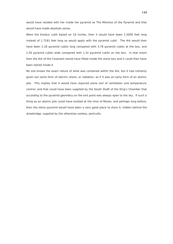would have resided with her inside her pyramid as The Mistress of the Pyramid and that would have made absolute sense.

Were the Exodus cubit based on 18 inches, then it would have been 1.5000 feet long instead of 1.7181 feet long as would apply with the pyramid cubit. The Ark would then have been 2.18 pyramid cubits long compared with 3.78 pyramid cubits at the box, and 1.30 pyramid cubits wide compared with 1.32 pyramid cubits on the box. In that event then the Ark of the Covenant would have fitted inside the stone box and it could then have been stored inside it.

No one knows the exact nature of what was contained within the Ark, but it had certainly given out some form of electric shock, or radiation, as if it was an early form of an atomic pile. This implies that it would have required some sort of ventilation and temperature control, and that could have been supplied by the South Shaft of the King's Chamber that according to the pyramid geometry on the exit point was always open to the sky. If such a thing as an atomic pile could have existed at the time of Moses, and perhaps long before, then the stone pyramid would have been a very good place to store it, hidden behind the drawbridge, supplied by the otherwise useless, portcullis.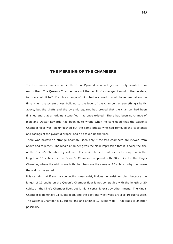# **THE MERGING OF THE CHAMBERS**

The two main chambers within the Great Pyramid were not geometrically isolated from each other. The Queen's Chamber was not the result of a change of mind of the builders, for how could it be? If such a change of mind had occurred it would have been at such a time when the pyramid was built up to the level of the chamber, or something slightly above, but the shafts and the pyramid squares had proved that the chamber had been finished and that an original stone floor had once existed. There had been no change of plan and Doctor Edwards had been quite wrong when he concluded that the Queen's Chamber floor was left unfinished but the same priests who had removed the capstones and casings of the pyramid proper, had also taken up the floor.

There was however a strange anomaly, seen only if the two chambers are viewed from above and together. The King's Chamber gives the clear impression that it is twice the size of the Queen's Chamber, by volume. The main element that seems to deny that is the length of 11 cubits for the Queen's Chamber compared with 20 cubits for the King's Chamber, where the widths are both chambers are the same at 10 cubits. Why then were the widths the same?

It is certain that if such a conjunction does exist, it does not exist 'on plan' because the length of 11 cubits on the Queen's Chamber floor is not compatible with the length of 20 cubits on the King's Chamber floor, but it might certainly exist by other means. The King's Chamber is nominally 11 cubits high, and the east and west walls are also 10 cubits wide. The Queen's Chamber is 11 cubits long and another 10 cubits wide. That leads to another possibility.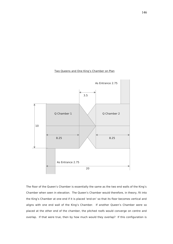# Two Queens and One King's Chamber on Plan



The floor of the Queen's Chamber is essentially the same as the two end walls of the King's Chamber when seen in elevation. The Queen's Chamber would therefore, in theory, fit into the King's Chamber at one end if it is placed 'end-on' so that its floor becomes vertical and aligns with one end wall of the King's Chamber. If another Queen's Chamber were so placed at the other end of the chamber, the pitched roofs would converge on centre and overlap. If that were true, then by how much would they overlap? If this configuration is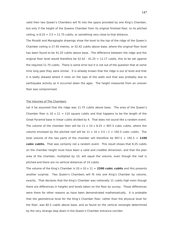valid then two Queen's Chambers will fit into the space provided by one King's Chamber, but only if the height of the Queens Chamber from its original finished floor, to its pitched ceiling, is  $8.25 + 3.5 = 11.75$  cubits, or something very close to that distance.

The Rinaldi and Maragioglio drawings show the level to the top of the ridge of the Queen's Chamber ceiling is 27.45 metres, or 52.42 cubits above base, where the original floor level has been found to be 41.25 cubits above base. The difference between the ridge and the original floor level would therefore be  $52.42 - 41.25 = 11.17$  cubits, this to be set against the required 11.75 cubits. There is some error but it is not out of the question that at some time long past they were similar. It is already known that the ridge is out of level and that it is badly skewed where it rests on the tops of the walls and that was probably due to earthquake activity as it occurred down the ages. The height measured from an uneven floor was compromised.

#### The Volumes of The Chambers

Let it be assumed that the ridge was 11.75 cubits above base. The area of the Oueen's Chamber floor is  $10 \times 11 = 110$  square cubits and that happens to be the length of the Great Pyramid base in linear cubits divided by 4. That does not sound like a random event. The volume of the chamber then will be  $11 \times 10 \times 8.25 = 907.5$  cubic cubits, where the volume enclosed by the pitched roof will be  $11 \times 10 \times 3.5 / 2 = 192.5$  cubic cubits. The total volume of the two parts of the chamber will therefore be  $907.5 + 192.5 = 1100$ **cubic cubits.** That was certainly not a random event. This result shows that 8.25 cubits on the chamber height must have been a valid and credible dimension, and that the plan area of the chamber, multiplied by 10, will equal the volume, even though the roof is pitched and there are no vertical distances of 10 cubits.

The volume of the King's Chamber is  $20 \times 10 \times 11 = 2200$  cubic cubits and this presents another surprise. Two Queen's Chambers will fit into one King's Chamber by volume, exactly. That declares that the King's Chamber was notionally 11 cubits high even though there are differences in heights and levels taken on the floor by survey. Those differences were there for other reasons as have been demonstrated mathematically. It is probable that the geometrical level for the King's Chamber floor, rather than the physical level for the floor, was 82.5 cubits above base, and as found on the vertical rectangle determined by the very strange step down in the Queen's Chamber entrance corridor.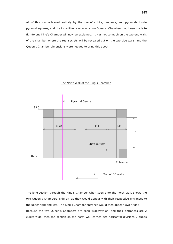All of this was achieved entirely by the use of cubits, tangents, and pyramids inside pyramid squares, and the incredible reason why two Queens' Chambers had been made to fit into one King's Chamber will now be explained. It was not so much on the two end walls of the chamber where the real secrets will be revealed but on the two side walls, and the Queen's Chamber dimensions were needed to bring this about.

# The North Wall of the King's Chamber



The long-section through the King's Chamber when seen onto the north wall, shows the two Queen's Chambers 'side on' as they would appear with their respective entrances to the upper right and left. The King's Chamber entrance would then appear lower right. Because the two Queen's Chambers are seen 'sideways-on' and their entrances are 2 cubits wide, then the section on the north wall carries two horizontal divisions 2 cubits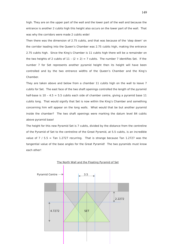high. They are on the upper part of the wall and the lower part of the wall and because the entrance is another 2 cubits high this height also occurs on the lower part of the wall. That was why the corridors were made 2 cubits wide!

Then there was the dimension of 2.75 cubits, and that was because of the 'step down' on the corridor leading into the Queen's Chamber was 2.75 cubits high, making the entrance 2.75 cubits high. Since the King's Chamber is 11 cubits high there will be a remainder on the two heights of 2 cubits of  $11 - (2 + 2) = 7$  cubits. The number 7 identifies Set. If the number 7 for Set represents another pyramid height then its height will have been controlled and by the two entrance widths of the Queen's Chamber and the King's Chamber.

They are taken above and below from a chamber 11 cubits high on the wall to leave 7 cubits for Set. The east face of the two shaft openings controlled the length of the pyramid half-base is  $10 - 4.5 = 5.5$  cubits each side of chamber centre, giving a pyramid base 11 cubits long. That would signify that Set is now within the King's Chamber and something concerning him will appear on the long walls. What would that be but another pyramid inside the chamber? The two shaft openings were marking the datum level 84 cubits above pyramid base!

The height for this new Pyramid Set is 7 cubits, divided by the distance from the centreline of the Pyramid of Set to the centreline of the Great Pyramid, at 5.5 cubits, is an incredible value of  $7 / 5.5$  = Tan 1.2727 recurring. That is strange because Tan 1.2727 was the tangential value of the base angles for the Great Pyramid! The two pyramids must know each other!



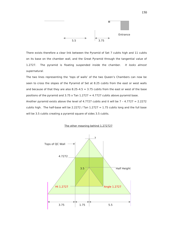

There exists therefore a clear link between the Pyramid of Set 7 cubits high and 11 cubits on its base on the chamber wall, and the Great Pyramid through the tangential value of 1.2727. The pyramid is floating suspended inside the chamber. It looks almost supernatural.

The two lines representing the 'tops of walls' of the two Queen's Chambers can now be seen to cross the slopes of the Pyramid of Set at 8.25 cubits from the east or west walls and because of that they are also 8.25-4.5 = 3.75 cubits from the east or west of the base positions of the pyramid and  $3.75 \times$  Tan  $1.2727 = 4.7727$  cubits above pyramid base. Another pyramid exists above the level of 4.7727 cubits and it will be  $7 - 4.7727 = 2.2272$ 

cubits high. The half-base will be 2.2272 / Tan  $1.2727 = 1.75$  cubits long and the full base will be 3.5 cubits creating a pyramid square of sides 3.5 cubits.

# $\frac{1}{2}$  7 Tops of QC Wall 4.7272  $3.5\hskip 1mm \longrightarrow \hskip 1mm$  Half Height Ht 1.2727  $\leftarrow$  Angle 1.2727  $3.75$  1.75 5.5

#### The other meaning behind 1.272727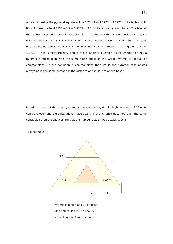A pyramid inside the pyramid square will be  $1.75 \times$  Tan  $1.2727 = 2.2272$  cubits high and its tip will therefore be  $4.7727 - 3.5 + 2.2272 = 3.5$  cubits above pyramid base. The level of the tip has bisected a pyramid 7 cubits high. The base of the pyramid inside the square will now be  $4.7727 - 3.5 = 1.2727$  cubits above pyramid base. That intrigueuing result because the base distance of 1.2727 cubits is in the same number as the angle distance of 1.2727. That is extraordinary and it raises another question as to whether or not a pyramid 7 cubits high with the same slope angle as the Great Pyramid is unique, or commonplace. If the condition is commonplace then would the pyramid base angles always be in the same number as the distance on the square above base?

In order to test out this theory, a random pyramid at say 6 units high on a base of 10 units can be chosen and the calculations made again. If the pyramid does not reach the same conclusion then the chances are that the number 1.2727 was always special.

Test example



 Pyramid is 8 high and 10 on base Base angles  $8/5$  = Tan 1.6000 Sides of square 4 with half at 2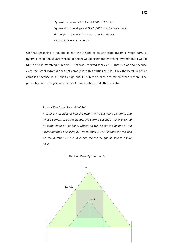Pyramid on square  $2 \times$  Tan  $1.6000 = 3.2$  high Square abut the slopes at  $3 \times 1.6000 = 4.8$  above base Tip height =  $0.8 + 3.2 = 4$  and that is half of 8 Base height =  $4.8 - 4 = 0.8$ 

On that reckoning a square of half the height of its enclosing pyramid would carry a pyramid inside the square whose tip height would bisect the enclosing pyramid but it would NOT do so in matching numbers. That was reserved for1.2727. That is amazing because even the Great Pyramid does not comply with this particular rule. Only the Pyramid of Set complies because it is 7 cubits high and 11 cubits on base and for no other reason. The geometry on the King's and Queen's Chambers had made that possible.

# Rule of The Great Pyramid of Set

A square with sides of half the height of its enclosing pyramid, and whose corners abut the slopes, will carry a second smaller pyramid of same slope on its base, whose tip will bisect the height of the larger pyramid enclosing it. The number 1.2727 in tangent will also be the number 1.2727 in cubits for the height of square above base.



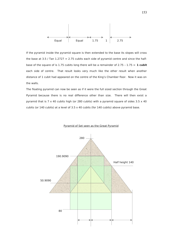

If the pyramid inside the pyramid square is then extended to the base its slopes will cross the base at 3.5 / Tan  $1.2727 = 2.75$  cubits each side of pyramid centre and since the halfbase of the square of is 1.75 cubits long there will be a remainder of 2.75 – 1.75 = **1 cubit** each side of centre. That result looks very much like the other result when another distance of 1 cubit had appeared on the centre of the King's Chamber floor. Now it was on the walls.

The floating pyramid can now be seen as if it were the full sized section through the Great Pyramid because there is no real difference other than size. There will then exist a pyramid that is  $7 \times 40$  cubits high (or 280 cubits) with a pyramid square of sides  $3.5 \times 40$ cubits (or 140 cubits) at a level of 3.5 x 40 cubits (for 140 cubits) above pyramid base.



# Pyramid of Set seen as the Great Pyramid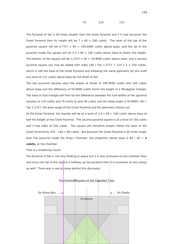70 110 110

The Pyramid of Set is 40 times smaller than the Great Pyramid and if it now becomes the Great Pyramid then its height will be  $7 \times 40 = 280$  cubits. The level of the top of the pyramid square will be  $4.7727 \times 40 = 190.9090$  cubits above base, and the tip of the pyramid inside the square will be  $3.5 \times 40 = 140$  cubits above base to bisect the height. The bottom of the square will be 1.2727  $\times$  40 = 50.9090 cubits above base, and a second pyramid square can now be added with sides  $140$  / Tan  $1.2727 = 110 \times 2 = 220$  cubits, which is half the base of the Great Pyramid and following the same geometry for the shaft exit level of 121 cubits above base for the Shaft of Set.

The two pyramid squares abut the slopes at levels of 190.9090 cubits and 140 cubits above base and the difference of 50.9090 cubits forms the height of a 90-degree triangle. The base of that triangle will then be the difference between the half-widths of the pyramid squares at 110 cubits and 70 cubits to give 40 cubits and the slope angle is 50.9090 / 40 = Tan 1.2727, the base angle of the Great Pyramid and the geometry checks out.

At the Great Pyramid, the topside will be at a level of  $3.5 \times 40 = 140$  cubits above base at half the height of the Great Pyramid. The second pyramid square is at a level of 140 cubits and it has sides of 220 cubits. The square will therefore project below the base of the Great Pyramid by 220 -  $140 = 80$  cubits. But because the Great Pyramid is 40 times larger than the pyramid inside the King's Chamber, the projection below base is 80 / 40 = **2 cubits,** at the chamber.

That is a shattering result!

The Pyramid of Set is not only floating in space but it is also anchored on the chamber floor and since the top of the square is halfway up the pyramid then it is anchored on the ceiling as well! There was a real purpose behind this discovery.



The Pyramid Square on the Chamber Floor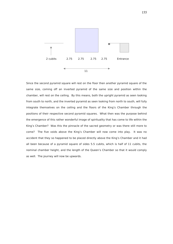

Since the second pyramid square will rest on the floor then another pyramid square of the same size, coming off an inverted pyramid of the same size and position within the chamber, will rest on the ceiling. By this means, both the upright pyramid as seen looking from south to north, and the inverted pyramid as seen looking from north to south, will fully integrate themselves on the ceiling and the floors of the King's Chamber through the positions of their respective second pyramid squares. What then was the purpose behind the emergence of this rather wonderful image of spirituality that has come to life within the King's Chamber? Was this the pinnacle of the sacred geometry or was there still more to come? The five voids above the King's Chamber will now come into play. It was no accident that they so happened to be placed directly above the King's Chamber and it had all been because of a pyramid square of sides 5.5 cubits, which is half of 11 cubits, the nominal chamber height, and the length of the Queen's Chamber so that it would comply as well. The journey will now be upwards.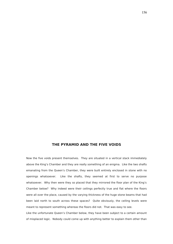# **THE PYRAMID AND THE FIVE VOIDS**

Now the five voids present themselves. They are situated in a vertical stack immediately above the King's Chamber and they are really something of an enigma. Like the two shafts emanating from the Queen's Chamber, they were built entirely enclosed in stone with no openings whatsoever. Like the shafts, they seemed at first to serve no purpose whatsoever. Why then were they so placed that they mirrored the floor plan of the King's Chamber below? Why indeed were their ceilings perfectly true and flat where the floors were all over the place, caused by the varying thickness of the huge stone beams that had been laid north to south across these spaces? Quite obviously, the ceiling levels were meant to represent something whereas the floors did not. That was easy to see.

Like the unfortunate Queen's Chamber below, they have been subject to a certain amount of misplaced logic. Nobody could come up with anything better to explain them other than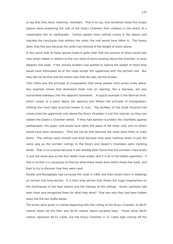to say that they were 'relieving' chambers. That is to say, that somehow these five empty spaces were protecting the roof of the King's Chamber from collapse in the event of a catastrophe like an earthquake. Certain people have noticed cracks in the beams and reached the conclusion that without the voids; the roof would have fallen in. The theory went, that this was because the voids had reduced of the weight of stone above.

A very quick look at these spaces make it quite clear that the amount of stone saved was very small indeed in relation to the sum total of stone existing above the chamber, or even between the voids. If the ancient builders had wanted to reduce the weight of stone they would have eliminated all of the voids except the uppermost with the pitched roof. But they did not do that and the reason was that this was not the answer.

Then there was the principle of triangulation that these people most surely knew about. Any engineer knows that downward loads over an opening, like a doorway, are also transmitted sideways into the adjacent stonework. A typical example is the Norman Arch, which curves to a point above the opening and follows the principle of triangulation, utilising the most rigid structure known to man. The builders of the Great Pyramid had constructed the uppermost void above the King's Chamber in just this manner, as they had indeed the Queen's Chamber below. If they had wanted to protect the chambers against earthquakes, the upper void would have taken the place of the lower void, and no others would have been necessary. They did not do that because the voids were there to mark levels. The ceilings were smooth and level because they were marking levels in just the same way as the corridor ceilings to the King's and Queen's Chambers were marking levels. That is no surprise because it has already been found that the corridors mark levels in just the same way as the four shafts mark angles and it is all in the hidden geometry. If that is so then it is necessary to find out what these levels were within these five voids, and then to try to discover how they were used.

Rinaldi and Maragioglio had surveyed the voids in 1965 and then shown them in drawings on section and long-section. It is their long section that shows the huge irregularities on the thicknesses of the floor beams and the flatness of the ceilings. Surely someone had seen them and recognized them for what they were? That was why they had been hidden away like the two shafts below.

The levels were given in metres beginning with the ceiling of the King's Chamber at 48.87 metres taken off the floor and 43.03 metres above pyramid base. Those same 48.87 metres represent 93.31 cubits, but the King's Chamber is 11 cubits high coming off the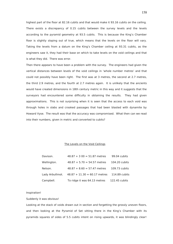highest part of the floor at 82.16 cubits and that would make it 93.16 cubits on the ceiling. There exists a discrepancy of 0.15 cubits between the survey levels and the levels according to the pyramid geometry at 93.5 cubits. This is because the King's Chamber floor is slightly sloping out of true, which means that the levels on the floor will vary. Taking the levels from a datum on the King's Chamber ceiling at 93.31 cubits, as the engineers saw it, they had their base on which to take levels on the void ceilings and that is what they did. There was error.

Then there appears to have been a problem with the survey. The engineers had given the vertical distances between levels of the void ceilings in 'whole number metres' and that could not possibly have been right. The first was at 3 metres, the second at 2.7 metres, the third 2.9 metres, and the fourth at 2.7 metres again. It is unlikely that the ancients would have created dimensions in 18th century metric in this way and it suggests that the surveyors had encountered some difficulty in obtaining the results. They had given approximations. This is not surprising when it is seen that the access to each void was through holes in slabs and crooked passages that had been blasted with dynamite by Howard Vyse. The result was that the accuracy was compromised. What then can we read into their numbers, given in metric and converted to cubits?

## The Levels on the Void Ceilings

| Davison.        | $48.87 + 3.00 = 51.87$ metres  | 99.04 cubits  |
|-----------------|--------------------------------|---------------|
| Wellington.     | $48.87 + 5.70 = 54.57$ metres  | 104.20 cubits |
| Nelson.         | $48.87 + 8.60 = 57.47$ metres  | 109.73 cubits |
| Lady Arbuthnot. | $48.87 + 11.30 = 60.17$ metres | 114.89 cubits |
| Campbell.       | To ridge it was 64.13 metres   | 122.45 cubits |

Inspiration!

Suddenly it was obvious!

Looking at the stack of voids drawn out in section and forgetting the grossly uneven floors, and then looking at the Pyramid of Set sitting there in the King's Chamber with its pyramids squares of sides of 5.5 cubits intent on rising upwards, it was blindingly clear!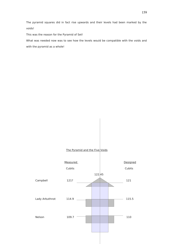The pyramid squares did in fact rise upwards and their levels had been marked by the voids!

This was the reason for the Pyramid of Set!

What was needed now was to see how the levels would be compatible with the voids and with the pyramid as a whole!

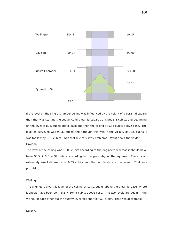

If the level on the King's Chamber ceiling was influenced by the height of a pyramid square then that was starting the sequence of pyramid squares of sides 5.5 cubits, and beginning on the level of 82.5 cubits above base and then the ceiling at 93.5 cubits above base. The level as surveyed was 93.31 cubits and although this was in the vicinity of 93.5 cubits it was too low by 0.19 cubits. Was that due to survey problems? What about the voids?

# Davison

The level of the ceiling was 99.03 cubits according to the engineers whereas it should have been  $93.5 + 5.5 = 99$  cubits, according to the geometry of the squares. There is an extremely small difference of 0.03 cubits and the two levels are the same. That was promising.

#### Wellington.

The engineers give this level of the ceiling at 104.2 cubits above the pyramid base, where it should have been  $99 + 5.5 = 104.5$  cubits above base. The two levels are again in the vicinity of each other but the survey level falls short by 0.3 cubits. That was acceptable.

# Nelson.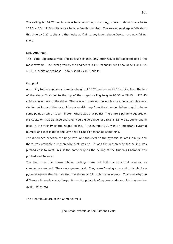The ceiling is 109.73 cubits above base according to survey, where it should have been  $104.5 + 5.5 = 110$  cubits above base, a familiar number. The survey level again falls short this time by 0.27 cubits and that looks as if all survey levels above Davison are now falling short.

#### Lady Arbuthnot.

This is the uppermost void and because of that, any error would be expected to be the most extreme. The level given by the engineers is  $114.89$  cubits but it should be  $110 + 5.5$  $= 115.5$  cubits above base. It falls short by 0.61 cubits.

#### Campbell.

According to the engineers there is a height of 15.26 metres, or 29.13 cubits, from the top of the King's Chamber to the top of the ridged ceiling to give  $93.32 + 29.13 = 122.45$ cubits above base on the ridge. That was not however the whole story, because this was a sloping ceiling and the pyramid squares rising up from the chamber below ought to have some point on which to terminate. Where was that point? There are 5 pyramid squares or 5.5 cubits on that distance and they would give a level of  $115.5 + 5.5 = 121$  cubits above base in the vicinity of the ridged ceiling. The number 121 was an important pyramid number and that leads to the view that it could be meaning something.

The difference between the ridge level and the level on the pyramid squares is huge and there was probably a reason why that was so. It was the reason why the ceiling was pitched east to west, in just the same way as the ceiling of the Queen's Chamber was pitched east to west.

The truth was that these pitched ceilings were not built for structural reasons, as commonly assumed. They were geometrical. They were forming a pyramid triangle for a pyramid square that had abutted the slopes at 121 cubits above base. That was why the difference in levels was so large. It was the principle of squares and pyramids in operation again. Why not?

# The Pyramid Square of the Campbell Void

The Great Pyramid on the Campbell Void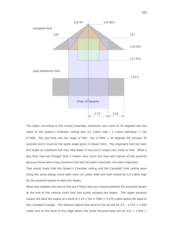

The slope, according to the survey drawings, measures very close to 34 degrees and the slope of the Queen's Chamber ceiling was 3.5 cubits high  $/ 5$  cubits half-base = Tan 0.7000. But and that was the slope of Set! Tan  $0.7000 = 34$  degrees 59 minutes 30 seconds and it must be the same angle given in drawn form. The engineers had not seen this angle as important but they had drawn it out and it scales very close to that. What a pity they had not thought that it meant very much but that was typical of the pyramid because there were many locations that did not seem important, but were important.

That would imply that the Queen's Chamber ceiling and the Campbell Void ceiling were using the same design since both were 10 cubits wide and both would be 3.5 cubits high for the pyramid square to abut the slopes.

What was needed now was to find out if there was any meaning behind the pyramid square at the end of the vertical chain that had surely abutted the slopes. The upper pyramid square will abut the slopes at a level of 2.25 x Tan  $0.7000 = 1.575$  cubits above the base of the Campbell triangle. The distance above that level to the tip will be  $3.5 - 1.575 = 1.925$ cubits and so the level of the ridge above the Great Pyramid base will be  $121 + 1.925 =$ 

162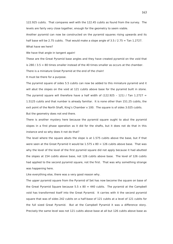122.925 cubits. That compares well with the 122.45 cubits as found from the survey. The levels are fairly very close together, enough for the geometry to seem viable.

Another pyramid can now be constructed on the pyramid squares rising upwards and its half base will be 2.75 cubits. That would make a slope angle of  $3.5/2.75 =$  Tan 1.2727.

What have we here?

We have that angle in tangent again!

These are the Great Pyramid base angles and they have created pyramid on the void that is 280  $/$  3.5 = 80 times smaller instead of the 40 times smaller as occurs at the chamber. There is a miniature Great Pyramid at the end of the chain!

It must be there for a purpose.

The pyramid square of sides 5.5 cubits can now be added to this miniature pyramid and it will abut the slopes on the void at 121 cubits above base for the pyramid built in stone. The pyramid square will therefore have a half width of  $(122.925 - 121)$  / Tan 1.2727 = 1.5125 cubits and that number is already familiar. It is none other than 151.25 cubits, the exit point of the North Shaft, King's Chamber x 100. The square is of sides 3.025 cubits. But the geometry does not end there.

There is another mystery here because the pyramid square ought to abut the pyramid slopes in a first phase operation as it did for the shafts, but it does not do that in this instance and so why does it not do that?

The level where the square abuts the slope is at 1.575 cubits above the base, but if that were seen at the Great Pyramid it would be  $1.575 \times 80 = 126$  cubits above base. That was why the level of the level of the first pyramid square did not apply because it had abutted the slopes at 154 cubits above base, not 126 cubits above base. The level of 126 cubits had applied to the second pyramid square, not the first. That was why something strange was happening here.

Like everything else, there was a very good reason why.

The upper pyramid square from the Pyramid of Set has now become the square on base of the Great Pyramid Square because  $5.5 \times 80 = 440$  cubits. The pyramid at the Campbell void has transformed itself into the Great Pyramid. It carries with it the second pyramid square that was of sides 242 cubits on a half-base of 121 cubits at a level of 121 cubits for the full sized Great Pyramid. But at the Campbell Pyramid it was a difference story. Precisely the same level was not 121 cubits above base at all but 126 cubits above base as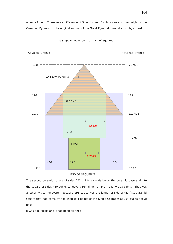already found. There was a difference of 5 cubits, and 5 cubits was also the height of the Crowning Pyramid on the original summit of the Great Pyramid, now taken up by a mast.



# The Stopping Point on the Chain of Squares



The second pyramid square of sides 242 cubits extends below the pyramid base and into the square of sides 440 cubits to leave a remainder of 440 - 242 = 198 cubits. That was another jolt to the system because 198 cubits was the length of side of the first pyramid square that had come off the shaft exit points of the King's Chamber at 154 cubits above base.

It was a mirackle and it had been planned!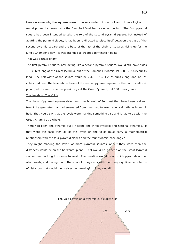Now we know why the squares were in reverse order. It was brilliant! It was logical! It would prove the reason why the Campbell Void had a sloping ceiling. The first pyramid square had been intended to take the role of the second pyramid square, but instead of abutting the pyramid slopes, it had been re-directed to place itself between the base of the second pyramid square and the base of the last of the chain of squares rising up for the King's Chamber below. It was intended to create a termination point.

That was extraordinary!

The first pyramid square, now acting like a second pyramid square, would still have sides 198 cubits long at the Great Pyramid, but at the Campbell Pyramid 198 / 80 = 2.475 cubits long. The half width of the square would be 2.475 /  $2 = 1.2375$  cubits long, and 123.75 cubits had been the level above base of the second pyramid square for the north shaft exit point (not the south shaft as previously) at the Great Pyramid, but 100 times greater.

#### The Levels on The Voids

The chain of pyramid squares rising from the Pyramid of Set must then have been real and true if the geometry that had emanated from them had followed a logical path, as indeed it had. That would say that the levels were marking something else and it had to do with the Great Pyramid as a whole.

There had been one pyramid built in stone and three invisible and notional pyramids. If that were the case then all of the levels on the voids must carry a mathematical relationship with the four pyramid slopes and the four pyramid base angles.

They might marking the levels of more pyramid squares, and if they were then the distances would be on the horizontal plane. That would be,  $a \leq s$  seen on the Great Pyramid section, and looking from easy to west. The question would be on which pyramids and at what levels, and having found them, would they carry with them any significance in terms of distances that would themselves be meaningful. They would!

The Void Levels on a pyramid 275 cubits high

 $\sqrt{275}$  280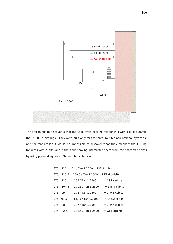

The first things to discover is that the void levels bear no relationship with a built pyramid that is 280 cubits high. They were built only for the three invisible and notional pyramids, and for that reason it would be impossible to discover what they meant without using tangents with cubits, and without first having interpreted them from the shaft exit points by using pyramid squares. The numbers check out.

|               | $275 - 121 = 154$ / Tan 1.2500 = 123.2 cubits   |                  |
|---------------|-------------------------------------------------|------------------|
|               | 275 - 115.5 = 159.5 / Tan 1.2500 = 127.6 cubits |                  |
| $275 - 110$   | 165 / Tan 1.2500                                | $= 132$ cubits   |
| $275 - 104.5$ | 170.5 / Tan 1.2500                              | $= 136.4$ cubits |
| $275 - 99$    | 176 / Tan 1.2500                                | $= 140.8$ cubits |
| $275 - 93.5$  | 181.5 / Tan 1.2500                              | $= 145.2$ cubits |
| $275 - 88$    | 187 / Tan 1.2500                                | $= 149.6$ cubits |
| $275 - 82.5$  | 192.5 / Tan 1.2500                              | $= 154$ cubits   |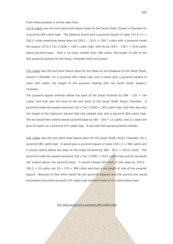From these answers it will be seen that…

127.6 cubits was the exit point level above base for the South Shaft, Queen's Chamber for a pyramid 264 cubits high. The distance would give a pyramid square of sides  $127.6 \times 2 =$ 255.2 cubits extending below base by 255.2 - 115.5 = 139.7 cubits with a pyramid inside the square  $127.6 \times$  Tan  $1.2500 = 159.5$  cubits high, with its tip  $159.5 - 139.7 = 19.8$  cubits above pyramid base. That is 10 times smaller than 198 cubits, the length of side of the first pyramid squares for the King's Chamber shaft exit points.

132 cubits was the exit point above base for the Slope on the Diagonal of the South Shaft, Queen's Chamber, for a pyramid 264 cubits high and it would give a pyramid square of sides 264 cubits, the height of the pyramid relating with the South Shaft, Queen's Chamber.

The pyramid square extends below the base of the Great Pyramid by  $264 - 110 = 154$ cubits, and that was the level of the exit point of the South Shaft, King's Chamber. A pyramid inside the square would be  $132 \times$  Tan  $1.2500 = 165$  cubits high, and that was also the height of the Optimum Square that had related only with a pyramid 264 cubits high. The tip would then extend above pyramid base by  $165 - 154 = 11$  cubits, and 11 cubits will give 25 layers on a pyramid 275 cubits high. It was also the sacred pyramid number.

154 cubits was the exit point level above base for the South Shaft, King's Chamber, for a pyramid 280 cubits high. It would give a pyramid square of sides  $154 \times 2 = 308$  cubits and it would extend below the base of the Great Pyramid by 308 - 82.5 = 225.5 cubits. The pyramid inside the square would be 154 x Tan 1.2500 = 192.5 cubits high and its tip would not extend above the pyramid base. It would instead fall short of the base by 225.5 -192.5 = 33 cubits, but 33 + 275 = 308 cubits and that is the length of side of the pyramid square. Because of that there would be two pyramid squares and the second one would encompass the entire pyramid 275 cubits high and terminate at 33 cubits below base.

The Void Levels on a pyramid 264 cubits high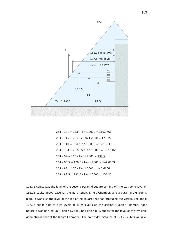

 $264 - 121 = 143 / Tan$  1.2000 = 119.1666 264 - 115.5 = 148 / Tan 1.2000 =  $123.75$  $264 - 110 = 154 / Tan$  1.2000 = 128.3333  $264 - 104.5 = 159.5 / Tan$  1.2000 = 132.9166  $264 - 99 = 165 / Tan 1.2000 = 137.5$  $264 - 93.5 = 170.5 / Tan$  1.2000 = 142.0833  $264 - 88 = 176 /$  Tan  $1.2000 = 146.6666$  $264 - 82.5 = 181.5 / Tan$  1.2000 =  $151.25$ 

123.75 cubits was the level of the second pyramid square coming off the exit point level of 151.25 cubits above base for the North Shaft, King's Chamber, and a pyramid 275 cubits high. It was also the level of the top of the square that had produced the vertical rectangle 127.75 cubits high to give levels of 41.25 cubits on the original Queen's Chamber floor before it was hacked up. Then 41.25 x 2 had given 82.5 cubits for the level of the invisible geometrical floor of the King's Chamber. The half width distance of 123.75 cubits will give

168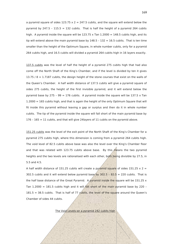a pyramid square of sides  $123.75 \times 2 = 247.5$  cubits, and the square will extend below the pyramid by  $247.5 - 115.5 = 132$  cubits. That is half the height of a pyramid 264 cubits high. A pyramid inside the square will be  $123.75 \times$  Tan  $1.2000 = 148.5$  cubits high, and its tip will extend above the main pyramid base by  $148.5 - 132 = 16.5$  cubits. That is ten time smaller than the height of the Optimum Square, in whole number cubits, only for a pyramid 264 cubits high, and 16.5 cubits will divided a pyramid 264 cubits high in 16 layers exactly.

137.5 cubits was the level of half the height of a pyramid 275 cubits high that had also come off the North Shaft of the King's Chamber, and if the level is divided by ten it gives 13.75 / 8 = 1.7187 cubits, the design height of the stone courses that exist on the walls of the Queen's Chamber. A half width distance of 137.5 cubits will give a pyramid square of sides 275 cubits, the height of the first invisible pyramid, and it will extend below the pyramid base by 275 - 99 = 176 cubits. A pyramid inside the square will be 137.5 x Tan 1.2000 = 165 cubits high, and that is again the height of the only Optimum Square that will fit inside this pyramid without leaving a gap or surplus and then do it in whole number cubits. The tip of the pyramid inside the square will fall short of the main pyramid base by 176 – 165 = 11 cubits, and that will give 24layers of 11 cubits on the pyramid above.

151.25 cubits was the level of the exit point of the North Shaft of the King's Chamber for a pyramid 275 cubits high, where this dimension is coming from a pyramid 264 cubits high. The void level of 82.5 cubits above base was also the level over the King's Chamber floor and that was related with 123.75 cubits above base. By this  $\hat{m}$  eans the two pyramid heights and the two levels are rationalised with each other, both being divisible by 27.5, in 5.5 and 4.5.

A half width distance of 151.25 cubits will create a pyramid square of sides 151.25  $\times$  2 = 302.5 cubits and it will extend below pyramid base by 302.5 - 82.5 = 220 cubits. That is the half base distance of the Great Pyramid. A pyramid inside the square will be 151.25  $\times$ Tan 1.2000 = 181.5 cubits high and it will fall short of the main pyramid base by 220 - $181.5 = 38.5$  cubits. That is half of 77 cubits, the level of the square around the Oueen's Chamber of sides 44 cubits.

The Void Levels on a pyramid 242 cubits high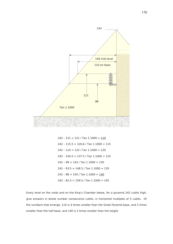

 $242 - 121 = 121 / Tan$  1.1000 = 110  $242 - 115.5 = 126.6 / Tan$  1.1000 = 115  $242 - 110 = 132 / Tan$  1.1000 = 120  $242 - 104.5 = 137.5 / Tan$  1.1000 = 125  $242 - 99 = 143 / Tan$  1.1000 = 130  $242 - 93.5 = 148.5 / Tan$  1.1000 = 135  $242 - 88 = 154 / Tan$  1.1000 =  $140$  $242 - 82.5 = 159.5 / Tan$  1.1000 = 145

Every level on the voids and on the King's Chamber below, for a pyramid 242 cubits high, give answers in whole number consecutive cubits, in horizontal multiples of 5 cubits. Of the numbers that emerge, 110 is 4 times smaller than the Great Pyramid base, and 2 times smaller than the half base, and 140 is 2 times smaller than the height.

170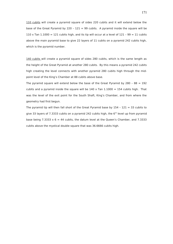110 cubits will create a pyramid square of sides 220 cubits and it will extend below the base of the Great Pyramid by 220 -  $121 = 99$  cubits. A pyramid inside the square will be 110 x Tan 1.1000 = 121 cubits high, and its tip will occur at a level of  $121 - 99 = 11$  cubits above the main pyramid base to give 22 layers of 11 cubits on a pyramid 242 cubits high, which is the pyramid number.

140 cubits will create a pyramid square of sides 280 cubits, which is the same length as the height of the Great Pyramid at another 280 cubits. By this means a pyramid 242 cubits high creating the level connects with another pyramid 280 cubits high through the midpoint level of the King's Chamber at 88 cubits above base.

The pyramid square will extend below the base of the Great Pyramid by  $280 - 88 = 192$ cubits and a pyramid inside the square will be  $140 \times$  Tan  $1.1000 = 154$  cubits high. That was the level of the exit point for the South Shaft, King's Chamber, and from where the geometry had first begun.

The pyramid tip will then fall short of the Great Pyramid base by  $154 - 121 = 33$  cubits to give 33 layers of 7.3333 cubits on a pyramid 242 cubits high, the  $6<sup>th</sup>$  level up from pyramid base being 7.3333  $\times$  6 = 44 cubits, the datum level at the Queen's Chamber, and 7.3333 cubits above the mystical double square that was 36.6666 cubits high.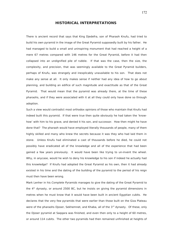# **HISTORICAL INTERPRETATIONS**

There is ancient record that says that King Djedefra, son of Pharaoh Knufu, had tried to build his own pyramid in the image of the Great Pyramid supposedly built by his father. He had managed to build a small and uninspiring monument that had reached a height of a mere 67 metres compared with 146 metres for the Great Pyramid, before it had then collapsed into an undignified pile of rubble. If that was the case, then the size, the complexity, and precision, that was seemingly available to the Great Pyramid builders, perhaps of Knufu, was strangely and inexplicably unavailable to his son. That does not make any sense at all. It only makes sense if neither had any idea of how to go about planning, and building an edifice of such magnitude and exactitude as that of the Great Pyramid. That would mean that the pyramid was already there, at the time of these pharaohs, and if they were associated with it at all they could only have done so through adoption.

Such a view would contradict most orthodox opinions of those who maintain that Knufu had indeed built this pyramid. If that were true then quite obviously he had taken the 'knowhow' with him to his grave, and denied it his son, and successor. How then might he have done that? The pharaoh would have employed literally thousands of people, many of them highly skilled and many who knew the secrets because it was they who had laid them in stone. Unless Knufu had eliminated a cast of thousands before he died, he could not possibly have eradicated all of the knowledge and all of the experience that had been gained a few years previously. It would have been like trying to un-invent the wheel. Why, in anycase, would he wish to deny his knowledge to his son if indeed he actually had this knowledge? If Knufu had adopted the Great Pyramid as his own, then it had already existed in his time and the dating of the building of the pyramid to the period of his reign must then have been wrong.

Mark Lenher in his Complete Pyramids manages to give the dating of the Great Pyramid to the  $4<sup>th</sup>$  dynasty, or around 2500 BC, but he insists on giving the pyramid dimensions in metres when he must know that it would have been built in ancient Egyptian cubits. He declares that the very few pyramids that were earlier than those built on the Giza Plateau were of the pharaohs Djoser, Sekhemnet, and Khaba, all of the  $3<sup>rd</sup>$  dynasty. Of these, only the Djoser pyramid at Saqqara was finished, and even then only to a height of 60 metres, or around 114 cubits. The other two pyramids had then remained unfinished at heights of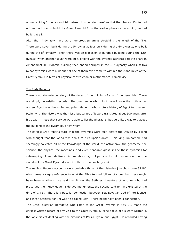an uninspiring 7 metres and 20 metres. It is certain therefore that the pharaoh Knufu had not learned how to build the Great Pyramid from the earlier pharaohs, assuming he had built it at all.

After the  $4<sup>th</sup>$  dynasty there were numerous pyramids stretching the length of the Nile. There were seven built during the  $5<sup>th</sup>$  dynasty, four built during the  $6<sup>th</sup>$  dynasty, one built during the  $8<sup>th</sup>$  dynasty. Then there was an explosion of pyramid building during the 12th dynasty when another seven were built, ending with the pyramid attributed to the pharaoh Amenemhet III. Pyramid building then ended abruptly in the  $13<sup>th</sup>$  dynasty when just two minor pyramids were built but not one of them ever came to within a thousand miles of the Great Pyramid in terms of physical construction or mathematical complexity.

#### The Early Records

There is no absolute certainty of the dates of the building of any of the pyramids. There are simply no existing records. The one person who might have known the truth about ancient Egypt was the scribe and priest Manetho who wrote a history of Egypt for pharaoh Ptolemy II. The history was then lost, but scraps of it were translated about 600 years after his death. Those that survive were able to list the pharaohs, but very little was told about the building of the pyramids, or by whom.

The earliest Arab reports state that the pyramids were built before the Deluge by a king who thought that the world was about to turn upside down. This king, un-named, had seemingly collected all of the knowledge of the world, the astronomy, the geometry, the science, the physics, the machines, and even bendable glass, inside these pyramids for safekeeping. It sounds like an improbable story but parts of it could resonate around the secrets of the Great Pyramid even if with no other such pyramid.

The earliest Hebrew accounts were probably those of the historian Josephus, born 37 BC, who makes a vague reference to what the Bible termed 'pillars of stone' but these might have been anything. He said that it was the Sethites, inventors of wisdom, who had preserved their knowledge inside two monuments, the second said to have existed at the time of Christ. There is a peculiar connection between Set, Egyptian God of Intelligence, and these Sethites, for Set was also called Seth. There might have been a connection.

The Greek historian Herodotus who came to the Great Pyramid in 450 BC, made the earliest written record of any visit to the Great Pyramid. Nine books of his were written in the Ionic dialect dealing with the histories of Persia, Lydia, and Egypt. He recorded having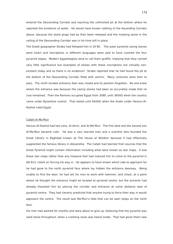entered the Descending Corridor and reaching the unfinished pit at the bottom where he reported the existence of water. He would have known nothing of the Ascending Corridor above, because the stone plugs had by then been released and the masking stone in the ceiling of the Descending Corridor was in his time still in place.

The Greek geographer Strabo had followed him in 24 BC. The outer pyramid casing stones were intact and inscriptions in different languages were said to have covered the four pyramid slopes. Modern Egyptologists tend to call them graffiti, implying that they carried very little significance but examples of stones with these inscriptions are virtually nonexistent today and so there is no evidence? Strabo reported that he had found the pit at the bottom of the Descending Corridor filled with vermin. Many centuries were then to pass. The north located entrance door was closed and its position forgotten. No one knew where the entrance was because the casing stones had been so accurately made that no clue remained. Then the Romans occupied Egypt from 3OBC until 395AD when the country came under Byzantine control. That lasted until 642AD when the Arabs under Haroun-Al-Rashid ruled Egypt.

#### Caliph Al Ma'Mun

Haroun-Al-Rashid had two sons, Al-Atnin, and Al-Ma'Mun. The first died and the second son Al-Ma'Mun became ruler. He was a very learned man and a scientist who founded the Great Library in Baghdad known as The House of Wisdom because it had effectively supplanted the famous library in Alexandria. The Caliph had learned from sources that the Great Pyramid might contain information including what were known as star maps. It was these star maps rather than any treasure that had induced him to come to the pyramid in AD 813, intent on forcing his way in. He appears to have known which side to approach for he had gone to the north pyramid face where lay hidden the entrance doorway. Being unable to find the door, he had set his men to work with hammer, and chisel, at a point where he thought the entrance might be located at pyramid centre, but the ancients had already thwarted him by placing the corridor and entrance at some distance east of pyramid centre. They had cleverly predicted that anyone trying to force their way in would approach the centre. The result was Ma'Mun's Hole that can be seen today on the north face.

His men had worked for months and were about to give up, believing that the pyramid was solid stone throughout, when a crashing noise was heard inside. That had given them new

174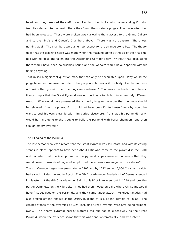heart and they renewed their efforts until at last they broke into the Ascending Corridor from its side, and to the west. There they found the six stone plugs still in place after they had been released. These were broken away allowing them access to the Grand Gallery and to the King's and Queen's Chambers above. There was no treasure. There was nothing at all. The chambers were all empty except for the strange stone box. The theory goes that the crashing noise was made when the masking stone at the tip of the first plug had worked loose and fallen into the Descending Corridor below. Without that loose stone there would have been no crashing sound and the workers would have departed without finding anything.

That raised a significant question mark that can only be speculated upon. Why would the plugs have been released in order to bury a pharaoh forever if the body of a pharaoh was not inside the pyramid when the plugs were released? That was a contradiction in terms. It must imply that the Great Pyramid was not built as a tomb but for an entirely different reason. Who would have possessed the authority to give the order that the plugs should be released, if not the pharaoh? It could not have been Knufu himself, for why would he want to seal his own pyramid with him buried elsewhere, if this was his pyramid? Why would he have gone to the trouble to build the pyramid with burial chambers, and then seal an empty pyramid?

# The Pillaging of the Pyramid

The last person who left a record that the Great Pyramid was still intact, and with its casing stones in place, appears to have been Abdul Latif who came to the pyramid in the 1200 and recorded that the inscriptions on the pyramid slopes were so numerous that they would cover thousands of pages of script. Had there been a message on those slopes? The 4th Crusade began two years later in 1202 and by 1212 some 40,000 Christian zealots had sailed to Palestine and to Egypt. The 5th Crusade under Frederick II of Germany ended in disaster but the 6th Crusade under Saint Louis IX of France set out in 1248 and took the port of Damnietta on the Nile Delta. They had then moved on Cairo where Christians would have first set eyes on the pyramids, and they came under attack. Religious fanatics had also broken off the phallus of the Osiris, husband of Isis, at the Temple of Philae. The casings stones of the pyramids at Giza, including Great Pyramid were now being stripped away. The Khafra pyramid nearby suffered too but not so extensively as the Great Pyramid, where the evidence shows that this was done systematically, and with intent.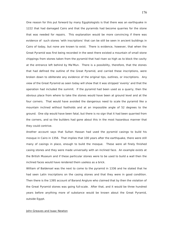One reason for this put forward by many Egyptologists is that there was an earthquake in 1222 that had damaged Cairo and that the pyramids had become quarries for the stone that was needed for repairs. This explanation would be more convincing if there was evidence of such stones 'with inscriptions' that can be still be seen in ancient buildings in Cairo of today, but none are known to exist. There is evidence, however, that when the Great Pyramid was first being recorded in the west there existed a mountain of small stone chippings from stones taken from the pyramid that had risen so high as to block the cavity at the entrance left behind by Ma'Mun. There is a possibility, therefore, that the stones that had defined the outline of the Great Pyramid, and carried these inscriptions, were broken down to obliterate any evidence of the original tips, outlines, or inscriptions. Any view of the Great Pyramid as seen today will show that it was stripped 'evenly' and that the operation had included the summit. If the pyramid had been used as a quarry, then the obvious place from where to take the stones would have been at ground level and at the four corners. That would have avoided the dangerous need to scale the pyramid like a mountain inclined without footholds and at an impossible angle of 52 degrees to the ground. One slip would have been fatal, but there is no sign that it had been quarried from the corners, and so the builders had gone about this in the most hazardous manner that they could contrive.

Another account says that Sultan Hassan had used the pyramid casings to build his mosque in Cairo in 1356. That implies that 100 years after the earthquake, there were still many of casings in place, enough to build the mosque. These were all finely finished casing stones and they were made universally with an inclined face. An example exists at the British Museum and if these particular stones were to be used to build a wall then the inclined faces would have rendered them useless as a brick.

William of Baldensel was the next to come to the pyramid in 1336 and he stated that he had seen Latin inscriptions on the casing stones and that they were in good condition. Then there is the 1395 account of Barand Anglure who claimed that by then the violation of the Great Pyramid stones was going full-scale. After that, and it would be three hundred years before anything more of substance would be known about the Great Pyramid, outside Egypt.

# John Greaves and Isaac Newton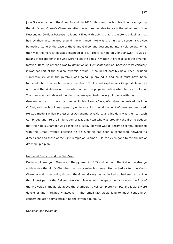John Greaves came to the Great Pyramid in 1638. He spent much of his time investigating the King's and Queen's Chambers after having been unable to reach the full extent of the Descending Corridor because he found it filled with debris, that is, the stone chippings that had by then accumulated around the entrance. He was the first to discover a crevice beneath a stone at the base of the Grand Gallery and descending into a hole below. What then was this vertical passage intended to be? There can be only one answer. It was a means of escape for those who were to set the plugs in motion in order to seal the pyramid forever. Because of that it was by definition an illicit shaft addition, because most certainly it was not part of the original pyramid design. It could not possibly have been included surreptitiously while the pyramid was going up around it and so it must have been tunneled later, another hazardous operation. That would explain why Caliph Ma'Mun had not found the skeletons of those who had set the plugs in motion when he first broke in. The men who had released the plugs had escaped taking everything else with them.

Greaves wrote up these discoveries in his Pyramidographia when he arrived back in Oxford, and much of it was spent trying to establish the original unit of measurement used. He was made Savilian Professor of Astronomy at Oxford, and his data was then to reach Cambridge and fire the imagination of Isaac Newton who was probably the first to deduce that the King's Chamber was based on a cubit. Newton was to become secretly obsessed with the Great Pyramid because he believed he had seen a connection between its dimensions and those of the First Temple of Solomon. He had even gone to the trouble of drawing up a plan.

#### Nathaniel Davison and the First Void

Davison followed John Greaves to the pyramid in 1765 and he found the first of the strange voids above the King's Chamber that now carries his name. He too had visited the King's Chamber and on returning through the Grand Gallery he had looked up had seen a crack in the highest part of the Gallery. Working his way into the space he came upon the first of the five voids immediately above the chamber. It was completely empty and it walls were devoid of any markings whatsoever. That small fact would lead to much controversy concerning later claims attributing the pyramid to Knufu.

# Napoleon and Pyramids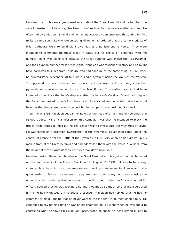Napoleon had in his early years read much about the Great Pyramid and he had become very interested in it because, like Newton before him, he too was a mathematician. He often had pyramids on his mind and he had inadvertently demonstrated this during his first military campaign in Italy where on taking Milan he had ordered that the Catholic priests of Milan Cathedral were to build eight pyramids as a punishment to Rome. They were intended to commemorate those fallen in battle but his choice of 'pyramids' with the number 'eight' was significant because the Great Pyramid was known the 'Isis Pyramid' and the Egyptian number for Isis was eight. Napoleon was student of history and he might have borrowed this idea from Louis XIV who had done much the same thing in 1661 when he ordered Pope Alexander VII to build a single pyramid inside the walls of the Vatican. This pyramid was also intended as a punishment because the French king knew that pyramids were an abomination to the Church of Rome. This earlier pyramid had been intended to publicise the Pope's disgrace after the Vatican's Corsican Guard had dragged the French Ambassador's wife from her coach. So enraged was Louis XIV that not only did he order that the pyramid was to be built but he had personally designed it as well.

Then in May 1798 Napoleon set sail for Egypt at the head of an armada of 400 ships and 55,000 troops. His official reason for this campaign was that he intended to block the British trade routes to India but his real reason was to investigate the mysteries of Egypt. He was intent on a scientific investigation of the pyramids. Egypt then came under the control of France after the Battle of the Pyramids in July 1798 when he had drawn up his men in front of the Great Pyramid and had addressed them with the words, "Soldiers, from the height of these pyramids forty centuries look down upon you".

Napoleon visited the upper chamber of the Great Pyramid with his guide Imam Muhammed on the anniversary of the French Revolution in August 12, 1799. It was to be a very strange place by which to commemorate such an important event for France and by a great leader of France. He entered the pyramid and spent many hours alone inside the upper chamber, ordering that he was not to be disturbed. When he finally emerged his officers noticed that he was looking pale and thoughtful, so much so that his aide asked him if he had witnessed a mysterious presence. Napoleon had replied that he had no comment to make, adding that he never wanted the incident to be mentioned again. He continued to say nothing until he was on his deathbed on St Helena when he was about to confess to what he saw to his aide Las Cases, when he shook his head saying quietly to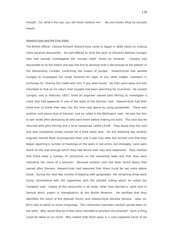himself, "no, what's the use, you will never believe me." No one knows what he actually meant.

#### Howard-Vyse and the Five Voids

The British Officer, Colonel Richard Howard-Vyse came to Egypt in 1836 intent on making more pyramid discoveries. He had offered to fund the work of Giovanni Battista Caviglia who had already investigated the 'escape shaft' found by Greaves. Caviglia had descended to its full extent and was the first to discover that it did emerge at the bottom of the Descending Corridor, confirming the means of escape. Howard-Vyse had wanted Caviglia to investigate the Great Pyramid for signs of any other hidden chambers in exchange for 'sharing the credit with him' if any were found. He then went away but was infuriated to find on his return that Caviglia had been searching for mummies. He sacked Caviglia, and in February 1837, hired an engineer named John Perring to investigate a crack that had appeared in one of the walls of the Davison void. Howard-Vyse had then hired men to break their way into the next void above by using gunpowder. There was another void above that of Davison, and he called it the Wellington void. He was the first to see inside after dismissing all who were there before making his entry. The next day he returned with John Perring and a local handyman called J.R.Hill. They found that the void was also completely empty except for a thick black dust. On the following day another engineer named Mash accompanied them and it was only after this second visit that they began reporting a number of markings on the walls in red ochre, but strangely, none were found on the wall through which they had forced their way with explosives. They claimed that there were a number of cartouches on the remaining walls and that they were indicating the name of a pharaoh. Because another void had been found above that named after Davison, Howard-Vyse had reasoned that there could be yet more above those. During the next few months of blasting with gunpowder, the remaining three were found, terminating with the uppermost with the pitched ceiling which he called the Campbell void. Copies of the cartouches in all voids, other than Davison's, were sent to Samuel Birch, expert in hieroglyphics at the British Museum. He testified that they identified the name of the pharaoh Knufu, and Howard-Vyse became famous. Later on, Birch was to admit to some misgivings. The cartouches had been marked upside down on the walls. Why would that be if they were intended to proclaim the pharaoh? Such a thing could be taken as an insult. Why indeed hide them away in a void supposed never to be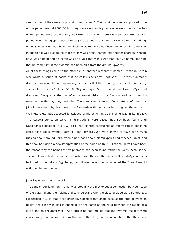seen by man if they were to proclaim the pharaoh? The inscriptions were supposed to be of the period around 2500 BC but they were very crudely done whereas other cartouches of this period were usually very well executed. Then there were symbols from a later period when hieroglyphs ceased to be pictures and had begun to take the form of writing. Either Samuel Birch had been genuinely mistaken or he had been influenced in some way. In addition it was also found that not only was Knufu named but another pharaoh 'Khnemknuf' was named and his name was on a void that was lower than Knufu's name, implying that he came first, if the pyramid had been built from the ground upwards.

All of these things came to the attention of another researcher named Zechariah Sitchin who wrote a series of books that he called The Earth Chronicles. He was summarily dismissed as a lunatic for expounding the theory that the Great Pyramid had been built by visitors from the 12<sup>th</sup> planet 500,0000 years ago. Sitchin noted that Howard-Vyse had dismissed Caviglia on the day after his secret visits to the Davison void, and then his workmen on the day they broke in. The chronicles of Howard-Vyse later confirmed that J.R.Hill was sent in by day to mark the five voids with the names he had given them, that is, Wellington, etc, but accepted knowledge of hieroglyphics at this time was in its infancy. The Rosetta stone, on which all translations were based, had not been found until Napoleon's expedition in 1799. If Hill had planted cartouches as referred to in books he could have got it wrong. Both Hill and Howard-Vyse were known to have done much rushing about around Cairo when a new book about hieroglyphics had reached Egypt, and this book had given a new interpretation of the name of Knufu. That could well have been the reason why the names of two pharaohs had been found within the voids, because the second pharaoh had been added in haste. Nonetheless, the name of Howard-Vyse remains hallowed in the halls of Egyptology, and it was he who had connected the Great Pyramid with the pharaoh Knufu.

#### John Taylor and the value of Pi

The London publisher John Taylor was probably the first to see a connection between base of the pyramid and the height, and to understand why the sides of slope were 52 degrees. He decided in 1864 that it had originally sloped at that angle because the ratio between its height and base was also intended to be the same as the ratio between the radius of a circle and its circumference. At a stroke he had implied that the pyramid builders were considerably more advanced in mathematics than they had been credited with if they knew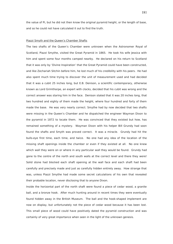the value of Pi, but he did not then know the original pyramid height, or the length of base, and so he could not have calculated it out to find the truth.

#### Piazzi Smyth and the Queen's Chamber Shafts

The two shafts of the Queen's Chamber were unknown when the Astronomer Royal of Scotland, Piazzi Smythe, visited the Great Pyramid in 1865. He took his wife lessica with him and spent some four months camped nearby. He declared on his return to Scotland that it was only by 'Divine Inspiration' that the Great Pyramid could have been constructed, and like Zechariah Sitchin before him, he lost much of his credibility with his peers. He had also spent much time trying to discover the unit of measurement used and had decided that it was a cubit 25 inches long, but E.B. Denison, a scientific contemporary, otherwise known as Lord Grimthorpe, an expert with clocks, decided that his cubit was wrong and the correct answer was staring him in the face. Denison stated that it was 20 inches long, that two hundred and eighty of them made the height, where four hundred and forty of them made the base. He was very nearly correct. Smythe had by now decided that two shafts were missing in the Queen's Chamber and he dispatched the engineer Wayman Dixon to the pyramid in 1872 to locate them. He was convinced that they existed but how, has remained something of a mystery. Wayman Dixon with his helper Bill Grundy had soon found the shafts and Smyth was proved correct. It was a miracle. Grundy had hit the bulls-eye first time, each time, and twice. No one had any idea of the location of the missing shaft openings inside the chamber or even if they existed at all. No one knew which wall they were on or where in any particular wall they would be found. Grundy had gone to the centre of the north and south walls at the correct level and there they were! Solid stone had blocked each shaft opening at the wall face and each shaft had been carefully and precisely made and just as carefully hidden entirely away. How strange that was, unless Piazzi Smythe had made some secret calculations of his own that revealed their probable location, never disclosing that to anyone Dixon.

Inside the horizontal part of the north shaft were found a piece of cedar wood, a granite ball, and a bronze hook. After much hunting around in recent times they were eventually found hidden away in the British Museum. The ball and the hook-shaped implement are now on display, but unfortunately not the piece of cedar wood because it has been lost. This small piece of wood could have positively dated the pyramid construction and was certainly of very great importance when seen in the light of the unknown genesis.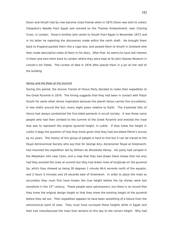Dixon and Smyth had by now become close friends when in 1875 Dixon was sent to collect Cleopatra's Needle from Egypt and erected on the Thames Embankment, near Charing Cross, in London. Dixon's brother John wrote to Smyth from Egypt in November 1872 and in his letter he reporting the discoveries made within the north shaft. He brought them back to England packed them into a cigar-box, and posted them to Smyth in Scotland who then made descriptive notes of them in his diary. After that, he seems to have lost interest in them and sent them back to London where they were kept at Sir John Soanes Museum in Lincoln's Inn Fields. The curator of died in 1876 after placed them in a jar on the roof of the building

#### Abney and the Mast at the Summit

During this period, the elusive Transit of Venus Party decided to make their expedition to the Great Pyramid in 1874. The timing suggests that they had been in contact with Piazzi Smyth for some other divine inspiration because the planet Venus carries five occulations, in two orbits around the Sun, every eight years relative to Earth. The 5-pointed Star of Venus had always symbolized the five-sided pentacle in occult society. It was these same people who had then climbed to the summit of the Great Pyramid and erected the mast that was to represent the original pyramid height, in cubits. If they knew the height in cubits it begs the question of how they knew given that they had pre-dated Petrie's survey by six years. The history of this group of people is hard to find but it can be traced to the Royal Astronomical Society who say that Sir George Airy, Astronomer Royal at Greenwich, had mounted the expedition led by William de Wiveleslie Abney. His party had camped in the Mokattam hills near Cairo, and a map that they had drawn there shows that not only had they erected the mast at summit but they had drawn lines of longitude on the pyramid tip, which they showed as being 30 degrees 1 minute 46.4 seconds north of the equator, and 2 hours 5 minutes and 24 seconds east of Greenwich. In order to place the mast so accurately they must first have known the true height before the tip stones were lost sometime in the  $13<sup>th</sup>$  century. These people were astronomers, but there is no record that they knew the original design height or that they knew the existing height of the pyramid before they set out. Their expedition appears to have been something of a failure from the astronomical point of view. They must have surveyed these heights while in Egypt and then had manufactured the mast that remains to this day to the correct height. Why had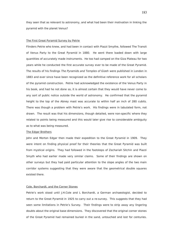they seen that as relevant to astronomy, and what had been their motivation in linking the pyramid with the planet Venus?

#### The First Great Pyramid Survey by Petrie

Flinders Petrie who knew, and had been in contact with Piazzi Smythe, followed The Transit of Venus Party to the Great Pyramid in 1880. He went there loaded down with large quantities of accurately made instruments. He too had camped on the Giza Plateau for two years while he conducted the first accurate survey ever to be made of the Great Pyramid. The results of his findings The Pyramids and Temples of Gizeh were published in London in 1883 and ever since have been recognized as the definitive reference work for all scholars of the pyramid construction. Petrie had acknowledged the existence of the Venus Party in his book, and had he not done so, it is almost certain that they would have never come to any sort of public notice outside the world of astronomy. He confirmed that the pyramid height to the top of the Abney mast was accurate to within half an inch of 280 cubits. There was though a problem with Petrie's work. His findings were in tabulated form, not drawn. The result was that his dimensions, though detailed, were non-specific where they related to points being measured and this would later give rise to considerable ambiguity as to what was being measured.

# The Edgar Brothers

John and Morton Edgar then made their expedition to the Great Pyramid in 1909. They were intent on finding physical proof for their theories that the Great Pyramid was built from mystical origins. They had followed in the footsteps of Zechariah Sitchin and Piazzi Smyth who had earlier made very similar claims. Some of their findings are shown on other surveys but they had paid particular attention to the slope angles of the two main corridor systems suggesting that they were aware that the geometrical double squares existed there.

# Cole, Borchardt, and the Corner Stones

Petrie's work stood until J.H.Cole and L Borchardt, a German archaeologist, decided to return to the Great Pyramid in 1925 to carry out a re-survey. This suggests that they had seen some limitations in Petrie's Survey. Their findings were to strip away any lingering doubts about the original base dimensions. They discovered that the original corner stones of the Great Pyramid had remained buried in the sand, untouched and lost for centuries.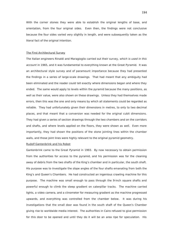With the corner stones they were able to establish the original lengths of base, and orientation, from the four original sides. Even then, the findings were not conclusive because the four sides varied very slightly in length, and were subsequently taken as the literal fact of the original intention.

#### The First Architectural Survey

The Italian engineers Rinaldi and Maragioglio carried out their survey, which is used in this account in 1965, and it was fundamental to everything known at the Great Pyramid. It was an architectural style survey and of paramount importance because they had presented the findings in a series of large-scale drawings. That had meant that any ambiguity had been eliminated and the reader could tell exactly where dimensions began and where they ended. The same would apply to levels within the pyramid because the many positions, as well as their value, were also shown on these drawings. Unless they had themselves made errors, then this was the one and only means by which all statements could be regarded as reliable. They had unfortunately given their dimensions in metres, to only to two decimal places, and that meant that a conversion was needed for the original cubit dimensions. They had given a series of section drawings through the two chambers and on the corridors and shafts, and where levels applied on the floors, they were shown as well. Even more importantly, they had shown the positions of the stone jointing lines within the chamber walls, and those joint lines were highly relevant to the original pyramid geometry.

# Rudolf Gantenbrink and his Robot

Gantenbrink came to the Great Pyramid in 1993. By now necessary to obtain permission from the authorities for access to the pyramid, and his permission was for the cleaning away of debris from the two shafts of the King's chamber and in particular, the south shaft. His purpose was to investigate the slope angles of the four shafts emanating from both the King's and Queen's Chambers. He had constructed an ingenious crawling machine for this purpose. The machine was small enough to pass through the 9-inch square shafts and powerful enough to climb the steep gradient on caterpillar tracks. The machine carried lights, a video camera, and a clinometer for measuring gradient as the machine progressed upwards, and everything was controlled from the chamber below. It was during his investigations that the small door was found in the south shaft of the Queen's Chamber giving rise to worldwide media interest. The authorities in Cairo refused to give permission for this door to be opened and until they do it will be an area ripe for speculation. His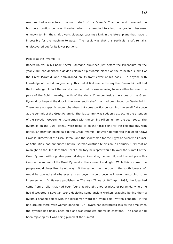machine had also entered the north shaft of the Queen's Chamber, and traversed the horizontal portion but was thwarted when it attempted to climb the gradient because, unknown to him, the shaft diverts sideways causing a kink in the lateral plane that made it impossible for the machine to pass. The result was that this particular shaft remains undiscovered but for its lower portions.

### Politics at the Pyramid Tip

Robert Bauval in his book Secret Chamber, published just before the Millennium for the year 2000, had depicted a golden coloured tip pyramid placed on the truncated summit of the Great Pyramid, and emblazoned on its front cover of his book. To anyone with knowledge of the hidden geometry, this had at first seemed to say that Bauval himself had the knowledge. In fact the secret chamber that he was referring to was either between the paws of the Sphinx nearby, north of the King's Chamber inside the stone of the Great Pyramid, or beyond the door in the lower south shaft that had been found by Gantenbrink. There were no specific secret chambers but some politics concerning the small flat space at the summit of the Great Pyramid. The flat summit was suddenly attracting the attention of the Egyptian Government concerned with the coming Millennium for the year 2000. The pyramids on the Giza Plateau were going to be the focal point for the celebrations, with particular attention being paid to the Great Pyramid. Bauval had reported that Doctor Zawi Hawass, Director of the Giza Plateau and the spokesman for the Egyptian Supreme Council of Antiquities, had announced before German-Austrian television in February 1999 that at midnight on the  $31<sup>st</sup>$  December 1999 a military helicopter would fly over the summit of the Great Pyramid with a golden pyramid shaped icon slung beneath it, and it would place this icon on the summit of the Great Pyramid at the stroke of midnight. While this occurred the people would cheer like the old way. At the same time, the door in the south lower shaft would be opened and whatever existed beyond would become known. According to an interview with Dr Hawass published in The Irish Times of  $18<sup>TH</sup>$  April 1999, the idea had come from a relief that had been found at Abu Sir, another place of pyramids, where he had discovered a Egyptian scene depicting some ancient workers dragging behind them a pyramid shaped object with the hieroglyph word for 'white gold' written beneath. In the background there were women dancing. Dr Hawass had interpreted this as the time when the pyramid had finally been built and was complete but for its capstone. The people had been rejoicing as it was being placed at the summit.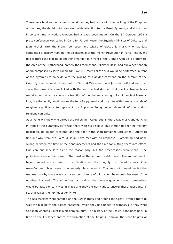These were bold announcements but since they had come with the backing of the Egyptian authorities, the decision to draw worldwide attention to the Great Pyramid, and at such an important time in world evolution, had already been made. On the  $3<sup>rd</sup>$  October 1998 a press conference was called in Cairo for Farouk Hosni, the Egyptian Minister of Culture, and Jean Michel Jarre, the French composer and wizard of electronic music who had just completed a display marking the bicentennial of the French Revolution in Paris. The event had featured the placing of another pyramid tip in front of the Grande Arch de la Fraternite, the Arch of the Brotherhood, namely the Freemasons. Minister Hosni had explained that an opera composed by Jarre called The Twelve Dreams of the Sun would be performed in front of the pyramids to coincide with the placing of a golden capstone on the summit of the Great Pyramid to mark the end of the Second Millennium, and Jarre himself had said that since the pyramids were linked with the sun, he had decided that the last twelve bows would accompany the sun in the tradition of the pharaonic sun god Re. In ancient Masonic lore, the Golden Pyramid crowns the top of a pyramid and it carries with it many strands of religious significance to represent the Supreme Being under whom all of the world's religions can unite.

As anyone will know who viewed the Millennium Celebrations, there was music and dancing in front of the pyramids, Jarre was there with his displays, but there had been no military helicopter, no golden capstone, and the door in the shaft remained untouched. Efforts to find out why from the Cairo Museum have met with no response. Something had gone wrong between the time of the announcements and the time for putting them into effect. One can but speculate as to the reason why, but the practicalities were clear. The politicians were embarrassed. The mast at the summit is still there. The summit would have needed some form of modification on the roughly distributed stones, if a manufactured object were to be properly placed upon it. That was not done either but the real reason why there was such a sudden change of mind could have been because of the numbers involved. The authorities had realised that certain questions about dimensions would be asked once it was in place and they did not want to answer those questions. If so, that raises the next question why?

The Rosicrucians were camped on the Giza Plateau and around the Great Pyramid there to wait the placing of the golden capstone, which they had hoped to witness, but they were Christian whereas Egypt is a Moslem country. The history of the Rosicrucians goes back in time to the Crusades and to the formation of the Knights Templar, the Poor Knights of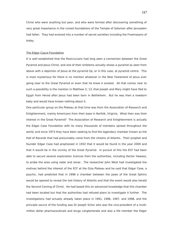Christ who were anything but poor, and who were formed after discovering something of very great importance in the ruined foundations of the Temple of Solomon after Jerusalem had fallen. They had evolved into a number of secret societies including the Freemasons of today.

### The Edgar Cayce Foundation

It is well established that the Rosicrucians had long seen a connection between the Great Pyramid and Jesus Christ, and one of their emblems actually shows a pyramid as seen from above with a depiction of Jesus at the pyramid tip, or in this case, at pyramid centre. This is most mysterious for there is no mention whatever in the New Testament of Jesus ever going near to the Great Pyramid or even that he knew it existed. All that comes near to such a possibility is the mention in Matthew 2; 13, that Joseph and Mary might have fled to Egypt from Herod after Jesus had been born in Bethlehem. But he was then a newborn baby and would have known nothing about it.

One particular group on the Plateau at that time was from the Association of Research and Enlightenment, mainly Americans from their base in Norfolk, Virginia. What then was their interest in the Great Pyramid? The Association of Research and Enlightenment is actually the Edgar Case Foundation with its many thousands of members spread throughout the world, and since 1973 they have been seeking to find the legendary chamber known as the Hall of Records that had presumably come from the citizens of Atlantis. Their prophet and founder Edgar Case had prophesied in 1932 that it would be found in the year 2000 and that it would be in the vicinity of the Great Pyramid. In pursuit of this the ECF had been able to secure several exploration licences from the authorities, including Doctor Hawass, to probe the area using radar and sonar. The researcher John West had investigated the motives behind the interest of the ECF at the Giza Plateau and he said that Edgar Case, a psychic, had predicted that in 1998 a chamber between the paws of the Great Sphinx would be opened to reveal the lost history of Atlantis and that the event would also herald the Second Coming of Christ. He had based this on advanced knowledge that this chamber had been located but that the authorities had refused plans to investigate it further. The investigations had actually already taken place in 1991, 1996, 1997, and 1998, and the principle source of the funding was Dr Joseph Schor who was the vice-president of a multimillion dollar pharmaceuticals and drugs conglomerate and also a life member the Edgar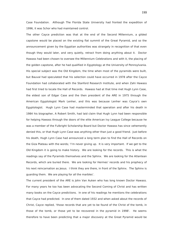Case Foundation. Although The Florida State University had fronted the expedition of 1996, it was Schor who had maintained control.

The other Cayce prediction was that at the end of the Second Millennium, a gilded capstone would be placed on the existing flat summit of the Great Pyramid, and so the announcement given by the Egyptian authorities was strangely in recognition of that even though they would later, and very quietly, retract from doing anything about it. Doctor Hawass had been chosen to oversee the Millennium Celebrations and with it, the placing of the golden capstone, after he had qualified in Egyptology at the University of Pennsylvania. His special subject was the Old Kingdom, the time when most of the pyramids were built, but Bauval had speculated that his selection could have occurred in 1978 after the Cayce Foundation had collaborated with the Stanford Research Institute, and when Zahi Hawass had first tried to locate the Hall of Records. Hawass had at that time met Hugh Lynn Case, the eldest son of Edgar Case and the then president of the ARE in 1975 through the American Egyptologist Mark Lenher, and this was because Lenher was Cayce's own Egyptologist. Hugh Lynn Case had masterminded that operation and after his death in 1984 his biographer, A Robert Smith, had laid claim that Hugh Lynn had been responsible for helping Hawass through the doors of the elite American Ivy League College because he was a member of the Fulbright Scholarship Board but Doctor Hawass has since vehemently denied this, or that Hugh Lynn Case was anything other than just a good friend. Just before his death, Hugh Lynn Case had announced a long term plan to find the Hall of Records on the Giza Plateau with the words; 'I'm never giving up. It is very important. If we get to the Old Kingdom it is going to make history. We are looking for the records. This is what the readings say of the Pyramids themselves and the Sphinx. We are looking for the Atlantean Records, which are buried there. We are looking for Hermes' records and his prophecy of his next reincarnation as Jesus. I think they are there, in front of the Sphinx. The Sphinx is guarding them. We are playing for all the marbles'.

The current president of the ARE is John Van Auken who has long known Doctor Hawass. For many years he too has been advocating the Second Coming of Christ and has written many books on the Cayce predictions. In one of his readings he mentions the celebrations that Cayce had predicted. In one of them dated 1932 and when asked about the records of Christ, Cayce replied, 'those records that are yet to be found of the Christ of the tomb, in those of the tomb, or those yet to be recovered in the pyramid in 1998'. He seems therefore to have been predicting that a major discovery at the Great Pyramid would be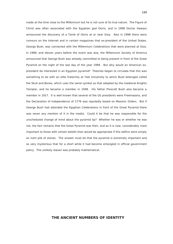made at the time close to the Millennium but he is not sure of its true nature. The Figure of Christ was often associated with the Egyptian god Osiris, and in 1998 Doctor Hawass announced the discovery of a Tomb of Osiris at or near Giza. Also in 1998 there were rumours on the Internet and in certain magazines that ex-president of the United States, George Bush, was connected with the Millennium Celebrations that were planned at Giza. In 1989, and eleven years before the event was due, the Millennium Society of America announced that George Bush was already committed to being present in front of the Great Pyramid on the night of the last day of the year 1999. But why would an American expresident be interested in an Egyptian pyramid? Theories began to circulate that this was something to do with an elite fraternity at Yale University to which Bush belonged called the Skull and Bones, which uses the same symbol as that adopted by the medieval Knights Templar, and he became a member in 1948. His father Prescott Bush also became a member in 1917. It is well known that several of the US presidents were Freemasons, and the Declaration of Independence of 1776 was reputedly based on Masonic Orders. But if George Bush had attended the Egyptian Celebrations in front of the Great Pyramid there was never any mention of it in the media. Could it be that he was responsible for the unscheduled change of mind about the pyramid tip? Whether he was or whether he was not, the fact remains that the Great Pyramid was then, and as it is now, considerably more important to those with certain beliefs than would be appropriate if this edifice were simply an inert pile of stones. The answer must be that the pyramid is extremely important and so very mysterious that for a short while it had become entangled in official government policy. The unlikely reason was probably mathematical.

# **THE ANCIENT NUMBERS OF IDENTITY**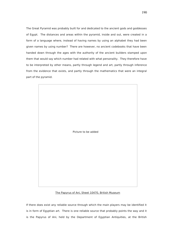The Great Pyramid was probably built for and dedicated to the ancient gods and goddesses of Egypt. The distances and areas within the pyramid, inside and out, were created in a form of a language where, instead of having names by using an alphabet they had been given names by using number? There are however, no ancient codebooks that have been handed down through the ages with the authority of the ancient builders stamped upon them that would say which number had related with what personality. They therefore have to be interpreted by other means, partly through legend and art, partly through inference from the evidence that exists, and partly through the mathematics that were an integral part of the pyramid.



# The Papyrus of Ani, Sheet 10470, British Museum

If there does exist any reliable source through which the main players may be identified it is in form of Egyptian art. There is one reliable source that probably points the way and it is the Papyrus of Ani, held by the Department of Egyptian Antiquities, at the British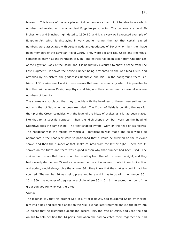Museum. This is one of the rare pieces of direct evidence that might be able to say which number had related with what ancient Egyptian personality. The papyrus is around 30 inches long and 9 inches high, dated to 1300 BC, and it is a very well executed example of Egyptian Art, which is displaying in very subtle manner the fact that certain sacred numbers were associated with certain gods and goddesses of Egypt who might then have been members of the Egyptian Royal Court. They were Set and Isis, Osiris and Nephthys, sometimes known as the Pantheon of Sion. The extract has been taken from Chapter 125 of the Egyptian Book of the Dead, and it is beautifully executed to show a scene from The Last Judgment. It shows the scribe Hunifer being presented to the God-King Osiris and attended by his sisters, the goddesses Nephthys and Isis. In the background there is a frieze of 35 snakes erect and it these snakes that are the means by which it is possible to find the link between Osiris, Nephthys, and Isis, and their sacred and somewhat obscure numbers of identity.

The snakes are so placed that they coincide with the headgear of these three entities but not with that of Set, who has been excluded. The Crown of Osiris is pointing the way for the tip of the Crown coincides with the level of the frieze of snakes as if it had been placed like that for a specific purpose. Then the 'dish-shaped symbol' worn on the head of Nephthys does the same thing. The 'seat shaped symbol' worn on the head of Isis follows. The headgear was the means by which all identification was made and so it would be appropriate if the headgear were so positioned that it would be directed on the relevant snake, and then the number of that snake counted from the left or right. There are 35 snakes on the frieze and there was a good reason why that number had been used. The scribes had known that there would be counting from the left, or from the right, and they had cleverly decided on 35 snakes because the rows of numbers counted in each direction, and added, would always give the answer 36. They knew that the snakes would in fact be counted. The number 36 was being preserved here and it has to do with the number 36  $\times$  $10 = 360$ , the number of degrees in a circle where  $36 = 6 \times 6$ , the sacred number of the great sun god Re, who was there too.

#### OSIRIS

The legends say that his brother Set, in a fit of jealousy, had murdered Osiris by tricking him into a box and setting it afloat on the Nile. He had later returned and cut the body into 14 pieces that he distributed about the desert. Isis, the wife of Osiris, had used the dog Anubis to help her find the 14 parts, and when she had collected them together she had

191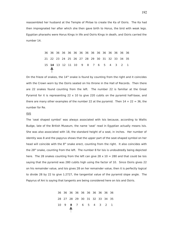reassembled her husband at the Temple of Philae to create the Ka of Osiris. The Ka had then impregnated her after which she then gave birth to Horus, the bird with weak legs. Egyptian pharaohs were Horus Kings in life and Osiris Kings in death, and Osiris carried the number 14.

> 36 36 36 36 36 36 36 36 36 36 36 36 36 36 36 21 22 23 24 25 26 27 28 29 30 31 32 33 34 35 15 **14** 13 12 11 10 9 8 7 6 5 4 3 2 1

On the frieze of snakes, the  $14<sup>th</sup>$  snake is found by counting from the right and it coincides with the Crown worn by the Osiris seated on his throne in the Hall of Records. Then there are 22 snakes found counting from the left. The number 22 is familiar at the Great Pyramid for it is representing  $22 \times 10$  to give 220 cubits on the pyramid half-base, and there are many other examples of the number 22 at the pyramid. Then  $14 + 22 = 36$ , the number for Re.

### ISIS

The 'seat shaped symbol' was always associated with Isis because, according to Wallis Budge, late of the British Museum, the name 'seat' read in Egyptian actually means Isis. She was also associated with 18, the standard height of a seat, in inches. Her number of identity was 8 and the papyrus shows that the upper part of the seat-shaped symbol on her head will coincide with the  $8<sup>th</sup>$  snake erect, counting from the right. It also coincides with the 28<sup>th</sup> snake, counting from the left. The number 8 for Isis is undoubtedly being depicted here. The 28 snakes counting from the left can give 28  $\times$  10 = 280 and that could be Isis saying that the pyramid was 280 cubits high using the factor of 10. Since Osiris gives 22 on his remainder value, and Isis gives 28 on her remainder value, then it is perfectly logical to divide 28 by 22 to give 1.2727, the tangential value of the pyramid slope angle. The Papyrus of Ani is saying that tangents are being considered here on Isis and Osiris.

 36 36 36 36 36 36 36 36 36 36 28 27 28 29 30 31 32 33 34 35 10 9 **8** 7 6 5 4 3 2 1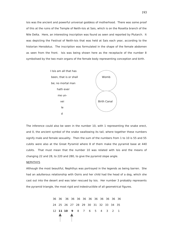Isis was the ancient and powerful universal goddess of motherhood. There was some proof of this at the ruins of the Temple of Neith-Isis at Sais, which is on the Rosetta branch of the Nile Delta. Here, an interesting inscription was found as seen and reported by Plutarch. It was depicting the Festival of Neith-Isis that was held at Sais each year, according to the historian Herodotus. The inscription was formulated in the shape of the female abdomen as seen from the front. Isis was being shown here as the receptacle of the number 8 symbolised by the two main organs of the female body representing conception and birth.



The inference could also be seen in the number 10, with 1 representing the snake erect, and 0, the ancient symbol of the snake swallowing its tail, where together these numbers signify male and female sexuality. Then the sum of the numbers from 1 to 10 is 55 and 55 cubits were also at the Great Pyramid where 8 of them make the pyramid base at 440 cubits. That must mean that the number 10 was related with Isis and the means of changing 22 and 28, to 220 and 280, to give the pyramid slope angle.

#### **NEPHTHYS**

Although the most beautiful, Nephthys was portrayed in the legends as being barren. She had an adulterous relationship with Osiris and her child had the head of a dog, which she cast out into the desert and was later rescued by Isis. Her number 3 probably represents the pyramid triangle, the most rigid and indestructible of all geometrical figures.

> 36 36 36 36 36 36 36 36 36 36 36 36 24 25 26 27 28 29 30 31 32 33 34 35 12 **11 10 9** 8 7 6 5 4 3 2 1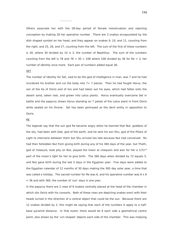Others associate her with the 28-day period of female menstruation and rejecting conception by making 28 her operative number. There are 3 snakes encapsulated by the dish shaped symbol on her head, and they appear on snakes 9, 10, and 11, counting from the right, and 25, 26, and 27, counting from the left. The sum of the first of these numbers is 30, where 30 divided by 10 is 3, the number of Nephthys. The sum of the numbers counting from the left is 78 and 78 + 30 = 108 where 108 divided by 36 for Re = 3, her number of identity once more. Each pair of numbers added equal 36.

### SET

The number of identity for Set, said to be the god of intelligence in man, was 7 and he had murdered his brother and cut the body into  $7+7$  pieces. Then he had fought Horus, the son of the Ka of Osiris and of Isis and had taken out his eyes, which had fallen onto the desert sand, taken root, and grown into Lotus plants. Horus eventually overcame Set in battle and the papyrus shows Horus standing on 7 petals of the Lotus plant in front Osiris while seated on his throne. Set has been portrayed as the devil entity in opposition to Osiris.

## RE

The legends say that the sun god Re became angry when he learned that Nut, goddess of the sky, had been with Geb, god of the earth, and he sent his son Shu, god of the Pillars of Light to intervene between them but Shu arrived too late because Nut had conceived. Re had then forbidden Nut from giving birth during any of his 360 days of the year, but Thoth, god of measure, took pity on Nut, played the moon at chequers and won for her a  $1/72^{nd}$ part of the moon's light for her to give birth. The 360 days when divided by 72 equals 5, and Nut gave birth during the last 5 days in the Egyptian year. Five days were added to the Egyptian calendar of 12 months of 30 days making the 365 day solar year, a time that was called a holiday. The sacred number for Re was 6, and his operative number was  $6 \times 6$  $=$  36 and with 360, the number of 'sun' days in one year.

In the papyrus there are 2 rows of 6 snakes centrally placed at the head of the chamber in which sits Osiris with his consorts. Both of these rows are depicting snakes erect with their heads turned in the direction of a central object that could be the sun. Because there are 12 snakes divided by 2, this might be saying that each of the numbers 6 apply to a halfbase pyramid distance. In that event, there would be 6 each side a geometrical centre point, also shown by the 'urn shaped' objects each side of the chamber. This was implying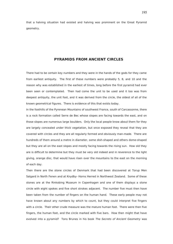that a halving situation had existed and halving was prominent on the Great Pyramid geometry.

# **PYRAMIDS FROM ANCIENT CIRCLES**

There had to be certain key numbers and they were in the hands of the gods for they came from earliest antiquity. The first of these numbers were probably 5, 8, and 10 and the reason why was established in the earliest of times, long before the first pyramid had ever been seen or contemplated. Then had come the unit to be used and it too was from deepest antiquity, the unit foot, and it was derived from the circle, the oldest of all of the known geometrical figures. There is evidence of this that exists today.

In the foothills of the Pyrenean Mountains of southwest France, south of Carcassonne, there is a rock formation called Serre de Bec whose slopes are facing towards the east, and on those slopes are numerous large boulders. Only the local people know about them for they are largely concealed under thick vegetation, but once exposed they reveal that they are covered with circles and they are all regularly formed and obviously man-made. There are hundreds of them around a metre in diameter, some dish-shaped and others dome-shaped but they are all on the east slopes and mostly facing towards the rising sun. How old they are is difficult to determine but they must be very old indeed and in reverence to the light giving, orange disc, that would have risen over the mountains to the east on the morning of each day.

Then there are the stone circles of Denmark that had been discovered at Torup Men Salgard in North Fenen and at Knydby- Horns Herred in Northwest Zealand. Some of these stones are at the Rinkobing Museum in Copenhagen and one of them displays a stone circle with eight spokes and five short strokes adjacent. The number five must then have been taken from the number of fingers on the human hand. These early people may not have known about any numbers by which to count, but they could interpret five fingers with a circle. Their other crude measure was the mature human foot. There were then five fingers, the human foot, and the circle marked with five bars. How then might that have evolved into a pyramid? Tons Brunes in his book The Secrets of Ancient Geometry was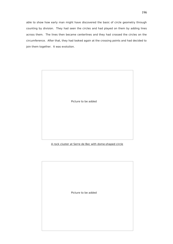able to show how early man might have discovered the basic of circle geometry through counting by division. They had seen the circles and had played on them by adding lines across them. The lines then became centerlines and they had crossed the circles on the circumference. After that, they had looked again at the crossing points and had decided to join them together. It was evolution.



A rock cluster at Serre de Bec with dome-shaped circle

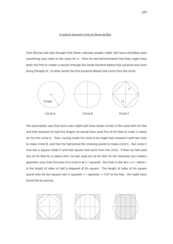## A typical grooved circle at Serre de Bec

Tons Brunes had also thought that these unknown people might well have stumbled upon something very close to the value for π. Then he had demonstrated that they might have been the first to create a section through the Great Pyramid before that pyramid was even being thought of. In other words the first pyramid design had come from the circle.



The assumption was that early man might well have drawn circles in the sand with his foot and that because he had five fingers he would have used five of his feet to make a radius for his first circle A. Then, having made his circle A he might had crossed it with two lines to make circle B, and then he had joined the crossing points to make circle C. But circle C now has a square inside it and that square had come from the circle. If then he had used five of his feet for a radius then he had used ten of his feet for the diameter but modern geometry says that the area of a circle is **π** x r squared. But that is also **π** x r x r, where r is the length of sides of half a diagonal of his square. The length of sides of his square would then be the square root (r squared + r squared) = 7.07 of his feet. He might have found this by pacing.



197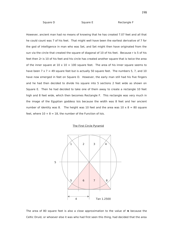Square D Square E Rectangle F

However, ancient man had no means of knowing that he has created 7.07 feet and all that he could count was 7 of his feet. That might well have been the earliest derivative of 7 for the god of intelligence in man who was Set, and Set might then have originated from the sun via the circle that created the square of diagonal of 10 of his feet. Because r is 5 of his feet then 2r is 10 of his feet and his circle has created another square that is twice the area of the inner square at  $10 \times 10 = 100$  square feet. The area of his inner square seems to have been  $7 \times 7 = 49$  square feet but is actually 50 square feet. The numbers 5, 7, and 10 have now emerged in feet on Square D. However, the early man still had his five fingers and he had then decided to divide his square into 5 sections 2 feet wide as shown on Square E. Then he had decided to take one of them away to create a rectangle 10 feet high and 8 feet wide, which then becomes Rectangle F. This rectangle was very much in the image of the Egyptian goddess Isis because the width was 8 feet and her ancient number of identity was 8. The height was 10 feet and the area was  $10 \times 8 = 80$  square feet, where  $10 + 8 = 18$ , the number of the Function of Isis.

# The First Circle Pyramid



The area of 80 square feet is also a close approximation to the value of **π** because the Celtic Druid, or whoever else it was who had first seen this thing, had decided that the area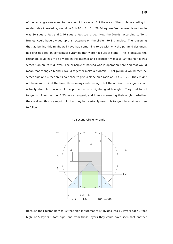of the rectangle was equal to the area of the circle. But the area of the circle, according to modern day knowledge, would be  $3.1416 \times 5 \times 5 = 78.54$  square feet, where his rectangle was 80 square feet and 1.46 square feet too large. Now the Druids, according to Tons Brunes, could have divided up this rectangle on the circle into 8 triangles. The reasoning that lay behind this might well have had something to do with why the pyramid designers had first decided on conceptual pyramids that were not built of stone. This is because the rectangle could easily be divided in this manner and because it was also 10 feet high it was 5 feet high on its mid-level. The principle of halving was in operation here and that would mean that triangles 6 and 7 would together make a pyramid. That pyramid would then be 5 feet high and 4 feet on its half base to give a slope on a ratio of 5 / 4 = 1.25. They might not have known it at the time, those many centuries ago, but the ancient investigators had actually stumbled on one of the properties of a right-angled triangle. They had found tangents. Their number 1.25 was a tangent, and it was measuring their angle. Whether they realised this is a moot point but they had certainly used this tangent in what was then to follow.

## The Second Circle Pyramid



Because their rectangle was 10 feet high it automatically divided into 10 layers each 1-foot high, or 5 layers 1 foot high, and from those layers they could have seen that another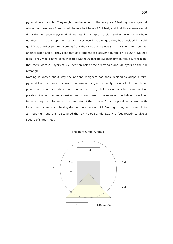pyramid was possible. They might then have known that a square 3 feet high on a pyramid whose half base was 4 feet would have a half base of 1.5 feet, and that this square would fit inside their second pyramid without leaving a gap or surplus, and achieve this in whole numbers. It was an optimum square. Because it was unique they had decided it would qualify as another pyramid coming from their circle and since  $3 / 4 - 1.5 = 1.20$  they had another slope angle. They used that as a tangent to discover a pyramid  $4 \times 1.20 = 4.8$  feet high. They would have seen that this was 0.20 feet below their first pyramid 5 feet high, that there were 25 layers of 0.20 feet on half of their rectangle and 50 layers on the full rectangle.

Nothing is known about why the ancient designers had then decided to adopt a third pyramid from the circle because there was nothing immediately obvious that would have pointed in the required direction. That seems to say that they already had some kind of preview of what they were seeking and it was based once more on the halving principle. Perhaps they had discovered the geometry of the squares from the previous pyramid with its optimum square and having decided on a pyramid 4.8 feet high, they had halved it to 2.4 feet high, and then discovered that 2.4 / slope angle  $1.20 = 2$  feet exactly to give a square of sides 4 feet.

# The Third Circle Pyramid

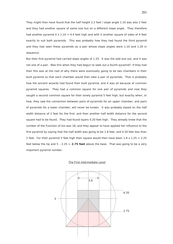They might then have found that the half height 2.2 feet / slope angle 1.10 was also 2 feet and they had another square of same size but on a different slope angle. They therefore had another pyramid  $4 \times 1.10 = 4.4$  feet high and with it another square of sides of 4 feet exactly to suit both pyramids. This was probably how they had found the third pyramid and they had seen these pyramids as a pair whose slope angles were 1.10 and 1.20 in sequence.

But their first pyramid had carried slope angles of 1.25. It was the odd one out, and it was not one of a pair. Was this when they had begun to seek out a fourth pyramid? If they had then this was at the root of why there were eventually going to be two chambers in their built pyramid so that each chamber would then take a pair of pyramids. That is probably how the ancient wizards had found their built pyramid, and it was all because of common pyramid squares. They had a common square for one pair of pyramids and now they sought a second common square for their lonely pyramid 5 feet high, but exactly when, or how, they saw the connection between pairs of pyramids for an upper chamber, and pairs of pyramids for a lower chamber, will never be known. It was probably based on the half width distance of 2 feet for the first, and then another half width distance for the second square had to be found. They had found layers 0.20 feet high. They already knew that the number of the Function of Isis was 18, and they appear to have applied her influence to the first pyramid by saying that the half width was going to be 1.8 feet, and 0.20 feet less than 2 feet. For their pyramid 5 feet high their square would then have been  $1.8 \times 1.25 = 2.25$ feet below the tip and  $5 - 2.25 = 2.75$  feet above the base. That was going to be a very important pyramid number.

#### The First Intermediate Level

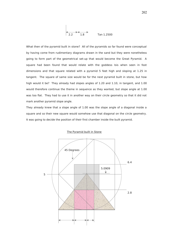$$
\begin{array}{|c|c|}\n\hline\n2.2 & 1.8\n\end{array}
$$
 Tan 1.2500

 $\overline{1}$ 

What then of the pyramid built in stone? All of the pyramids so far found were conceptual by having come from rudimentary diagrams drawn in the sand but they were nonetheless going to form part of the geometrical set-up that would become the Great Pyramid. A square had been found that would relate with the goddess Isis when seen in foot dimensions and that square related with a pyramid 5 feet high and sloping at 1.25 in tangent. The square of same size would be for the next pyramid built in stone, but how high would it be? They already had slopes angles of 1.20 and 1.10, in tangent, and 1.00 would therefore continue the theme in sequence as they wanted, but slope angle at 1.00 was too flat. They had to use it in another way on their circle geometry so that it did not mark another pyramid slope angle.

They already knew that a slope angle of 1.00 was the slope angle of a diagonal inside a square and so their new square would somehow use that diagonal on the circle geometry. It was going to decide the position of their first chamber inside the built pyramid.



# The Pyramid built in Stone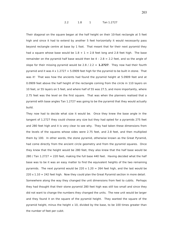#### 2.2 1.8 1 Tan 1.2727

Their diagonal on the square began at the half height on their 10-foot rectangle at 5 feet high and since it had to extend by another 5 feet horizontally it would necessarily pass beyond rectangle centre at base by 1 foot. That meant that for their next pyramid they had a square whose base would be  $1.8 + 1 = 2.8$  feet long and 2.8 feet high. The base remainder on the pyramid half base would then be  $4 - 2.8 = 2.2$  feet, and so the angle of slope for their missing pyramid would be 2.8 / 2.2 = **1.2727**. They now had their fourth pyramid and it was  $4 \times 1.2727 = 5.0909$  feet high for the pyramid to be built in stone. That was it! That was how the ancients had found the pyramid height at 5.0909 feet and at 0.0909 feet above the half height of the rectangle coming from the circle in 110 layers on 10 feet, or 55 layers on 5 feet, and where half of 55 was 27.5, and more importantly, where 2.75 feet was the level on the first square. That was when the planners realised that a pyramid with base angles Tan 1.2727 was going to be the pyramid that they would actually build.

They now had to decide what size it would be. Once they knew the base angle in the tangent of 1.2727 they could choose any size but they had opted for a pyramids 275 feet and 280 feet high and it is very clear to see why. They had taken these dimensions from the levels of the squares whose sides were 2.75 feet, and 2.8 feet, and then multiplied them by 100. In other words, the stone pyramid, otherwise known as the Great Pyramid, had come directly from the ancient circle geometry and from the pyramid squares. Once they knew that the height would be 280 feet, they also knew that the half base would be 280 / Tan  $1.2727 = 220$  feet, making the full base 440 feet. Having decided what the half base was to be it was an easy matter to find the equivalent heights of the two remaining pyramids. The next pyramid would be 220  $\times$  1.20 = 264 feet high, and the last would be  $220 \times 1.10 = 242$  feet high. Now they could plan the Great Pyramid section in more detail. Somewhere along the way they changed the unit dimensions from feet to cubits. Perhaps they had thought that their stone pyramid 280 feet high was still too small and since they did not want to change the numbers they changed the units. The new unit would be larger and they found it on the square of the pyramid height. They wanted the square of the pyramid height, minus the height x 10, divided by the base, to be 100 times greater than the number of feet per cubit.

203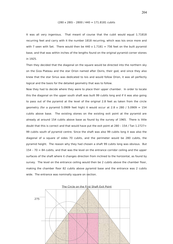#### $(280 \times 280) - 2800 / 440 = 171.8181$  cubits

It was all very ingenious. That meant of course that the cubit would equal 1.71818 recurring feet and carry with it the number 1818 recurring, which was Isis once more and with 7 seen with Set. There would then be  $440 \times 1.7181 = 756$  feet on the built pyramid base, and that was within inches of the lengths found on the original pyramid corner stones in 1925.

Then they decided that the diagonal on the square would be directed into the northern sky on the Giza Plateau and the star Orion named after Osiris, their god, and since they also knew that the star Sirius was dedicated to Isis and would follow Orion, it was all perfectly logical and the basis for the detailed geometry that was to follow.

Now they had to decide where they were to place their upper chamber. In order to locate this the diagonal on the upper south shaft was built 99 cubits long and if it was also going to pass out of the pyramid at the level of the original 2.8 feet as taken from the circle geometry (for a pyramid 5.0909 feet high) it would occur at  $2.8 \times 280$  / 5.0909 = 154 cubits above base. The existing stones on the existing exit point at the pyramid are already at around 154 cubits above base as found by the survey of 1965. There is little doubt that this is correct and that would have put the exit point at 280 - 154 / Tan  $1.2727=$ 99 cubits south of pyramid centre. Since the shaft was also 99 cubits long it was also the diagonal of a square of sides 70 cubits, and the perimeter would be 280 cubits, the pyramid height. The reason why they had chosen a shaft 99 cubits long was obvious. But 154 – 70 = 84 cubits, and that was the level on the entrance corridor ceiling and the upper surfaces of the shaft where it changes direction from inclined to the horizontal, as found by survey. The level on the entrance ceiling would then be 2 cubits above the chamber floor, making the chamber floor 82 cubits above pyramid base and the entrance was 2 cubits wide. The entrance was nominally square on section.



204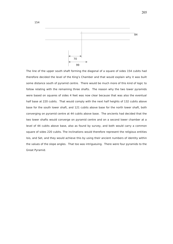

The line of the upper south shaft forming the diagonal of a square of sides 154 cubits had therefore decided the level of the King's Chamber and that would explain why it was built some distance south of pyramid centre. There would be much more of this kind of logic to follow relating with the remaining three shafts. The reason why the two lower pyramids were based on squares of sides 4 feet was now clear because that was also the eventual half base at 220 cubits. That would comply with the next half heights of 132 cubits above base for the south lower shaft, and 121 cubits above base for the north lower shaft, both converging on pyramid centre at 44 cubits above base. The ancients had decided that the two lower shafts would converge on pyramid centre and on a second lower chamber at a level of 44 cubits above base, also as found by survey, and both would carry a common square of sides 220 cubits. The inclinations would therefore represent the religious entities Isis, and Set, and they would achieve this by using their ancient numbers of identity within the values of the slope angles. That too was intrigueuing. There were four pyramids to the Great Pyramid.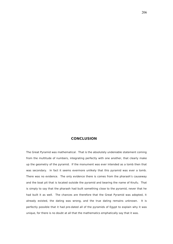# **CONCLUSION**

The Great Pyramid was mathematical. That is the absolutely undeniable statement coming from the multitude of numbers, integrating perfectly with one another, that clearly make up the geometry of the pyramid. If the monument was ever intended as a tomb then that was secondary. In fact it seems evermore unlikely that this pyramid was ever a tomb. There was no evidence. The only evidence there is comes from the pharaoh's causeway and the boat pit that is located outside the pyramid and bearing the name of Knufu. That is simply to say that the pharaoh had built something close to the pyramid, never that he had built it as well. The chances are therefore that the Great Pyramid was adopted, it already existed, the dating was wrong, and the true dating remains unknown. It is perfectly possible that it had pre-dated all of the pyramids of Egypt to explain why it was unique, for there is no doubt at all that the mathematics emphatically say that it was.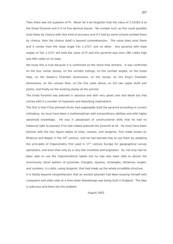Then there was the question of Pi**.** Never let it be forgotten that the value of 3.14165 is at the Great Pyramid and it is to five decimal places. No number such as this could possibly exist there by chance with that kind of accuracy and if it had by some miracle existed there by chance. then the chance itself is beyond comprehension. The value does exist there and it comes from the slope angle Tan 1.2727, and no other. Any pyramid with base angles of Tan 1.2727 will hold the value of Pi and this pyramid was once 280 cubits high and 440 cubits on its base.

We know this is true because it is confirmed on the stone that remains. It was confirmed on the four corner stones, on the corridor ceilings, on the corridor angles, on the Great Step, on the Queen's Chamber dimensions, on the recess, on the King's Chamber dimensions, on the uneven floor, on the five voids above, on the two upper shaft exit points, and finally on the existing stones at the summit.

The Great Pyramid was planned in advance and with very great care and detail but that carries with it a number of important and disturbing implications.

The first is that if the pharaoh Knufu had supposedly built the pyramid according to current orthodoxy, he must have been a mathematician with extraordinary abilities and with highly advanced knowledge. He was in possession of constructional skills that he had no historical right to possess if he had indeed planned the pyramid at all. He must have been familiar with the four figure tables of sines, cosines, and tangents, first made known by Rhaticus and Napier in the  $16<sup>th</sup>$  century, and he had learned how to use them by adopting the principles of trigonometry first used in  $17<sup>th</sup>$  century Europe for geographical survey operations, and even then only by a very few scientists and engineers. So, not only had he been able to use the trigonometrical tables but he had also been able to devise the enormously clever pattern of pyramids, triangles, squares, rectangles, distances, angles, and numbers, in cubits, using tangents, that had made up the whole incredible structure. It is totally beyond comprehension that an ancient pharaoh had been busying himself with computers and slide rules at a time when Stonehenge was being built in England. The idea

is ludicrous and there lies the problem.

August 2002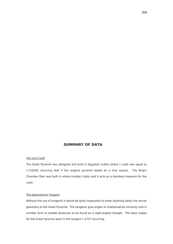# **SUMMARY OF DATA**

# The Unit Cubit

The Great Pyramid was designed and built in Egyptian Cubits where 1 cubit was equal to 1.718181 recurring feet if the original pyramid based on a true square. The King's Chamber floor was built in whole number cubits and it acts as a standard measure for the cubit.

# The Geometrical Tangent

Without the use of tangents it would be quite impossible to know anything about the secret geometry of the Great Pyramid. The tangents give angles in mathematical certainty and in number form to enable distances to be found on a right-angled triangle. The base angles for the Great Pyramid were in the tangent 1.2727 recurring.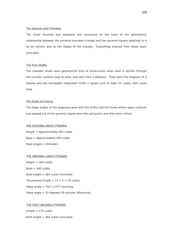#### The Squares and Triangles

The Great Pyramid was designed and conceived on the basis of the geometrical relationship between the pyramid isosceles triangle and the pyramid square attached to it by its corners and on the slopes of the triangle. Everything evolved from these basic principles.

# The Four Shafts

The chamber shafts were geometrical lines of construction when seen in section through the corridor systems east to west, and also from a distance. They were the diagonal of a square and two rectangles integrated inside a square grid of sides 55 cubits, 440 cubits long.

#### The Shaft Exit Points

The slope angles of the diagonals were also the shafts and the levels where upper surfaces had passed out of the pyramid slopes were the exit points and they were critical.

## THE EXISTING GREAT PYRAMID

Height = Approximately 262 cubits Base = Approximately 420 cubits Base angles = Unknown

THE ORIGINAL GREAT PYRAMID  $Height = 280$  cubits  $Base = 440$  cubits Built height = 264 cubits truncated Tip pyramid height =  $11 + 5 = 16$  cubits Slope angle  $=$  Tan 1.2727 recurring Slope angle = 51 degrees 50 minutes 30seconds

# THE FIRST INVISIBLE PYRAMID

Height  $= 275$  cubits

Built height = 264 cubits truncated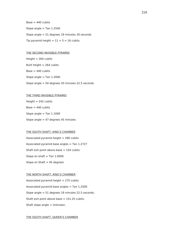$Base = 440$  cubits Slope angle  $=$  Tan 1.2500 Slope angle = 51 degrees 19 minutes 30 seconds Tip pyramid height =  $11 + 5 = 16$  cubits

# THE SECOND INVISIBLE PYRAMID

Height  $= 264$  cubits Built height = 264 cubits  $Base = 440$  cubits Slope angle  $=$  Tan 1.2000 Slope angle = 50 degrees 20 minutes 22.5 seconds

# THE THIRD INVISIBLE PYRAMID

 $Height = 242$  cubits  $Base = 440$  cubits Slope angle  $=$  Tan 1.1000 Slope angle  $= 47$  degrees 45 minutes

# THE SOUTH SHAFT, KING'S CHAMBER

Associated pyramid height  $= 280$  cubits Associated pyramid base angles = Tan  $1.2727$ Shaft exit point above base  $= 154$  cubits Slope on shaft  $=$  Tan 1.0000 Slope on Shaft  $= 45$  degrees

# THE NORTH SHAFT, KING'S CHAMBER

Associated pyramid height  $= 275$  cubits Associated pyramid base angles  $=$  Tan 1.2500 Slope angle = 51 degrees 19 minutes 22.5 seconds. Shaft exit point above base  $= 151.25$  cubits. Shaft slope angle = Unknown.

### THE SOUTH SHAFT, QUEEN'S CHAMBER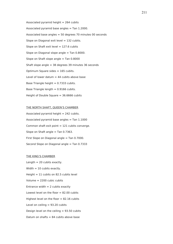Associated pyramid height  $= 264$  cubits Associated pyramid base angles = Tan 1.2000. Associated base angles = 50 degrees 70 minutes 00 seconds Slope on Diagonal exit level  $= 132$  cubits. Slope on Shaft exit level  $= 127.6$  cubits Slope on Diagonal slope angle = Tan 0.8000. Slope on Shaft slope angle = Tan 0.8000 Shaft slope angle = 38 degrees 39 minutes 36 seconds Optimum Square sides = 165 cubits. Level of lower datum  $=$  44 cubits above base Base Triangle height  $= 0.7333$  cubits. Base Triangle length  $= 0.9166$  cubits. Height of Double Square = 36.6666 cubits

# THE NORTH SHAFT, QUEEN'S CHAMBER

Associated pyramid height  $= 242$  cubits. Associated pyramid base angles  $=$  Tan 1.1000 Common shaft exit point  $= 121$  cubits converge. Slope on Shaft angle  $=$  Tan 0.7363. First Slope on Diagonal angle = Tan 0.7000. Second Slope on Diagonal angle = Tan 0.7333

#### THE KING'S CHAMBER

Length  $= 20$  cubits exactly. Width  $= 10$  cubits exactly. Height  $= 11$  cubits on 82.5 cubits level Volume = 2200 cubic cubits Entrance width  $= 2$  cubits exactly Lowest level on the floor  $= 82.00$  cubits Highest level on the floor  $= 82.16$  cubits Level on ceiling  $= 93.20$  cubits Design level on the ceiling  $= 93.50$  cubits Datum on shafts  $= 84$  cubits above base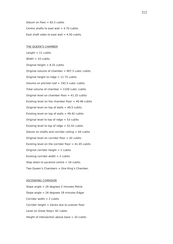Datum on floor  $= 82.5$  cubits Centre shafts to east wall  $= 4.70$  cubits. East shaft sides to east wall  $= 4.50$  cubits.

# THE QUEEN'S CHAMBER

Length  $= 11$  cubits Width  $= 10$  cubits Original height  $= 8.25$  cubits Original volume of chamber = 907.5 cubic cubits. Original height to ridge  $= 11.75$  cubits Volume on pitched roof = 192.5 cubic cubits. Total volume of chamber  $= 1100$  cubic cubits. Original level on chamber floor  $= 41.25$  cubits Existing level on the chamber floor  $=$  40.46 cubits Original level on top of walls  $= 49.5$  cubits Existing level on top of walls  $= 49.42$  cubits Original level to top of ridge  $= 53$  cubits Existing level to top of ridge  $= 52.42$  cubits Datum on shafts and corridor ceiling  $= 44$  cubits Original level on corridor floor = 42 cubits Existing level on the corridor floor  $= 41.45$  cubits Original corridor height  $= 2$  cubits Existing corridor width  $= 2$  cubits Step down to pyramid centre  $= 16$  cubits. Two Queen's Chambers = One King's Chamber.

# ASCENDING CORRIDOR

Slope angle = 26 degrees 2 minutes Petrie Slope angle = 26 degrees 18 minutes Edgar Corridor width  $= 2$  cubits Corridor height = Varies due to uneven floor Level on Great Step= 82 cubits Height of intersection above base  $= 10$  cubits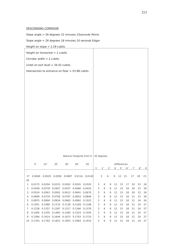# DESCENDING CORRIDOR

Slope angle = 26 degrees 31 minutes 23seconds Petrie

Slope angle = 26 degrees 18 minutes 10 seconds Edgar

Height on slope = 2.29 cubits

|                                        | Height on horizontal $= 2$ cubits                |                                                                                             |                 |                 |                 |                                           |              |                |                |                |                |                |              |          |          |
|----------------------------------------|--------------------------------------------------|---------------------------------------------------------------------------------------------|-----------------|-----------------|-----------------|-------------------------------------------|--------------|----------------|----------------|----------------|----------------|----------------|--------------|----------|----------|
|                                        | Corridor width $= 2$ cubits                      |                                                                                             |                 |                 |                 |                                           |              |                |                |                |                |                |              |          |          |
| Lintel on exit level $=$ 34.42 cubits. |                                                  |                                                                                             |                 |                 |                 |                                           |              |                |                |                |                |                |              |          |          |
|                                        |                                                  |                                                                                             |                 |                 |                 |                                           |              |                |                |                |                |                |              |          |          |
|                                        | Intersection to entrance on floor = 53.98 cubits |                                                                                             |                 |                 |                 |                                           |              |                |                |                |                |                |              |          |          |
|                                        |                                                  |                                                                                             |                 |                 |                 |                                           |              |                |                |                |                |                |              |          |          |
|                                        |                                                  |                                                                                             |                 |                 |                 |                                           |              |                |                |                |                |                |              |          |          |
|                                        |                                                  |                                                                                             |                 |                 |                 |                                           |              |                |                |                |                |                |              |          |          |
|                                        |                                                  |                                                                                             |                 |                 |                 |                                           |              |                |                |                |                |                |              |          |          |
|                                        |                                                  |                                                                                             |                 |                 |                 |                                           |              |                |                |                |                |                |              |          |          |
|                                        |                                                  |                                                                                             |                 |                 |                 |                                           |              |                |                |                |                |                |              |          |          |
|                                        |                                                  |                                                                                             |                 |                 |                 |                                           |              |                |                |                |                |                |              |          |          |
|                                        |                                                  |                                                                                             |                 |                 |                 |                                           |              |                |                |                |                |                |              |          |          |
|                                        |                                                  |                                                                                             |                 |                 |                 |                                           |              |                |                |                |                |                |              |          |          |
|                                        |                                                  |                                                                                             |                 |                 |                 |                                           |              |                |                |                |                |                |              |          |          |
|                                        |                                                  |                                                                                             |                 |                 |                 |                                           |              |                |                |                |                |                |              |          |          |
|                                        |                                                  |                                                                                             |                 |                 |                 |                                           |              |                |                |                |                |                |              |          |          |
|                                        |                                                  |                                                                                             |                 |                 |                 |                                           |              |                |                |                |                |                |              |          |          |
|                                        |                                                  |                                                                                             |                 |                 |                 |                                           |              |                |                |                |                |                |              |          |          |
|                                        |                                                  |                                                                                             |                 |                 |                 | Natural Tangents from 0 $-$ 45 degrees    |              |                |                |                |                |                |              |          |          |
|                                        |                                                  |                                                                                             |                 |                 |                 |                                           |              |                |                |                |                |                |              |          |          |
|                                        | 0 <sup>′</sup>                                   | 10 <sup>′</sup>                                                                             | 20 <sup>′</sup> | 30 <sup>′</sup> | 40 <sup>′</sup> | 50 <sup>′</sup>                           |              |                |                |                |                |                |              |          |          |
| $\overline{\phantom{a}}$               |                                                  |                                                                                             |                 |                 |                 |                                           |              |                |                |                |                | Differences    |              |          |          |
|                                        |                                                  |                                                                                             |                 |                 |                 |                                           | $1^{\prime}$ | 2 <sup>′</sup> | 3 <sup>′</sup> | 4 <sup>′</sup> | 5 <sup>′</sup> | 6 <sup>′</sup> | $7^{\prime}$ | 8'       | 9        |
| $0^{\circ}$                            |                                                  |                                                                                             |                 |                 |                 | 0.0000 0.0029 0.0058 0.0087 0.0116 0.0145 |              | 3              | 6              | 9              | 12 15          |                | 17           | 20       | 23       |
| 26                                     |                                                  |                                                                                             |                 |                 |                 |                                           |              |                |                |                |                |                |              |          |          |
| $\mathbf{1}$<br>2                      |                                                  | 0.0175 0.0204 0.0233 0.0262 0.0291 0.0320                                                   |                 |                 |                 |                                           | 3<br>3       | 6<br>6         | 9<br>9         | 12<br>12       | 15<br>15       | 17<br>18       | 20<br>20     | 23<br>23 | 26       |
| 3                                      |                                                  | 0.0349  0.0378  0.0407  0.0437  0.0466  0.0435<br>0.0524 0.0563 0.0582 0.0612 0.0641 0.0670 |                 |                 |                 |                                           | 3            | 6              | 9              | 12             | 15             | 18             | 20           | 23       | 26<br>26 |
| 4                                      |                                                  | 0.0699 0.0729 0.0758 0.0787 0.0816 0.0846                                                   |                 |                 |                 |                                           | 3            | 6              | 9              | 12             | 15             | 18             | 21           | 23       | 26       |
| 5                                      |                                                  | 0.0875 0.0904 0.0934 0.0963 0.0992 0.1022                                                   |                 |                 |                 |                                           | 3            | 6              | 9              | 12             | 15             | 18             | 21           | 24       | 26       |
| 6                                      |                                                  | 0.1051  0.1080  0.1110  0.1139  0.1169  0.1198                                              |                 |                 |                 |                                           | 3            | 6              | 9              | 12             | 15             | 18             | 21           | 24       | 27       |
| 7                                      |                                                  | 0.1228  0.1257  0.1287  0.1317  0.1346  0.1376                                              |                 |                 |                 |                                           | 3            | 6              | 9              | 12             | 15             | 18             | 21           | 24       | 27       |
| 8                                      |                                                  | 0.1405  0.1435  0.1465  0.1495  0.1524  0.1554                                              |                 |                 |                 |                                           | 3            | 6              | 9              | 12             | 15             | 18             | 21           | 24       | 27       |
| 9                                      |                                                  | 0.1584  0.1614  0.1644  0.1673  0.1703  0.1733                                              |                 |                 |                 |                                           | 3            | 6              | 9              | 12             | 15             | 18             | 21           | 24       | 27       |
| 10                                     |                                                  | 0.1763 0.1793 0.1823 0.1853 0.1883 0.1914                                                   |                 |                 |                 |                                           | 3            | 6              | 9              | 12             | 15             | 18             | 21           | 24       | 27       |
|                                        |                                                  |                                                                                             |                 |                 |                 |                                           |              |                |                |                |                |                |              |          |          |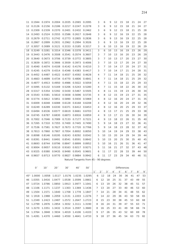| 11 |                                               |                 |                 | 0.1944  0.1974  0.2004  0.2035  0.2065  0.2095 |                                       |                 | 3               | 6              | 9                 | 12             | 15             | 18             | 21 | 24             | 27 |
|----|-----------------------------------------------|-----------------|-----------------|------------------------------------------------|---------------------------------------|-----------------|-----------------|----------------|-------------------|----------------|----------------|----------------|----|----------------|----|
| 12 |                                               |                 |                 | 0.2126  0.2156  0.2186  0.2217  0.2247  0.2278 |                                       |                 | 3               | 6              | 9                 | 12             | 15             | 18             | 21 | 24             | 27 |
| 13 |                                               |                 |                 | 0.2309  0.2339  0.2370  0.2401  0.2432  0.2462 |                                       |                 | 3               | 6              | 9                 | 12             | 15             | 18             | 21 | 25             | 28 |
| 14 |                                               |                 |                 | 0.2493  0.2524  0.2555  0.2586  0.2617  0.2648 |                                       |                 | 3               | 6              | 9                 | 12             | 16             | 19             | 22 | 25             | 28 |
| 15 |                                               |                 |                 | 0.2679  0.2711  0.2742  0.2773  0.2805         |                                       | 0.2836          | 3               | 6              | 9                 | 13             | 16             | 19             | 22 | 25             | 28 |
| 16 | 0.2867                                        | 0.2899          |                 | 0.2931 0.2962 0.2994                           |                                       | 0.3026          | 3               | 6              | 9                 | 13             | 16             | 19             | 22 | 25             | 28 |
| 17 | 0.3057                                        |                 |                 | 0.3089  0.3121  0.3153  0.3185                 |                                       | 0.3217          | 3               | 6              | 10                | 13             | 16             | 19             | 22 | 26             | 29 |
| 18 | 0.3249                                        | 0.3281          |                 | 0.3314 0.3346 0.3378                           |                                       | 0.3411          | 3               | 6              | 10                | 13             | 16             | 19             | 23 | 26             | 29 |
| 19 | 0.3443                                        |                 |                 | 0.3476  0.3508  0.3541  0.3574  0.3607         |                                       |                 | 3               | 7              | 10                | 13             | 16             | 20             | 23 | 26             | 29 |
| 20 |                                               |                 |                 | 0.3640  0.3673  0.3706  0.3739  0.3772  0.3805 |                                       |                 | 3               | 7              | 10                | 13             | 17             | 20             | 23 | 27             | 30 |
| 21 |                                               |                 |                 | 0.3839  0.3872  0.3906  0.3939  0.3973         |                                       | 0.4006          | 3               | 7              | 10                | 13             | 17             | 20             | 24 | 27             | 30 |
| 22 | 0.4040                                        | 0.4074          |                 | 0.4108  0.4142  0.4176                         |                                       | 0.4210          | 3               | 7              | 10                | 14             | 17             | 20             | 24 | 27             | 31 |
| 23 | 0.4245                                        |                 |                 | 0.4279 0.4314 0.4348 0.4383                    |                                       | 0.4417          | 3               | 7              | 10                | 14             | 17             | 21             | 24 | 28             | 31 |
| 24 | 0.4452                                        |                 |                 | 0.4487  0.4522  0.4557  0.4592  0.4628         |                                       |                 | 4               | 7              | 11                | 14             | 18             | 21             | 25 | 28             | 32 |
| 25 | 0.4663                                        | 0.4699          |                 | 0.4734 0.4770 0.4806                           |                                       | 0.4841          | 4               | $\overline{7}$ | 11                | 14             | 18             | 21             | 25 | 29             | 32 |
| 26 | 0.4877                                        |                 |                 | 0.4913 0.4950 0.4986 0.5022                    |                                       | 0.5059          | 4               | 7              | 11                | 15             | 18             | 22             | 25 | 29             | 33 |
| 27 | 0.5095                                        |                 |                 | 0.5132  0.5169  0.5206  0.5243  0.5280         |                                       |                 | 4               | 7              | 11                | 15             | 18             | 22             | 26 | 30             | 33 |
| 28 | 0.5317                                        | 0.5354          |                 | 0.5392 0.5430 0.5467                           |                                       | 0.5505          | 4               | 8              | 11                | 15             | 19             | 23             | 26 | 30             | 34 |
| 29 | 0.5543                                        | 0.5581          |                 | 0.5610 0.5658 0.5696                           |                                       | 0.5735          | 4               | 8              | 12                | 15             | 19             | 23             | 27 | 31             | 35 |
| 30 |                                               |                 |                 | 0.5774  0.5812  0.5851  0.5890  0.5930  0.5969 |                                       |                 | 4               | 8              | 12                | 16             | 20             | 24             | 27 | 31             | 35 |
| 31 |                                               |                 |                 | 0.6009  0.6048  0.6088  0.6128  0.6168         |                                       | 0.6208          | 4               | 8              | 12                | 16             | 20             | 24             | 28 | 32             | 36 |
| 32 |                                               |                 |                 | 0.6249  0.6289  0.6330  0.6371  0.6412         |                                       | 0.6453          | 4               | 8              | 12                | 16             | 20             | 25             | 29 | 33             | 37 |
| 33 |                                               |                 |                 | 0.6494  0.6536  0.6577  0.6619  0.6661  0.6703 |                                       |                 | 4               | 8              | 13                | 17             | 21             | 25             | 29 | 33             | 38 |
| 34 | 0.6745                                        | 0.6787          | 0.6830          | 0.6873 0.6916                                  |                                       | 0.6959          | 4               | 9              | 13                | 17             | 21             | 26             | 30 | 34             | 39 |
| 35 | 0.7002                                        | 0.7046          | 0.7089          | 0.7133 0.7177                                  |                                       | 0.7221          | 4               | 9              | 13                | 18             | 22             | 26             | 31 | 35             | 40 |
| 36 |                                               |                 |                 | 0.7265  0.7310  0.7355  0.7400  0.7445         |                                       | 0.7490          | 5               | 9              | 14                | 18             | 23             | 27             | 32 | 36             | 41 |
| 37 | 0.7536                                        |                 |                 | 0.7581  0.7627  0.7673  0.7720                 |                                       | 0.7766          | 5               | 9              | 14                | 18             | 23             | 28             | 32 | 37             | 42 |
| 38 | 0.7813                                        | 0.7860          |                 | 0.7907  0.7954  0.8002                         |                                       | 0.8050          | 5               | 10             | 14                | 19             | 24             | 29             | 33 | 38             | 43 |
| 39 |                                               |                 |                 | 0.8098  0.8146  0.8195  0.8243  0.8292  0.8342 |                                       |                 | 5               | 10             | 15                | 20             | 24             | 29             | 34 | 39             | 44 |
| 40 | 0.8391                                        | 0.8441          | 0.8491 0.8541   |                                                | 0.8591                                | 0.8642          | 5               | 10             | 15                | 20             | 25             | 30             | 35 | 40             | 45 |
| 41 | 0.8693                                        | 0.8744          | 0.8796          | 0.8847                                         | 0.8899                                | 0.8952          | 5               | 10             | 16                | 21             | 26             | 31             | 36 | 41             | 47 |
| 42 |                                               |                 |                 | 0.9004 0.9057 0.9110 0.9163 0.9217 0.9271      |                                       |                 | 5               | 11             | 16                | 21             | 27             | 32             | 37 | 43             | 48 |
| 43 |                                               |                 |                 | 0.9325 0.9380 0.9435 0.9490 0.9545 0.9601      |                                       |                 | $6\phantom{1}6$ |                | 11 17 22 28 33 39 |                |                |                |    | 44             | 50 |
| 44 |                                               |                 |                 | 0.9657 0.9713 0.9770 0.9827 0.9884 0.9942      |                                       |                 | 6               | 11             | 17                | 23             | 29             | 34             | 40 | 46             | 51 |
|    |                                               |                 |                 |                                                | Natural Tangents from 45 - 90 degrees |                 |                 |                |                   |                |                |                |    |                |    |
|    | 0 <sup>′</sup>                                | 10 <sup>′</sup> | 20 <sup>′</sup> | 30 <sup>′</sup>                                | 40 <sup>′</sup>                       | 50 <sup>′</sup> |                 |                |                   |                | Differences    |                |    |                |    |
|    |                                               |                 |                 |                                                |                                       |                 | 1'              | $2^{\prime}$   | 3 <sup>′</sup>    | 4 <sup>′</sup> | 5 <sup>′</sup> | 6 <sup>′</sup> | 7' | 8 <sup>′</sup> | 9' |
|    | 45° 1.0000 1.0058 1.0117 1.0176 1.0235 1.0295 |                 |                 |                                                |                                       |                 | 6               | 12             | 18                | 24             | 30             | 36             | 41 | 47             | 53 |
| 46 | 1.0355                                        | 1.0416          | 1.0477          | 1.0538 1.0599                                  |                                       | 1.0661          | 6               | 12             | 18                | 25             | 31             | 37             | 43 | 49             | 55 |
| 47 | 1.0724                                        | 1.0786          | 1.0850          | 1.0913 1.0977                                  |                                       | 1.1041          | 6               | 13             | 19                | 26             | 32             | 38             | 45 | 51             | 57 |
| 48 | 1.1106                                        | 1.1171 1.1237   |                 | 1.1303                                         | 1.1369                                | 1.1436          | 7               | 13             | 20                | 27             | 33             | 40             | 46 | 53             | 60 |
| 49 | 1.1504                                        | 1.1571          | 1.1640          | 1.1708                                         | 1 1 7 7 8                             | 1.1847          | 7               | 14             | 21                | 28             | 34             | 41             | 48 | 55             | 62 |
| 50 | 1 1918                                        |                 |                 | 1.1988 1.2059 1.2131 1.2203                    |                                       | 1.2276          | 7               | 14             | 22                | 29             | 36             | 43             | 50 | 58             | 65 |
| 51 | 1.2349                                        | 1.2423          | 1.2487          | 1.2572                                         | 1.2647                                | 1.2723          | 8               | 15             | 23                | 30             | 38             | 45             | 53 | 60             | 68 |
| 52 | 1.2799                                        | 1.2876          | 1.2854          | 1.3032                                         | 1.3111                                | 1.3190          | 8               | 16             | 24                | 31             | 39             | 47             | 55 | 63             | 71 |
| 53 | 1.3270                                        | 1.3351          | 1.3432          | 1.3514                                         | 1.3597                                | 1.3680          | 8               | 16             | 25                | 33             | 41             | 49             | 58 | 66             | 74 |
| 54 | 1.3764                                        |                 |                 | 1.3848 1 3934 1.4019 1.4106                    |                                       | 1.4103          | 9               | 17             | 26                | 35             | 43             | 52             | 60 | 69             | 78 |
| 55 |                                               |                 |                 | 1.4281 1.4370 1.4460 1.4550 1.4641 1.4733      |                                       |                 | 9               | 18             | 27                | 36             | 45             | 54             | 63 | 73             | 82 |
|    |                                               |                 |                 |                                                |                                       |                 |                 |                |                   |                |                |                |    |                |    |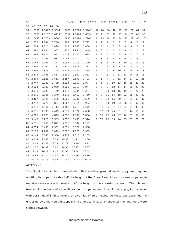| 56 |          |        |          |        | 1.4826 1.4919 1.5013 1.5108 1.5204 1.5301 |        |                |                |                |    |    |                | 10 | 19 | 20  |
|----|----------|--------|----------|--------|-------------------------------------------|--------|----------------|----------------|----------------|----|----|----------------|----|----|-----|
| 38 | 48<br>57 | 67     | 76<br>86 |        |                                           |        |                |                |                |    |    |                |    |    |     |
| 57 | 1.5399   | 1.5497 | 1.5597   | 1.5697 | 1.5798                                    | 1.5900 | 10             | 20             | 30             | 40 | 50 | 60             | 71 | 81 | 91  |
| 58 | 1.6003   | 1.6107 | 1.6212   | 1.6319 | 1.6426                                    | 1.6534 | 11             | 21             | 32             | 43 | 53 | 64             | 75 | 85 | 96  |
| 59 | 1.6643   | 1.6753 | 1.6864   | 1.6977 | 1.7090                                    | 1.7205 | 11             | 23             | 34             | 45 | 56 | 68             | 79 | 90 | 102 |
| 60 | 1.732    | 1.744  | 1.766    | 1.767  | 1.780                                     | 1.792  | 1              | $\overline{2}$ | 4              | 5  | 6  | $\overline{7}$ | 8  | 10 | 11  |
| 61 | 1.804    | 1.816  | 1.829    | 1.842  | 1.855                                     | 1.868  | 1              | 3              | 4              | 5  | 6  | 8              | 9  | 10 | 12  |
| 62 | 1.881    | 1.894  | 1.907    | 1.921  | 1.935                                     | 1.949  | 1              | 3              | 4              | 5  | 7  | 8              | 10 | 11 | 12  |
| 63 | 1.963    | 1.977  | 1.991    | 2.002  | 2.020                                     | 2.035  | 1              | 3              | 4              | 6  | 7  | 9              | 10 | 12 | 13  |
| 64 | 2.050    | 2.066  | 2.081    | 2.097  | 2.112                                     | 2.128  | 2              | 3              | 5              | 6  | 8  | 9              | 11 | 13 | 14  |
| 65 | 2.145    | 2.161  | 2.177    | 2.194  | 2.211                                     | 2.229  | 2              | 3              | 5              | 7  | 8  | 10             | 12 | 14 | 15  |
| 66 | 2.246    | 2.264  | 2.282    | 2.300  | 2.318                                     | 2.337  | 2              | 4              | 5              | 7  | 9  | 11             | 13 | 15 | 16  |
| 67 | 2.356    | 2.375  | 2.394    | 2.414  | 2.434                                     | 2.455  | $\mathsf{2}\,$ | 4              | 6              | 8  | 10 | 12             | 14 | 16 | 18  |
| 68 | 2.475    | 2.496  | 2.517    | 2.539  | 2.560                                     | 2.583  | 2              | 4              | 6              | 9  | 11 | 12             | 14 | 16 | 18  |
| 69 | 2.605    | 2.628  | 2.651    | 2.657  | 2.699                                     | 2.723  | $\mathsf{2}\,$ | 5              | $\overline{7}$ | 9  | 12 | 14             | 17 | 19 | 21  |
| 70 | 2.747    | 2.733  | 2.789    | 2.824  | 2.850                                     | 2.877  | 3              | 5              | 8              | 10 | 13 | 16             | 18 | 21 | 23  |
| 71 | 2.904    | 2.932  | 2.960    | 2.989  | 3.018                                     | 3.047  | 3              | 6              | 9              | 12 | 14 | 17             | 20 | 23 | 26  |
| 72 | 3.078    | 3.108  | 3.140    | 3.172  | 3.204                                     | 3.237  | 3              | 6              | 10             | 13 | 16 | 19             | 23 | 26 | 29  |
| 73 | 3.271    | 3.305  | 3.340    | 3.376  | 3.412                                     | 3.450  | 4              | $\overline{7}$ | 11             | 14 | 18 | 22             | 25 | 29 | 32  |
| 74 | 3.487    | 3.526  | 3.566    | 3.606  | 3.647                                     | 3.689  | 4              | 8              | 12             | 16 | 20 | 24             | 29 | 33 | 37  |
| 75 | 3.732    | 3.776  | 3.821    | 3.867  | 3.914                                     | 3.962  | 5              | 9              | 14             | 19 | 23 | 28             | 33 | 37 | 42  |
| 76 | 4.011    | 4.061  | 4.113    | 4.165  | 4.219                                     | 4.275  | 5              | 11             | 16             | 21 | 27 | 32             | 37 | 43 | 48  |
| 77 | 4.331    | 4.390  | 4.449    | 4.511  | 4.574                                     | 4.638  | 6              | 12             | 19             | 25 | 31 | 37             | 44 | 50 | 56  |
| 78 | 4.705    | 4.773  | 4.843    | 4.915  | 4.989                                     | 5.066  | 7              | 15             | 22             | 29 | 37 | 44             | 51 | 59 | 66  |
| 79 | 5.145    | 5.226  | 5.309    | 5.396  | 5.485                                     | 5.576  | 9              | 18             | 26             | 35 | 44 | 53             | 61 | 70 | 79  |
| 80 | 5.671    | 5.769  | 5.871    | 5.976  | 6.084                                     | 6.197  |                |                |                |    |    |                |    |    |     |
| 81 | 6.314    | 6.435  | 6.561    | 6.691  | 6.827                                     | 6.968  |                |                |                |    |    |                |    |    |     |
| 82 | 7.115    | 7,269  | 7.429    | 7.596  | 7.770                                     | 7.953  |                |                |                |    |    |                |    |    |     |
| 83 | 8.144    | 8.345  | 8.556    | 8.777  | 9.010                                     | 9.255  |                |                |                |    |    |                |    |    |     |
| 84 | 9.514    | 9.788  | 10.08    | 10.38  | 10.71                                     | 11.06  |                |                |                |    |    |                |    |    |     |
| 85 | 11.43    | 11.82  | 12.25    | 12.71  | 13.30                                     | 13.73  |                |                |                |    |    |                |    |    |     |
| 86 | 14.30    | 14.92  | 15.60    | 16.35  | 17.17                                     | 18.07  |                |                |                |    |    |                |    |    |     |
| 87 | 19.08    | 20.21  | 21.47    | 22.90  | 24.54                                     | 26.43  |                |                |                |    |    |                |    |    |     |
| 88 | 28.64    | 31.24  | 34.37    | 38.19  | 42.96                                     | 49.10  |                |                |                |    |    |                |    |    |     |
| 89 | 57.29    | 68.75  | 85.94    | 114.59 | 171.89                                    | 343.77 |                |                |                |    |    |                |    |    |     |
|    |          |        |          |        |                                           |        |                |                |                |    |    |                |    |    |     |

#### APPENDIX 1

The Great Pyramid had demonstrated that another pyramid inside a pyramid square abutting its slopes, of sides half the height of the Great Pyramid and of same slope angle would always carry a tip level at half the height of the enclosing pyramid. The rule was true within the limits of a specific range of slope angles. It would not apply, for instance, with pyramids of infinite height, or pyramids of zero height. At these two extremes the enclosing pyramid would disappear into a vertical line, or a horizontal line, and there were stages between.

The Intermediate Pyramid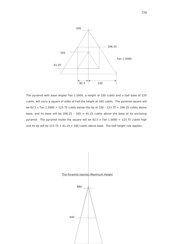

The pyramid with base angles Tan 1.5000, a height of 330 cubits and a half base of 220 cubits, will carry a square of sides of half the height at 165 cubits. The pyramid square will be 82.5 x Tan  $1.5000 = 123.75$  cubits below the tip at 330 - 123.75 = 206.25 cubits above base, and its base will be 206.25 -  $165 = 41.25$  cubits above the base of its enclosing pyramid. The pyramid inside the square will be 82.5 x Tan  $1.5000 = 123.75$  cubits high and its tip will be  $123.75 + 41.25 = 165$  cubits above base. The half height rule applies.

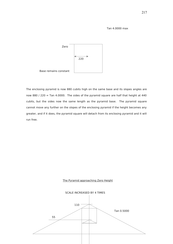## Tan 4.0000 max



The enclosing pyramid is now 880 cubits high on the same base and its slopes angles are now 880 / 220 = Tan 4.0000. The sides of the pyramid square are half that height at 440 cubits, but the sides now the same length as the pyramid base. The pyramid square cannot move any further on the slopes of the enclosing pyramid if the height becomes any greater, and if it does, the pyramid square will detach from its enclosing pyramid and it will run free.



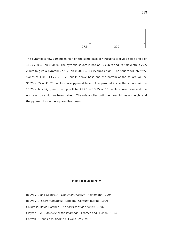

The pyramid is now 110 cubits high on the same base of 440cubits to give a slope angle of 110 / 220 = Tan 0.5000. The pyramid square is half at 55 cubits and its half width is 27.5 cubits to give a pyramid 27.5 x Tan  $0.5000 = 13.75$  cubits high. The square will abut the slopes at  $110 - 13.75 = 96.25$  cubits above base and the bottom of the square will be  $96.25 - 55 = 41$  25 cubits above pyramid base. The pyramid inside the square will be 13.75 cubits high, and the tip will be  $41.25 + 13.75 = 55$  cubits above base and the enclosing pyramid has been halved. The rule applies until the pyramid has no height and the pyramid inside the square disappears.

## **BIBLIOGRAPHY**

Bauval, R, and Gilbert, A. The Orion Mystery. Heinemann. 1994 Bauval, R. Secret Chamber. Random. Century imprint. 1999 Childress, David-Hatcher. The Lost Cities of Atlantis. 1996 Clayton, P.A. Chronicle of the Pharaohs. Thames and Hudson. 1994 Cottrell, P. The Lost Pharaohs. Evans Bros Ltd. 1961